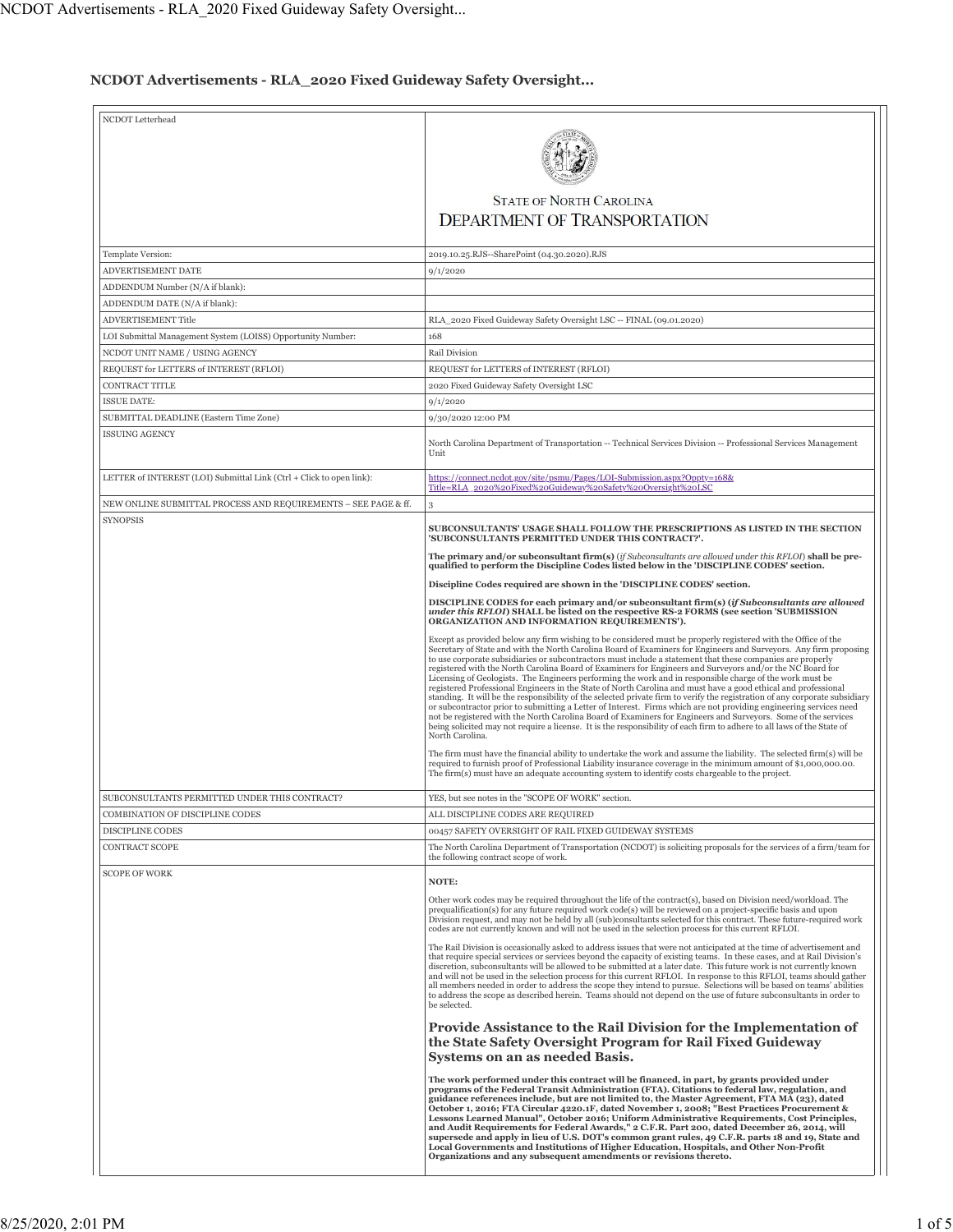# **NCDOT Advertisements - RLA\_2020 Fixed Guideway Safety Oversight...**

| NCDOT Letterhead                                                                              | <b>STATE OF NORTH CAROLINA</b><br><b>DEPARTMENT OF TRANSPORTATION</b>                                                                                                                                                                                                                                                                                                                                                                                                                                                                                                                                                                                                                                                                                                                                                                                                                                                                                                                                                                                                                                                                                                                                                                                                                                                                                                                                                                                                                                                                                           |
|-----------------------------------------------------------------------------------------------|-----------------------------------------------------------------------------------------------------------------------------------------------------------------------------------------------------------------------------------------------------------------------------------------------------------------------------------------------------------------------------------------------------------------------------------------------------------------------------------------------------------------------------------------------------------------------------------------------------------------------------------------------------------------------------------------------------------------------------------------------------------------------------------------------------------------------------------------------------------------------------------------------------------------------------------------------------------------------------------------------------------------------------------------------------------------------------------------------------------------------------------------------------------------------------------------------------------------------------------------------------------------------------------------------------------------------------------------------------------------------------------------------------------------------------------------------------------------------------------------------------------------------------------------------------------------|
| Template Version:                                                                             |                                                                                                                                                                                                                                                                                                                                                                                                                                                                                                                                                                                                                                                                                                                                                                                                                                                                                                                                                                                                                                                                                                                                                                                                                                                                                                                                                                                                                                                                                                                                                                 |
| ADVERTISEMENT DATE                                                                            | 2019.10.25.RJS--SharePoint (04.30.2020).RJS                                                                                                                                                                                                                                                                                                                                                                                                                                                                                                                                                                                                                                                                                                                                                                                                                                                                                                                                                                                                                                                                                                                                                                                                                                                                                                                                                                                                                                                                                                                     |
| ADDENDUM Number (N/A if blank):                                                               | 9/1/2020                                                                                                                                                                                                                                                                                                                                                                                                                                                                                                                                                                                                                                                                                                                                                                                                                                                                                                                                                                                                                                                                                                                                                                                                                                                                                                                                                                                                                                                                                                                                                        |
| ADDENDUM DATE (N/A if blank):                                                                 |                                                                                                                                                                                                                                                                                                                                                                                                                                                                                                                                                                                                                                                                                                                                                                                                                                                                                                                                                                                                                                                                                                                                                                                                                                                                                                                                                                                                                                                                                                                                                                 |
| ADVERTISEMENT Title                                                                           | RLA_2020 Fixed Guideway Safety Oversight LSC -- FINAL (09.01.2020)                                                                                                                                                                                                                                                                                                                                                                                                                                                                                                                                                                                                                                                                                                                                                                                                                                                                                                                                                                                                                                                                                                                                                                                                                                                                                                                                                                                                                                                                                              |
|                                                                                               | 168                                                                                                                                                                                                                                                                                                                                                                                                                                                                                                                                                                                                                                                                                                                                                                                                                                                                                                                                                                                                                                                                                                                                                                                                                                                                                                                                                                                                                                                                                                                                                             |
| LOI Submittal Management System (LOISS) Opportunity Number:<br>NCDOT UNIT NAME / USING AGENCY | Rail Division                                                                                                                                                                                                                                                                                                                                                                                                                                                                                                                                                                                                                                                                                                                                                                                                                                                                                                                                                                                                                                                                                                                                                                                                                                                                                                                                                                                                                                                                                                                                                   |
| REQUEST for LETTERS of INTEREST (RFLOI)                                                       | REQUEST for LETTERS of INTEREST (RFLOI)                                                                                                                                                                                                                                                                                                                                                                                                                                                                                                                                                                                                                                                                                                                                                                                                                                                                                                                                                                                                                                                                                                                                                                                                                                                                                                                                                                                                                                                                                                                         |
| <b>CONTRACT TITLE</b>                                                                         |                                                                                                                                                                                                                                                                                                                                                                                                                                                                                                                                                                                                                                                                                                                                                                                                                                                                                                                                                                                                                                                                                                                                                                                                                                                                                                                                                                                                                                                                                                                                                                 |
| <b>ISSUE DATE:</b>                                                                            | 2020 Fixed Guideway Safety Oversight LSC                                                                                                                                                                                                                                                                                                                                                                                                                                                                                                                                                                                                                                                                                                                                                                                                                                                                                                                                                                                                                                                                                                                                                                                                                                                                                                                                                                                                                                                                                                                        |
|                                                                                               | 9/1/2020<br>9/30/2020 12:00 PM                                                                                                                                                                                                                                                                                                                                                                                                                                                                                                                                                                                                                                                                                                                                                                                                                                                                                                                                                                                                                                                                                                                                                                                                                                                                                                                                                                                                                                                                                                                                  |
| SUBMITTAL DEADLINE (Eastern Time Zone)<br><b>ISSUING AGENCY</b>                               |                                                                                                                                                                                                                                                                                                                                                                                                                                                                                                                                                                                                                                                                                                                                                                                                                                                                                                                                                                                                                                                                                                                                                                                                                                                                                                                                                                                                                                                                                                                                                                 |
|                                                                                               | North Carolina Department of Transportation -- Technical Services Division -- Professional Services Management<br>Unit                                                                                                                                                                                                                                                                                                                                                                                                                                                                                                                                                                                                                                                                                                                                                                                                                                                                                                                                                                                                                                                                                                                                                                                                                                                                                                                                                                                                                                          |
| LETTER of INTEREST (LOI) Submittal Link (Ctrl + Click to open link):                          | https://connect.ncdot.gov/site/psmu/Pages/LOI-Submission.aspx?Oppty=168&<br>Title=RLA 2020%20Fixed%20Guideway%20Safety%20Oversight%20LSC                                                                                                                                                                                                                                                                                                                                                                                                                                                                                                                                                                                                                                                                                                                                                                                                                                                                                                                                                                                                                                                                                                                                                                                                                                                                                                                                                                                                                        |
| NEW ONLINE SUBMITTAL PROCESS AND REQUIREMENTS - SEE PAGE & ff.                                | 3                                                                                                                                                                                                                                                                                                                                                                                                                                                                                                                                                                                                                                                                                                                                                                                                                                                                                                                                                                                                                                                                                                                                                                                                                                                                                                                                                                                                                                                                                                                                                               |
| <b>SYNOPSIS</b>                                                                               | SUBCONSULTANTS' USAGE SHALL FOLLOW THE PRESCRIPTIONS AS LISTED IN THE SECTION                                                                                                                                                                                                                                                                                                                                                                                                                                                                                                                                                                                                                                                                                                                                                                                                                                                                                                                                                                                                                                                                                                                                                                                                                                                                                                                                                                                                                                                                                   |
|                                                                                               | 'SUBCONSULTANTS PERMITTED UNDER THIS CONTRACT?'.<br>The primary and/or subconsultant firm(s) (if Subconsultants are allowed under this RFLOI) shall be pre-                                                                                                                                                                                                                                                                                                                                                                                                                                                                                                                                                                                                                                                                                                                                                                                                                                                                                                                                                                                                                                                                                                                                                                                                                                                                                                                                                                                                     |
|                                                                                               | qualified to perform the Discipline Codes listed below in the 'DISCIPLINE CODES' section.                                                                                                                                                                                                                                                                                                                                                                                                                                                                                                                                                                                                                                                                                                                                                                                                                                                                                                                                                                                                                                                                                                                                                                                                                                                                                                                                                                                                                                                                       |
|                                                                                               | Discipline Codes required are shown in the 'DISCIPLINE CODES' section.                                                                                                                                                                                                                                                                                                                                                                                                                                                                                                                                                                                                                                                                                                                                                                                                                                                                                                                                                                                                                                                                                                                                                                                                                                                                                                                                                                                                                                                                                          |
|                                                                                               | DISCIPLINE CODES for each primary and/or subconsultant firm(s) (if Subconsultants are allowed<br>under this RFLOI) SHALL be listed on the respective RS-2 FORMS (see section 'SUBMISSION<br>ORGANIZATION AND INFORMATION REQUIREMENTS').                                                                                                                                                                                                                                                                                                                                                                                                                                                                                                                                                                                                                                                                                                                                                                                                                                                                                                                                                                                                                                                                                                                                                                                                                                                                                                                        |
|                                                                                               | Except as provided below any firm wishing to be considered must be properly registered with the Office of the<br>Secretary of State and with the North Carolina Board of Examiners for Engineers and Surveyors. Any firm proposing<br>to use corporate subsidiaries or subcontractors must include a statement that these companies are properly<br>registered with the North Carolina Board of Examiners for Engineers and Surveyors and/or the NC Board for<br>Licensing of Geologists. The Engineers performing the work and in responsible charge of the work must be<br>registered Professional Engineers in the State of North Carolina and must have a good ethical and professional<br>standing. It will be the responsibility of the selected private firm to verify the registration of any corporate subsidiary<br>or subcontractor prior to submitting a Letter of Interest. Firms which are not providing engineering services need<br>not be registered with the North Carolina Board of Examiners for Engineers and Surveyors. Some of the services<br>being solicited may not require a license. It is the responsibility of each firm to adhere to all laws of the State of<br>North Carolina.<br>The firm must have the financial ability to undertake the work and assume the liability. The selected firm(s) will be<br>required to furnish proof of Professional Liability insurance coverage in the minimum amount of \$1,000,000.00.<br>The firm(s) must have an adequate accounting system to identify costs chargeable to the project. |
|                                                                                               |                                                                                                                                                                                                                                                                                                                                                                                                                                                                                                                                                                                                                                                                                                                                                                                                                                                                                                                                                                                                                                                                                                                                                                                                                                                                                                                                                                                                                                                                                                                                                                 |
| SUBCONSULTANTS PERMITTED UNDER THIS CONTRACT?<br>COMBINATION OF DISCIPLINE CODES              | YES, but see notes in the "SCOPE OF WORK" section.<br>ALL DISCIPLINE CODES ARE REQUIRED                                                                                                                                                                                                                                                                                                                                                                                                                                                                                                                                                                                                                                                                                                                                                                                                                                                                                                                                                                                                                                                                                                                                                                                                                                                                                                                                                                                                                                                                         |
| <b>DISCIPLINE CODES</b>                                                                       | 00457 SAFETY OVERSIGHT OF RAIL FIXED GUIDEWAY SYSTEMS                                                                                                                                                                                                                                                                                                                                                                                                                                                                                                                                                                                                                                                                                                                                                                                                                                                                                                                                                                                                                                                                                                                                                                                                                                                                                                                                                                                                                                                                                                           |
| CONTRACT SCOPE                                                                                | The North Carolina Department of Transportation (NCDOT) is soliciting proposals for the services of a firm/team for<br>the following contract scope of work.                                                                                                                                                                                                                                                                                                                                                                                                                                                                                                                                                                                                                                                                                                                                                                                                                                                                                                                                                                                                                                                                                                                                                                                                                                                                                                                                                                                                    |
| <b>SCOPE OF WORK</b>                                                                          | NOTE:                                                                                                                                                                                                                                                                                                                                                                                                                                                                                                                                                                                                                                                                                                                                                                                                                                                                                                                                                                                                                                                                                                                                                                                                                                                                                                                                                                                                                                                                                                                                                           |
|                                                                                               | Other work codes may be required throughout the life of the contract(s), based on Division need/workload. The<br>prequalification(s) for any future required work code(s) will be reviewed on a project-specific basis and upon<br>Division request, and may not be held by all (sub)consultants selected for this contract. These future-required work<br>codes are not currently known and will not be used in the selection process for this current RFLOI.                                                                                                                                                                                                                                                                                                                                                                                                                                                                                                                                                                                                                                                                                                                                                                                                                                                                                                                                                                                                                                                                                                  |
|                                                                                               | The Rail Division is occasionally asked to address issues that were not anticipated at the time of advertisement and<br>that require special services or services beyond the capacity of existing teams. In these cases, and at Rail Division's<br>discretion, subconsultants will be allowed to be submitted at a later date. This future work is not currently known<br>and will not be used in the selection process for this current RFLOI. In response to this RFLOI, teams should gather<br>all members needed in order to address the scope they intend to pursue. Selections will be based on teams' abilities<br>to address the scope as described herein. Teams should not depend on the use of future subconsultants in order to<br>be selected.                                                                                                                                                                                                                                                                                                                                                                                                                                                                                                                                                                                                                                                                                                                                                                                                     |
|                                                                                               | Provide Assistance to the Rail Division for the Implementation of<br>the State Safety Oversight Program for Rail Fixed Guideway<br>Systems on an as needed Basis.                                                                                                                                                                                                                                                                                                                                                                                                                                                                                                                                                                                                                                                                                                                                                                                                                                                                                                                                                                                                                                                                                                                                                                                                                                                                                                                                                                                               |
|                                                                                               | The work performed under this contract will be financed, in part, by grants provided under<br>programs of the Federal Transit Administration (FTA). Citations to federal law, regulation, and<br>guidance references include, but are not limited to, the Master Agreement, FTA MA (23), dated<br>October 1, 2016; FTA Circular 4220.1F, dated November 1, 2008; "Best Practices Procurement &<br>Lessons Learned Manual", October 2016; Uniform Administrative Requirements, Cost Principles,<br>and Audit Requirements for Federal Awards," 2 C.F.R. Part 200, dated December 26, 2014, will<br>supersede and apply in lieu of U.S. DOT's common grant rules, 49 C.F.R. parts 18 and 19, State and<br>Local Governments and Institutions of Higher Education, Hospitals, and Other Non-Profit<br>Organizations and any subsequent amendments or revisions thereto.                                                                                                                                                                                                                                                                                                                                                                                                                                                                                                                                                                                                                                                                                            |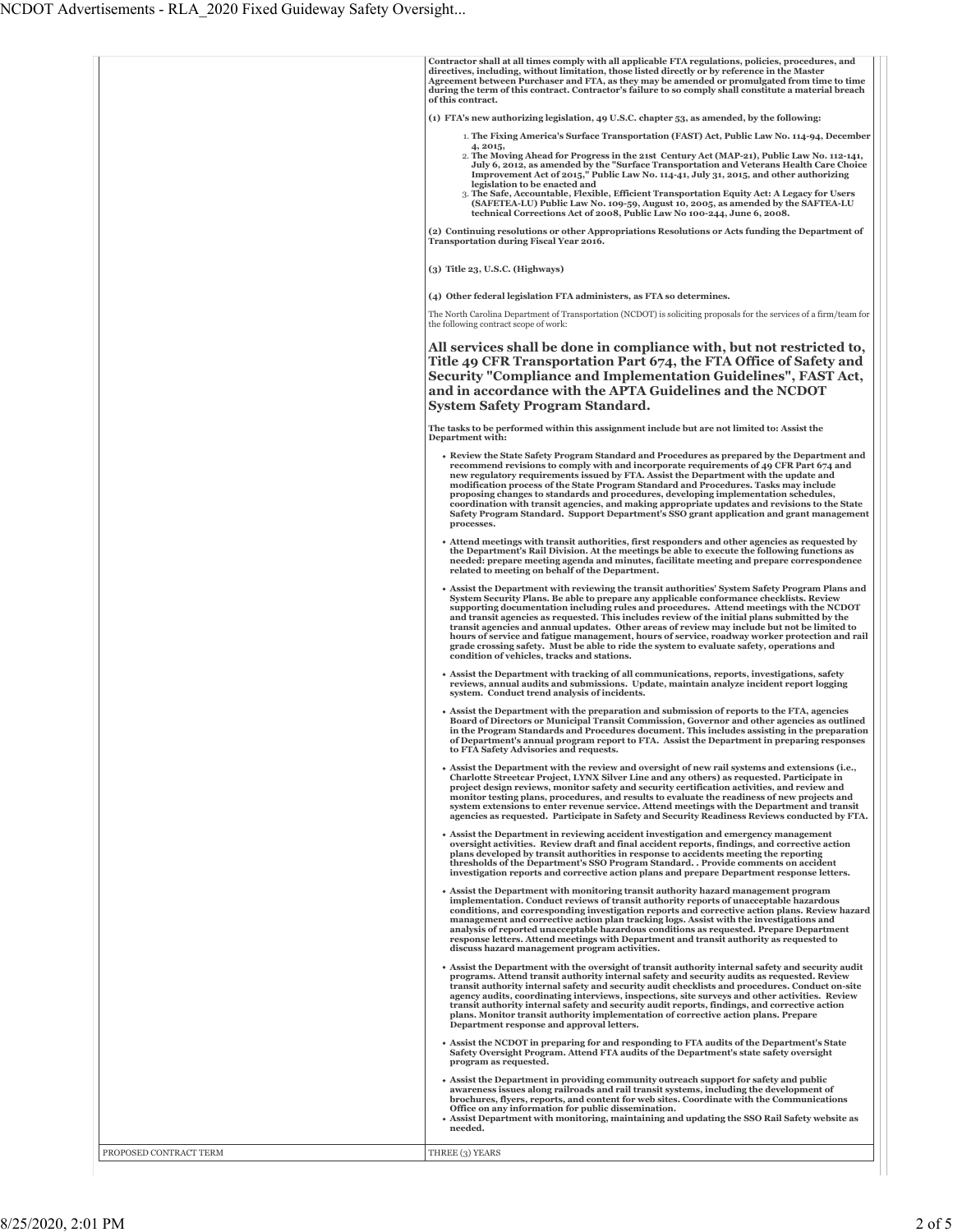|                        | Contractor shall at all times comply with all applicable FTA regulations, policies, procedures, and                                                                                                                                                                                                                                                                                                                                                                                                                                                                                                                                                                                                                                 |
|------------------------|-------------------------------------------------------------------------------------------------------------------------------------------------------------------------------------------------------------------------------------------------------------------------------------------------------------------------------------------------------------------------------------------------------------------------------------------------------------------------------------------------------------------------------------------------------------------------------------------------------------------------------------------------------------------------------------------------------------------------------------|
|                        | directives, including, without limitation, those listed directly or by reference in the Master<br>Agreement between Purchaser and FTA, as they may be amended or promulgated from time to time<br>during the term of this contract. Contractor's failure to so comply shall constitute a material breach<br>of this contract.                                                                                                                                                                                                                                                                                                                                                                                                       |
|                        | (1) FTA's new authorizing legislation, 49 U.S.C. chapter 53, as amended, by the following:                                                                                                                                                                                                                                                                                                                                                                                                                                                                                                                                                                                                                                          |
|                        | 1. The Fixing America's Surface Transportation (FAST) Act, Public Law No. 114-94, December<br>4, 2015,                                                                                                                                                                                                                                                                                                                                                                                                                                                                                                                                                                                                                              |
|                        | 2. The Moving Ahead for Progress in the 21st Century Act (MAP-21), Public Law No. 112-141,<br>July 6, 2012, as amended by the "Surface Transportation and Veterans Health Care Choice<br>Improvement Act of 2015," Public Law No. 114-41, July 31, 2015, and other authorizing<br>legislation to be enacted and<br>3. The Safe, Accountable, Flexible, Efficient Transportation Equity Act: A Legacy for Users                                                                                                                                                                                                                                                                                                                      |
|                        | (SAFETEA-LU) Public Law No. 109-59, August 10, 2005, as amended by the SAFTEA-LU<br>technical Corrections Act of 2008, Public Law No 100-244, June 6, 2008.                                                                                                                                                                                                                                                                                                                                                                                                                                                                                                                                                                         |
|                        | (2) Continuing resolutions or other Appropriations Resolutions or Acts funding the Department of<br><b>Transportation during Fiscal Year 2016.</b>                                                                                                                                                                                                                                                                                                                                                                                                                                                                                                                                                                                  |
|                        | $(3)$ Title 23, U.S.C. (Highways)                                                                                                                                                                                                                                                                                                                                                                                                                                                                                                                                                                                                                                                                                                   |
|                        | (4) Other federal legislation FTA administers, as FTA so determines.                                                                                                                                                                                                                                                                                                                                                                                                                                                                                                                                                                                                                                                                |
|                        | The North Carolina Department of Transportation (NCDOT) is soliciting proposals for the services of a firm/team for<br>the following contract scope of work:                                                                                                                                                                                                                                                                                                                                                                                                                                                                                                                                                                        |
|                        | All services shall be done in compliance with, but not restricted to,<br>Title 49 CFR Transportation Part 674, the FTA Office of Safety and<br>Security "Compliance and Implementation Guidelines", FAST Act,<br>and in accordance with the APTA Guidelines and the NCDOT<br><b>System Safety Program Standard.</b>                                                                                                                                                                                                                                                                                                                                                                                                                 |
|                        | The tasks to be performed within this assignment include but are not limited to: Assist the<br>Department with:                                                                                                                                                                                                                                                                                                                                                                                                                                                                                                                                                                                                                     |
|                        | • Review the State Safety Program Standard and Procedures as prepared by the Department and<br>recommend revisions to comply with and incorporate requirements of 49 CFR Part 674 and<br>new regulatory requirements issued by FTA. Assist the Department with the update and<br>modification process of the State Program Standard and Procedures. Tasks may include<br>proposing changes to standards and procedures, developing implementation schedules,<br>coordination with transit agencies, and making appropriate updates and revisions to the State<br>Safety Program Standard. Support Department's SSO grant application and grant management<br>processes.                                                             |
|                        | • Attend meetings with transit authorities, first responders and other agencies as requested by<br>the Department's Rail Division. At the meetings be able to execute the following functions as<br>needed: prepare meeting agenda and minutes, facilitate meeting and prepare correspondence<br>related to meeting on behalf of the Department.                                                                                                                                                                                                                                                                                                                                                                                    |
|                        | • Assist the Department with reviewing the transit authorities' System Safety Program Plans and<br>System Security Plans. Be able to prepare any applicable conformance checklists. Review<br>supporting documentation including rules and procedures. Attend meetings with the NCDOT<br>and transit agencies as requested. This includes review of the initial plans submitted by the<br>transit agencies and annual updates. Other areas of review may include but not be limited to<br>hours of service and fatigue management, hours of service, roadway worker protection and rail<br>grade crossing safety. Must be able to ride the system to evaluate safety, operations and<br>condition of vehicles, tracks and stations. |
|                        | • Assist the Department with tracking of all communications, reports, investigations, safety<br>reviews, annual audits and submissions. Update, maintain analyze incident report logging<br>system. Conduct trend analysis of incidents.                                                                                                                                                                                                                                                                                                                                                                                                                                                                                            |
|                        | • Assist the Department with the preparation and submission of reports to the FTA, agencies<br>Board of Directors or Municipal Transit Commission, Governor and other agencies as outlined<br>in the Program Standards and Procedures document. This includes assisting in the preparation<br>of Department's annual program report to FTA. Assist the Department in preparing responses<br>to FTA Safety Advisories and requests.                                                                                                                                                                                                                                                                                                  |
|                        | • Assist the Department with the review and oversight of new rail systems and extensions (i.e.,<br>Charlotte Streetcar Project, LYNX Silver Line and any others) as requested. Participate in<br>project design reviews, monitor safety and security certification activities, and review and<br>monitor testing plans, procedures, and results to evaluate the readiness of new projects and<br>system extensions to enter revenue service. Attend meetings with the Department and transit<br>agencies as requested. Participate in Safety and Security Readiness Reviews conducted by FTA.                                                                                                                                       |
|                        | • Assist the Department in reviewing accident investigation and emergency management<br>oversight activities. Review draft and final accident reports, findings, and corrective action<br>plans developed by transit authorities in response to accidents meeting the reporting<br>thresholds of the Department's SSO Program Standard. . Provide comments on accident<br>investigation reports and corrective action plans and prepare Department response letters.                                                                                                                                                                                                                                                                |
|                        | • Assist the Department with monitoring transit authority hazard management program<br>implementation. Conduct reviews of transit authority reports of unacceptable hazardous<br>conditions, and corresponding investigation reports and corrective action plans. Review hazard<br>management and corrective action plan tracking logs. Assist with the investigations and<br>analysis of reported unacceptable hazardous conditions as requested. Prepare Department<br>response letters. Attend meetings with Department and transit authority as requested to<br>discuss hazard management program activities.                                                                                                                   |
|                        | • Assist the Department with the oversight of transit authority internal safety and security audit<br>programs. Attend transit authority internal safety and security audits as requested. Review<br>transit authority internal safety and security audit checklists and procedures. Conduct on-site<br>agency audits, coordinating interviews, inspections, site surveys and other activities. Review<br>transit authority internal safety and security audit reports, findings, and corrective action<br>plans. Monitor transit authority implementation of corrective action plans. Prepare<br>Department response and approval letters.                                                                                         |
|                        | • Assist the NCDOT in preparing for and responding to FTA audits of the Department's State<br>Safety Oversight Program. Attend FTA audits of the Department's state safety oversight<br>program as requested.                                                                                                                                                                                                                                                                                                                                                                                                                                                                                                                       |
|                        | • Assist the Department in providing community outreach support for safety and public<br>awareness issues along railroads and rail transit systems, including the development of<br>brochures, flyers, reports, and content for web sites. Coordinate with the Communications<br>Office on any information for public dissemination.<br>• Assist Department with monitoring, maintaining and updating the SSO Rail Safety website as<br>needed.                                                                                                                                                                                                                                                                                     |
| PROPOSED CONTRACT TERM | THREE (3) YEARS                                                                                                                                                                                                                                                                                                                                                                                                                                                                                                                                                                                                                                                                                                                     |
|                        |                                                                                                                                                                                                                                                                                                                                                                                                                                                                                                                                                                                                                                                                                                                                     |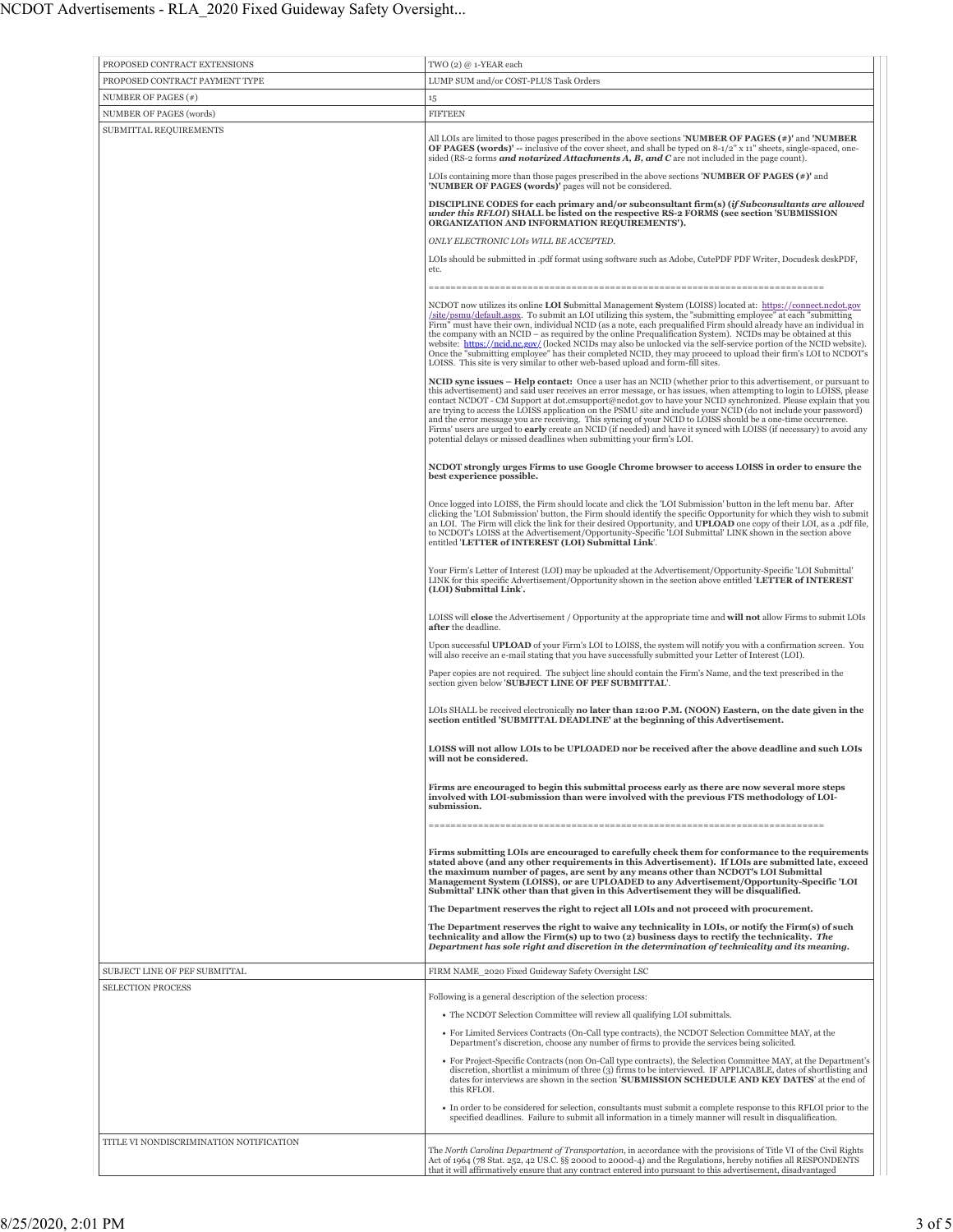| PROPOSED CONTRACT EXTENSIONS            | TWO (2) @ 1-YEAR each                                                                                                                                                                                                                                                                                                                                                                                                                                                                                                                                                                                                                                                                                                                                                                               |
|-----------------------------------------|-----------------------------------------------------------------------------------------------------------------------------------------------------------------------------------------------------------------------------------------------------------------------------------------------------------------------------------------------------------------------------------------------------------------------------------------------------------------------------------------------------------------------------------------------------------------------------------------------------------------------------------------------------------------------------------------------------------------------------------------------------------------------------------------------------|
| PROPOSED CONTRACT PAYMENT TYPE          | LUMP SUM and/or COST-PLUS Task Orders                                                                                                                                                                                                                                                                                                                                                                                                                                                                                                                                                                                                                                                                                                                                                               |
| NUMBER OF PAGES (#)                     |                                                                                                                                                                                                                                                                                                                                                                                                                                                                                                                                                                                                                                                                                                                                                                                                     |
| NUMBER OF PAGES (words)                 | 15<br><b>FIFTEEN</b>                                                                                                                                                                                                                                                                                                                                                                                                                                                                                                                                                                                                                                                                                                                                                                                |
|                                         |                                                                                                                                                                                                                                                                                                                                                                                                                                                                                                                                                                                                                                                                                                                                                                                                     |
| SUBMITTAL REQUIREMENTS                  | All LOIs are limited to those pages prescribed in the above sections <b>NUMBER OF PAGES (#)'</b> and <b>'NUMBER</b><br>OF PAGES (words)' -- inclusive of the cover sheet, and shall be typed on 8-1/2" x 11" sheets, single-spaced, one-<br>sided (RS-2 forms <b>and notarized Attachments A, B, and C</b> are not included in the page count).                                                                                                                                                                                                                                                                                                                                                                                                                                                     |
|                                         | LOIs containing more than those pages prescribed in the above sections <b>NUMBER OF PAGES</b> $(*)$ and<br>'NUMBER OF PAGES (words)' pages will not be considered.                                                                                                                                                                                                                                                                                                                                                                                                                                                                                                                                                                                                                                  |
|                                         | DISCIPLINE CODES for each primary and/or subconsultant firm(s) (if Subconsultants are allowed<br>under this RFLOI) SHALL be listed on the respective RS-2 FORMS (see section 'SUBMISSION<br>ORGANIZATION AND INFORMATION REQUIREMENTS').                                                                                                                                                                                                                                                                                                                                                                                                                                                                                                                                                            |
|                                         | ONLY ELECTRONIC LOIs WILL BE ACCEPTED.<br>LOIs should be submitted in .pdf format using software such as Adobe, CutePDF PDF Writer, Docudesk deskPDF,                                                                                                                                                                                                                                                                                                                                                                                                                                                                                                                                                                                                                                               |
|                                         | etc.                                                                                                                                                                                                                                                                                                                                                                                                                                                                                                                                                                                                                                                                                                                                                                                                |
|                                         | NCDOT now utilizes its online LOI Submittal Management System (LOISS) located at: https://connect.ncdot.gov<br>/site/psmu/default.aspx. To submit an LOI utilizing this system, the "submitting employee" at each "submitting<br>Firm" must have their own, individual NCID (as a note, each prequalified Firm should already have an individual in<br>the company with an NCID – as required by the online Prequalification System). NCIDs may be obtained at this<br>website: https://ncid.nc.gov/ (locked NCIDs may also be unlocked via the self-service portion of the NCID website).<br>Once the "submitting employee" has their completed NCID, they may proceed to upload their firm's LOI to NCDOT's<br>LOISS. This site is very similar to other web-based upload and form-fill sites.    |
|                                         | <b>NCID sync issues – Help contact:</b> Once a user has an NCID (whether prior to this advertisement, or pursuant to<br>this advertisement) and said user receives an error message, or has issues, when attempting to login to LOISS, please<br>contact NCDOT - CM Support at dot.cmsupport@ncdot.gov to have your NCID synchronized. Please explain that you<br>are trying to access the LOISS application on the PSMU site and include your NCID (do not include your password)<br>and the error message you are receiving. This syncing of your NCID to LOISS should be a one-time occurrence.<br>Firms' users are urged to early create an NCID (if needed) and have it synced with LOISS (if necessary) to avoid any<br>potential delays or missed deadlines when submitting your firm's LOI. |
|                                         | NCDOT strongly urges Firms to use Google Chrome browser to access LOISS in order to ensure the<br>best experience possible.                                                                                                                                                                                                                                                                                                                                                                                                                                                                                                                                                                                                                                                                         |
|                                         | Once logged into LOISS, the Firm should locate and click the 'LOI Submission' button in the left menu bar. After<br>clicking the 'LOI Submission' button, the Firm should identify the specific Opportunity for which they wish to submit<br>an LOI. The Firm will click the link for their desired Opportunity, and <b>UPLOAD</b> one copy of their LOI, as a .pdf file,<br>to NCDOT's LOISS at the Advertisement/Opportunity-Specific 'LOI Submittal' LINK shown in the section above<br>entitled 'LETTER of INTEREST (LOI) Submittal Link'.                                                                                                                                                                                                                                                      |
|                                         | Your Firm's Letter of Interest (LOI) may be uploaded at the Advertisement/Opportunity-Specific 'LOI Submittal'<br>LINK for this specific Advertisement/Opportunity shown in the section above entitled 'LETTER of INTEREST<br>(LOI) Submittal Link'.                                                                                                                                                                                                                                                                                                                                                                                                                                                                                                                                                |
|                                         | LOISS will <b>close</b> the Advertisement / Opportunity at the appropriate time and <b>will not</b> allow Firms to submit LOIs<br>after the deadline.                                                                                                                                                                                                                                                                                                                                                                                                                                                                                                                                                                                                                                               |
|                                         | Upon successful UPLOAD of your Firm's LOI to LOISS, the system will notify you with a confirmation screen. You<br>will also receive an e-mail stating that you have successfully submitted your Letter of Interest (LOI).                                                                                                                                                                                                                                                                                                                                                                                                                                                                                                                                                                           |
|                                         | Paper copies are not required. The subject line should contain the Firm's Name, and the text prescribed in the<br>section given below 'SUBJECT LINE OF PEF SUBMITTAL'.                                                                                                                                                                                                                                                                                                                                                                                                                                                                                                                                                                                                                              |
|                                         | LOIs SHALL be received electronically <b>no later than 12:00 P.M. (NOON) Eastern, on the date given in the</b><br>section entitled 'SUBMITTAL DEADLINE' at the beginning of this Advertisement.                                                                                                                                                                                                                                                                                                                                                                                                                                                                                                                                                                                                     |
|                                         | LOISS will not allow LOIs to be UPLOADED nor be received after the above deadline and such LOIs<br>will not be considered.                                                                                                                                                                                                                                                                                                                                                                                                                                                                                                                                                                                                                                                                          |
|                                         | Firms are encouraged to begin this submittal process early as there are now several more steps<br>involved with LOI-submission than were involved with the previous FTS methodology of LOI-<br>submission.                                                                                                                                                                                                                                                                                                                                                                                                                                                                                                                                                                                          |
|                                         |                                                                                                                                                                                                                                                                                                                                                                                                                                                                                                                                                                                                                                                                                                                                                                                                     |
|                                         | Firms submitting LOIs are encouraged to carefully check them for conformance to the requirements<br>stated above (and any other requirements in this Advertisement). If LOIs are submitted late, exceed<br>the maximum number of pages, are sent by any means other than NCDOT's LOI Submittal<br>Management System (LOISS), or are UPLOADED to any Advertisement/Opportunity-Specific 'LOI<br>Submittal' LINK other than that given in this Advertisement they will be disqualified.                                                                                                                                                                                                                                                                                                               |
|                                         | The Department reserves the right to reject all LOIs and not proceed with procurement.<br>The Department reserves the right to waive any technicality in LOIs, or notify the Firm(s) of such                                                                                                                                                                                                                                                                                                                                                                                                                                                                                                                                                                                                        |
|                                         | technicality and allow the Firm(s) up to two (2) business days to rectify the technicality. The<br>Department has sole right and discretion in the determination of technicality and its meaning.                                                                                                                                                                                                                                                                                                                                                                                                                                                                                                                                                                                                   |
| SUBJECT LINE OF PEF SUBMITTAL           | FIRM NAME_2020 Fixed Guideway Safety Oversight LSC                                                                                                                                                                                                                                                                                                                                                                                                                                                                                                                                                                                                                                                                                                                                                  |
| <b>SELECTION PROCESS</b>                | Following is a general description of the selection process:                                                                                                                                                                                                                                                                                                                                                                                                                                                                                                                                                                                                                                                                                                                                        |
|                                         | • The NCDOT Selection Committee will review all qualifying LOI submittals.                                                                                                                                                                                                                                                                                                                                                                                                                                                                                                                                                                                                                                                                                                                          |
|                                         | • For Limited Services Contracts (On-Call type contracts), the NCDOT Selection Committee MAY, at the                                                                                                                                                                                                                                                                                                                                                                                                                                                                                                                                                                                                                                                                                                |
|                                         | Department's discretion, choose any number of firms to provide the services being solicited.<br>• For Project-Specific Contracts (non On-Call type contracts), the Selection Committee MAY, at the Department's<br>discretion, shortlist a minimum of three (3) firms to be interviewed. IF APPLICABLE, dates of shortlisting and<br>dates for interviews are shown in the section 'SUBMISSION SCHEDULE AND KEY DATES' at the end of<br>this RFLOI.                                                                                                                                                                                                                                                                                                                                                 |
|                                         | • In order to be considered for selection, consultants must submit a complete response to this RFLOI prior to the<br>specified deadlines. Failure to submit all information in a timely manner will result in disqualification.                                                                                                                                                                                                                                                                                                                                                                                                                                                                                                                                                                     |
| TITLE VI NONDISCRIMINATION NOTIFICATION | The North Carolina Department of Transportation, in accordance with the provisions of Title VI of the Civil Rights<br>Act of 1964 (78 Stat. 252, 42 US.C. §§ 2000d to 2000d-4) and the Regulations, hereby notifies all RESPONDENTS<br>that it will affirmatively ensure that any contract entered into pursuant to this advertisement, disadvantaged                                                                                                                                                                                                                                                                                                                                                                                                                                               |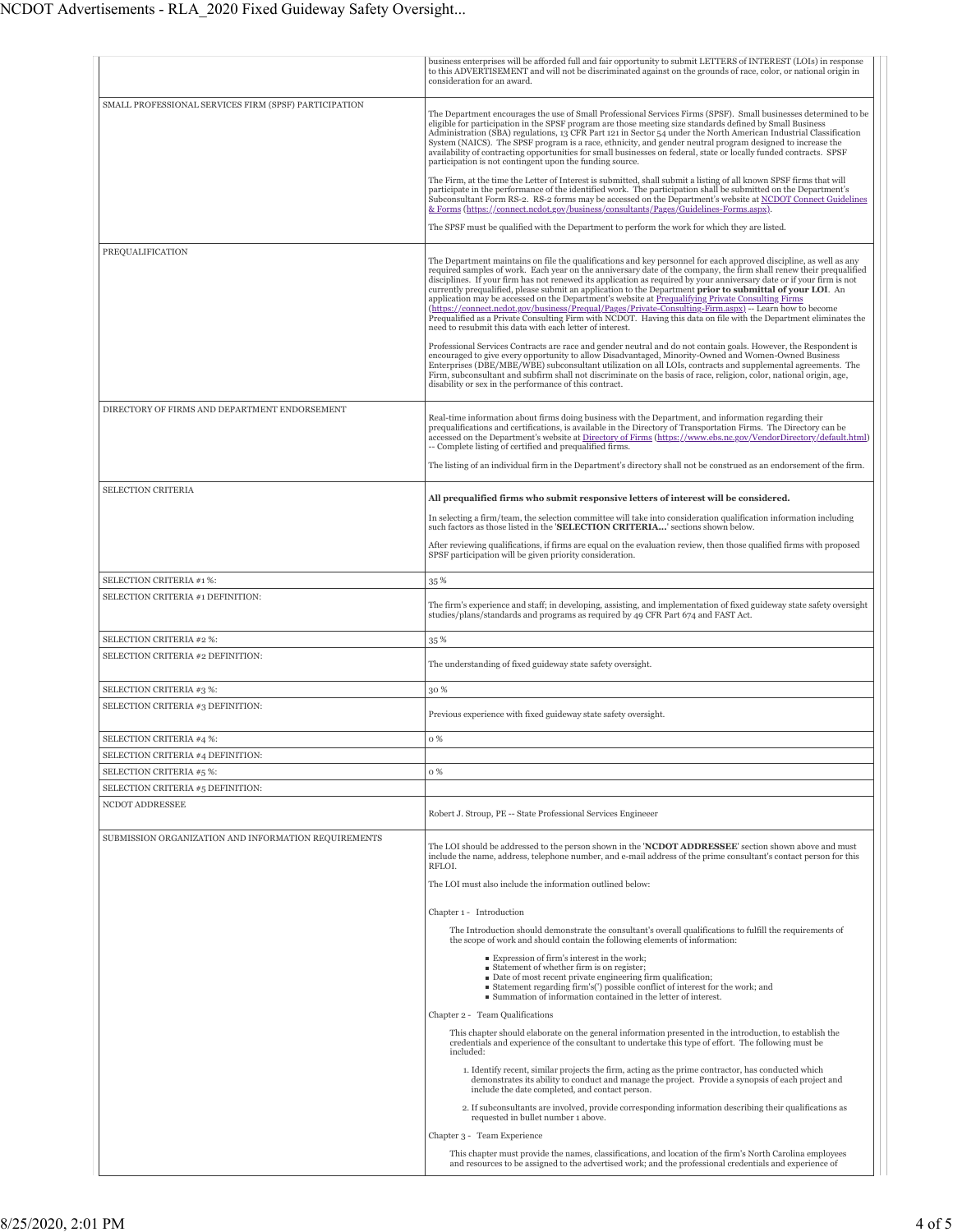|                                                       | business enterprises will be afforded full and fair opportunity to submit LETTERS of INTEREST (LOIs) in response<br>to this ADVERTISEMENT and will not be discriminated against on the grounds of race, color, or national origin in<br>consideration for an award.                                                                                                                                                                                                                                                                                                                                                                                                                                                                                                                                                                                                                                                                                                                                                                                                                                         |
|-------------------------------------------------------|-------------------------------------------------------------------------------------------------------------------------------------------------------------------------------------------------------------------------------------------------------------------------------------------------------------------------------------------------------------------------------------------------------------------------------------------------------------------------------------------------------------------------------------------------------------------------------------------------------------------------------------------------------------------------------------------------------------------------------------------------------------------------------------------------------------------------------------------------------------------------------------------------------------------------------------------------------------------------------------------------------------------------------------------------------------------------------------------------------------|
| SMALL PROFESSIONAL SERVICES FIRM (SPSF) PARTICIPATION | The Department encourages the use of Small Professional Services Firms (SPSF). Small businesses determined to be<br>eligible for participation in the SPSF program are those meeting size standards defined by Small Business<br>Administration (SBA) regulations, 13 CFR Part 121 in Sector 54 under the North American Industrial Classification<br>System (NAICS). The SPSF program is a race, ethnicity, and gender neutral program designed to increase the<br>availability of contracting opportunities for small businesses on federal, state or locally funded contracts. SPSF<br>participation is not contingent upon the funding source.                                                                                                                                                                                                                                                                                                                                                                                                                                                          |
|                                                       | The Firm, at the time the Letter of Interest is submitted, shall submit a listing of all known SPSF firms that will<br>participate in the performance of the identified work. The participation shall be submitted on the Department's<br>Subconsultant Form RS-2. RS-2 forms may be accessed on the Department's website at NCDOT Connect Guidelines<br>& Forms (https://connect.ncdot.gov/business/consultants/Pages/Guidelines-Forms.aspx).                                                                                                                                                                                                                                                                                                                                                                                                                                                                                                                                                                                                                                                              |
|                                                       | The SPSF must be qualified with the Department to perform the work for which they are listed.                                                                                                                                                                                                                                                                                                                                                                                                                                                                                                                                                                                                                                                                                                                                                                                                                                                                                                                                                                                                               |
| PREQUALIFICATION                                      | The Department maintains on file the qualifications and key personnel for each approved discipline, as well as any<br>required samples of work. Each year on the anniversary date of the company, the firm shall renew their prequalified<br>disciplines. If your firm has not renewed its application as required by your anniversary date or if your firm is not<br>currently prequalified, please submit an application to the Department prior to submittal of your LOI. An<br>application may be accessed on the Department's website at Prequalifying Private Consulting Firms<br>(https://connect.ncdot.gov/business/Prequal/Pages/Private-Consulting-Firm.aspx) -- Learn how to become<br>Prequalified as a Private Consulting Firm with NCDOT. Having this data on file with the Department eliminates the<br>need to resubmit this data with each letter of interest.<br>Professional Services Contracts are race and gender neutral and do not contain goals. However, the Respondent is<br>encouraged to give every opportunity to allow Disadvantaged, Minority-Owned and Women-Owned Business |
|                                                       | Enterprises (DBE/MBE/WBE) subconsultant utilization on all LOIs, contracts and supplemental agreements. The<br>Firm, subconsultant and subfirm shall not discriminate on the basis of race, religion, color, national origin, age,<br>disability or sex in the performance of this contract.                                                                                                                                                                                                                                                                                                                                                                                                                                                                                                                                                                                                                                                                                                                                                                                                                |
| DIRECTORY OF FIRMS AND DEPARTMENT ENDORSEMENT         | Real-time information about firms doing business with the Department, and information regarding their<br>prequalifications and certifications, is available in the Directory of Transportation Firms. The Directory can be<br>accessed on the Department's website at Directory of Firms (https://www.ebs.nc.gov/VendorDirectory/default.html)<br>-- Complete listing of certified and prequalified firms.                                                                                                                                                                                                                                                                                                                                                                                                                                                                                                                                                                                                                                                                                                  |
|                                                       | The listing of an individual firm in the Department's directory shall not be construed as an endorsement of the firm.                                                                                                                                                                                                                                                                                                                                                                                                                                                                                                                                                                                                                                                                                                                                                                                                                                                                                                                                                                                       |
| SELECTION CRITERIA                                    | All prequalified firms who submit responsive letters of interest will be considered.                                                                                                                                                                                                                                                                                                                                                                                                                                                                                                                                                                                                                                                                                                                                                                                                                                                                                                                                                                                                                        |
|                                                       | In selecting a firm/team, the selection committee will take into consideration qualification information including                                                                                                                                                                                                                                                                                                                                                                                                                                                                                                                                                                                                                                                                                                                                                                                                                                                                                                                                                                                          |
|                                                       | such factors as those listed in the 'SELECTION CRITERIA' sections shown below.<br>After reviewing qualifications, if firms are equal on the evaluation review, then those qualified firms with proposed                                                                                                                                                                                                                                                                                                                                                                                                                                                                                                                                                                                                                                                                                                                                                                                                                                                                                                     |
|                                                       | SPSF participation will be given priority consideration.                                                                                                                                                                                                                                                                                                                                                                                                                                                                                                                                                                                                                                                                                                                                                                                                                                                                                                                                                                                                                                                    |
| SELECTION CRITERIA #1 %:                              | 35 %                                                                                                                                                                                                                                                                                                                                                                                                                                                                                                                                                                                                                                                                                                                                                                                                                                                                                                                                                                                                                                                                                                        |
| SELECTION CRITERIA #1 DEFINITION:                     | The firm's experience and staff; in developing, assisting, and implementation of fixed guideway state safety oversight<br>studies/plans/standards and programs as required by 49 CFR Part 674 and FAST Act.                                                                                                                                                                                                                                                                                                                                                                                                                                                                                                                                                                                                                                                                                                                                                                                                                                                                                                 |
| SELECTION CRITERIA #2 %:                              | 35%                                                                                                                                                                                                                                                                                                                                                                                                                                                                                                                                                                                                                                                                                                                                                                                                                                                                                                                                                                                                                                                                                                         |
| SELECTION CRITERIA #2 DEFINITION:                     | The understanding of fixed guideway state safety oversight.                                                                                                                                                                                                                                                                                                                                                                                                                                                                                                                                                                                                                                                                                                                                                                                                                                                                                                                                                                                                                                                 |
| SELECTION CRITERIA #3 %:                              | 30 %                                                                                                                                                                                                                                                                                                                                                                                                                                                                                                                                                                                                                                                                                                                                                                                                                                                                                                                                                                                                                                                                                                        |
| SELECTION CRITERIA #3 DEFINITION:                     | Previous experience with fixed guideway state safety oversight.                                                                                                                                                                                                                                                                                                                                                                                                                                                                                                                                                                                                                                                                                                                                                                                                                                                                                                                                                                                                                                             |
| SELECTION CRITERIA #4 %:                              | 0%                                                                                                                                                                                                                                                                                                                                                                                                                                                                                                                                                                                                                                                                                                                                                                                                                                                                                                                                                                                                                                                                                                          |
| SELECTION CRITERIA #4 DEFINITION:                     |                                                                                                                                                                                                                                                                                                                                                                                                                                                                                                                                                                                                                                                                                                                                                                                                                                                                                                                                                                                                                                                                                                             |
| SELECTION CRITERIA #5 %:                              | 0%                                                                                                                                                                                                                                                                                                                                                                                                                                                                                                                                                                                                                                                                                                                                                                                                                                                                                                                                                                                                                                                                                                          |
| SELECTION CRITERIA #5 DEFINITION:                     |                                                                                                                                                                                                                                                                                                                                                                                                                                                                                                                                                                                                                                                                                                                                                                                                                                                                                                                                                                                                                                                                                                             |
| NCDOT ADDRESSEE                                       | Robert J. Stroup, PE -- State Professional Services Engineeer                                                                                                                                                                                                                                                                                                                                                                                                                                                                                                                                                                                                                                                                                                                                                                                                                                                                                                                                                                                                                                               |
| SUBMISSION ORGANIZATION AND INFORMATION REQUIREMENTS  | The LOI should be addressed to the person shown in the 'NCDOT ADDRESSEE' section shown above and must<br>include the name, address, telephone number, and e-mail address of the prime consultant's contact person for this<br>RFLOI.                                                                                                                                                                                                                                                                                                                                                                                                                                                                                                                                                                                                                                                                                                                                                                                                                                                                        |
|                                                       | The LOI must also include the information outlined below:                                                                                                                                                                                                                                                                                                                                                                                                                                                                                                                                                                                                                                                                                                                                                                                                                                                                                                                                                                                                                                                   |
|                                                       | Chapter 1 - Introduction                                                                                                                                                                                                                                                                                                                                                                                                                                                                                                                                                                                                                                                                                                                                                                                                                                                                                                                                                                                                                                                                                    |
|                                                       | The Introduction should demonstrate the consultant's overall qualifications to fulfill the requirements of<br>the scope of work and should contain the following elements of information:                                                                                                                                                                                                                                                                                                                                                                                                                                                                                                                                                                                                                                                                                                                                                                                                                                                                                                                   |
|                                                       | Expression of firm's interest in the work;<br>Statement of whether firm is on register;<br>Date of most recent private engineering firm qualification;<br>■ Statement regarding firm's(') possible conflict of interest for the work; and<br>■ Summation of information contained in the letter of interest.                                                                                                                                                                                                                                                                                                                                                                                                                                                                                                                                                                                                                                                                                                                                                                                                |
|                                                       | Chapter 2 - Team Qualifications                                                                                                                                                                                                                                                                                                                                                                                                                                                                                                                                                                                                                                                                                                                                                                                                                                                                                                                                                                                                                                                                             |
|                                                       | This chapter should elaborate on the general information presented in the introduction, to establish the<br>credentials and experience of the consultant to undertake this type of effort. The following must be<br>included:                                                                                                                                                                                                                                                                                                                                                                                                                                                                                                                                                                                                                                                                                                                                                                                                                                                                               |
|                                                       | 1. Identify recent, similar projects the firm, acting as the prime contractor, has conducted which<br>demonstrates its ability to conduct and manage the project. Provide a synopsis of each project and<br>include the date completed, and contact person.                                                                                                                                                                                                                                                                                                                                                                                                                                                                                                                                                                                                                                                                                                                                                                                                                                                 |
|                                                       | 2. If subconsultants are involved, provide corresponding information describing their qualifications as<br>requested in bullet number 1 above.<br>Chapter 3 - Team Experience                                                                                                                                                                                                                                                                                                                                                                                                                                                                                                                                                                                                                                                                                                                                                                                                                                                                                                                               |
|                                                       | This chapter must provide the names, classifications, and location of the firm's North Carolina employees                                                                                                                                                                                                                                                                                                                                                                                                                                                                                                                                                                                                                                                                                                                                                                                                                                                                                                                                                                                                   |
|                                                       | and resources to be assigned to the advertised work; and the professional credentials and experience of                                                                                                                                                                                                                                                                                                                                                                                                                                                                                                                                                                                                                                                                                                                                                                                                                                                                                                                                                                                                     |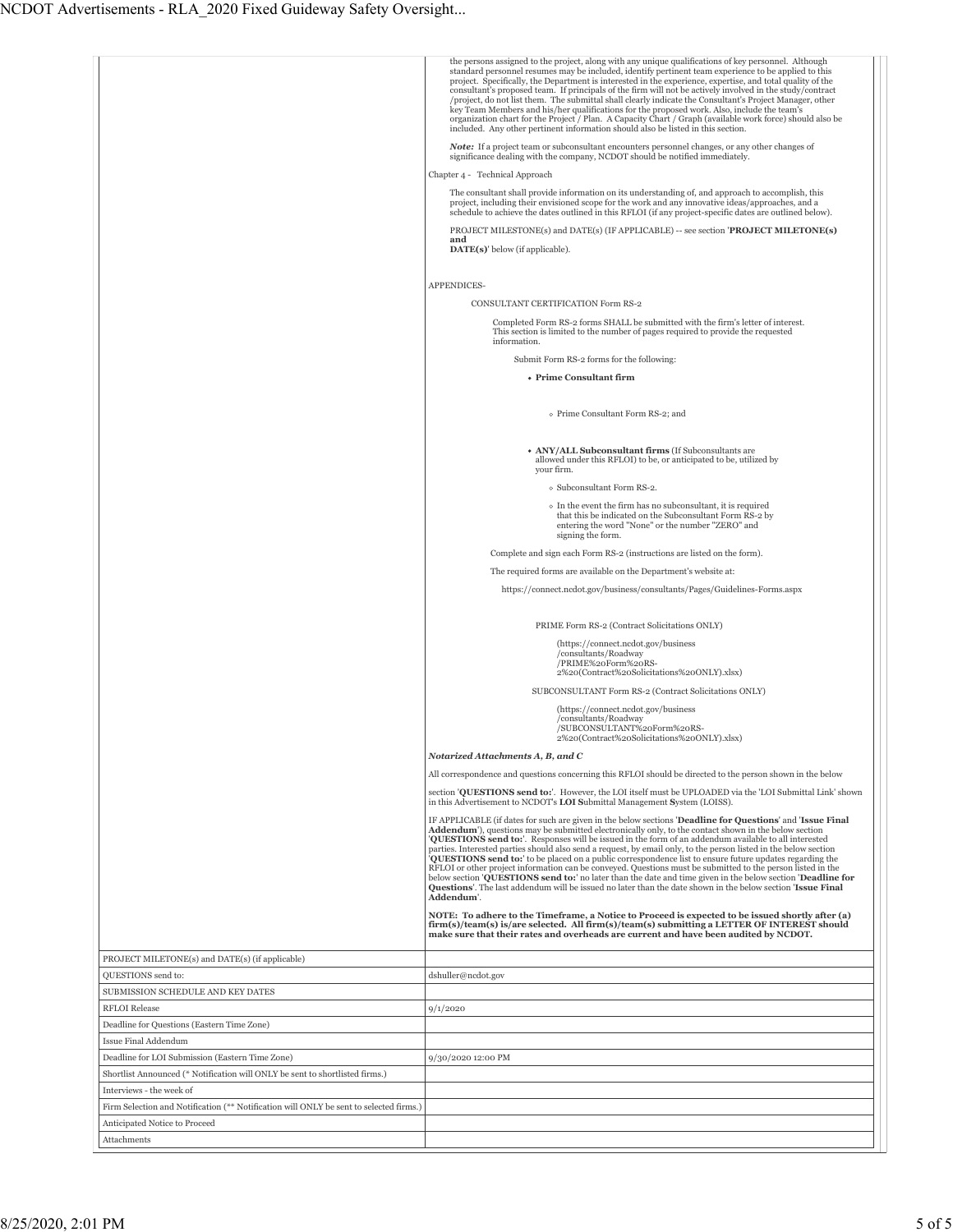|                                                                                        | the persons assigned to the project, along with any unique qualifications of key personnel. Although<br>standard personnel resumes may be included, identify pertinent team experience to be applied to this<br>project. Specifically, the Department is interested in the experience, expertise, and total quality of the<br>consultant's proposed team. If principals of the firm will not be actively involved in the study/contract<br>/project, do not list them. The submittal shall clearly indicate the Consultant's Project Manager, other<br>key Team Members and his/her qualifications for the proposed work. Also, include the team's<br>organization chart for the Project / Plan. A Capacity Chart / Graph (available work force) should also be<br>included. Any other pertinent information should also be listed in this section.<br>Note: If a project team or subconsultant encounters personnel changes, or any other changes of |
|----------------------------------------------------------------------------------------|-------------------------------------------------------------------------------------------------------------------------------------------------------------------------------------------------------------------------------------------------------------------------------------------------------------------------------------------------------------------------------------------------------------------------------------------------------------------------------------------------------------------------------------------------------------------------------------------------------------------------------------------------------------------------------------------------------------------------------------------------------------------------------------------------------------------------------------------------------------------------------------------------------------------------------------------------------|
|                                                                                        | significance dealing with the company, NCDOT should be notified immediately.<br>Chapter 4 - Technical Approach                                                                                                                                                                                                                                                                                                                                                                                                                                                                                                                                                                                                                                                                                                                                                                                                                                        |
|                                                                                        | The consultant shall provide information on its understanding of, and approach to accomplish, this<br>project, including their envisioned scope for the work and any innovative ideas/approaches, and a<br>schedule to achieve the dates outlined in this RFLOI (if any project-specific dates are outlined below).<br>PROJECT MILESTONE(s) and DATE(s) (IF APPLICABLE) -- see section 'PROJECT MILETONE(s)                                                                                                                                                                                                                                                                                                                                                                                                                                                                                                                                           |
|                                                                                        | and<br>DATE(s)' below (if applicable).                                                                                                                                                                                                                                                                                                                                                                                                                                                                                                                                                                                                                                                                                                                                                                                                                                                                                                                |
|                                                                                        | APPENDICES-                                                                                                                                                                                                                                                                                                                                                                                                                                                                                                                                                                                                                                                                                                                                                                                                                                                                                                                                           |
|                                                                                        | CONSULTANT CERTIFICATION Form RS-2                                                                                                                                                                                                                                                                                                                                                                                                                                                                                                                                                                                                                                                                                                                                                                                                                                                                                                                    |
|                                                                                        | Completed Form RS-2 forms SHALL be submitted with the firm's letter of interest.<br>This section is limited to the number of pages required to provide the requested<br>information.                                                                                                                                                                                                                                                                                                                                                                                                                                                                                                                                                                                                                                                                                                                                                                  |
|                                                                                        | Submit Form RS-2 forms for the following:                                                                                                                                                                                                                                                                                                                                                                                                                                                                                                                                                                                                                                                                                                                                                                                                                                                                                                             |
|                                                                                        | • Prime Consultant firm                                                                                                                                                                                                                                                                                                                                                                                                                                                                                                                                                                                                                                                                                                                                                                                                                                                                                                                               |
|                                                                                        | o Prime Consultant Form RS-2; and                                                                                                                                                                                                                                                                                                                                                                                                                                                                                                                                                                                                                                                                                                                                                                                                                                                                                                                     |
|                                                                                        | • ANY/ALL Subconsultant firms (If Subconsultants are<br>allowed under this RFLOI) to be, or anticipated to be, utilized by<br>vour firm.                                                                                                                                                                                                                                                                                                                                                                                                                                                                                                                                                                                                                                                                                                                                                                                                              |
|                                                                                        | o Subconsultant Form RS-2.                                                                                                                                                                                                                                                                                                                                                                                                                                                                                                                                                                                                                                                                                                                                                                                                                                                                                                                            |
|                                                                                        | • In the event the firm has no subconsultant, it is required<br>that this be indicated on the Subconsultant Form RS-2 by<br>entering the word "None" or the number "ZERO" and<br>signing the form.                                                                                                                                                                                                                                                                                                                                                                                                                                                                                                                                                                                                                                                                                                                                                    |
|                                                                                        | Complete and sign each Form RS-2 (instructions are listed on the form).                                                                                                                                                                                                                                                                                                                                                                                                                                                                                                                                                                                                                                                                                                                                                                                                                                                                               |
|                                                                                        | The required forms are available on the Department's website at:                                                                                                                                                                                                                                                                                                                                                                                                                                                                                                                                                                                                                                                                                                                                                                                                                                                                                      |
|                                                                                        | https://connect.ncdot.gov/business/consultants/Pages/Guidelines-Forms.aspx                                                                                                                                                                                                                                                                                                                                                                                                                                                                                                                                                                                                                                                                                                                                                                                                                                                                            |
|                                                                                        |                                                                                                                                                                                                                                                                                                                                                                                                                                                                                                                                                                                                                                                                                                                                                                                                                                                                                                                                                       |
|                                                                                        | PRIME Form RS-2 (Contract Solicitations ONLY)                                                                                                                                                                                                                                                                                                                                                                                                                                                                                                                                                                                                                                                                                                                                                                                                                                                                                                         |
|                                                                                        | (https://connect.ncdot.gov/business<br>/consultants/Roadway<br>/PRIME%20Form%20RS-<br>2%20(Contract%20Solicitations%20ONLY).xlsx)                                                                                                                                                                                                                                                                                                                                                                                                                                                                                                                                                                                                                                                                                                                                                                                                                     |
|                                                                                        | SUBCONSULTANT Form RS-2 (Contract Solicitations ONLY)                                                                                                                                                                                                                                                                                                                                                                                                                                                                                                                                                                                                                                                                                                                                                                                                                                                                                                 |
|                                                                                        | (https://connect.ncdot.gov/business<br>/consultants/Roadway<br>/SUBCONSULTANT%20Form%20RS-                                                                                                                                                                                                                                                                                                                                                                                                                                                                                                                                                                                                                                                                                                                                                                                                                                                            |
|                                                                                        | 2%20(Contract%20Solicitations%20ONLY).xlsx)                                                                                                                                                                                                                                                                                                                                                                                                                                                                                                                                                                                                                                                                                                                                                                                                                                                                                                           |
|                                                                                        | Notarized Attachments A, B, and C                                                                                                                                                                                                                                                                                                                                                                                                                                                                                                                                                                                                                                                                                                                                                                                                                                                                                                                     |
|                                                                                        | All correspondence and questions concerning this RFLOI should be directed to the person shown in the below                                                                                                                                                                                                                                                                                                                                                                                                                                                                                                                                                                                                                                                                                                                                                                                                                                            |
|                                                                                        | section 'OUESTIONS send to:'. However, the LOI itself must be UPLOADED via the 'LOI Submittal Link' shown<br>in this Advertisement to NCDOT's LOI Submittal Management System (LOISS).                                                                                                                                                                                                                                                                                                                                                                                                                                                                                                                                                                                                                                                                                                                                                                |
|                                                                                        | IF APPLICABLE (if dates for such are given in the below sections 'Deadline for Questions' and 'Issue Final<br>Addendum'), questions may be submitted electronically only, to the contact shown in the below section<br>'QUESTIONS send to:'. Responses will be issued in the form of an addendum available to all interested<br>parties. Interested parties should also send a request, by email only, to the person listed in the below section<br>QUESTIONS send to: to be placed on a public correspondence list to ensure future updates regarding the<br>RFLOI or other project information can be conveyed. Questions must be submitted to the person listed in the<br>below section 'QUESTIONS send to: no later than the date and time given in the below section 'Deadline for<br>Questions'. The last addendum will be issued no later than the date shown in the below section 'Issue Final<br>Addendum'.                                  |
|                                                                                        | NOTE: To adhere to the Timeframe, a Notice to Proceed is expected to be issued shortly after (a)<br>firm(s)/team(s) is/are selected. All firm(s)/team(s) submitting a LETTER OF INTEREST should<br>make sure that their rates and overheads are current and have been audited by NCDOT.                                                                                                                                                                                                                                                                                                                                                                                                                                                                                                                                                                                                                                                               |
| PROJECT MILETONE(s) and DATE(s) (if applicable)                                        |                                                                                                                                                                                                                                                                                                                                                                                                                                                                                                                                                                                                                                                                                                                                                                                                                                                                                                                                                       |
| QUESTIONS send to:                                                                     | dshuller@ncdot.gov                                                                                                                                                                                                                                                                                                                                                                                                                                                                                                                                                                                                                                                                                                                                                                                                                                                                                                                                    |
| SUBMISSION SCHEDULE AND KEY DATES                                                      |                                                                                                                                                                                                                                                                                                                                                                                                                                                                                                                                                                                                                                                                                                                                                                                                                                                                                                                                                       |
| <b>RFLOI</b> Release                                                                   | 9/1/2020                                                                                                                                                                                                                                                                                                                                                                                                                                                                                                                                                                                                                                                                                                                                                                                                                                                                                                                                              |
| Deadline for Questions (Eastern Time Zone)                                             |                                                                                                                                                                                                                                                                                                                                                                                                                                                                                                                                                                                                                                                                                                                                                                                                                                                                                                                                                       |
| Issue Final Addendum<br>Deadline for LOI Submission (Eastern Time Zone)                | 9/30/2020 12:00 PM                                                                                                                                                                                                                                                                                                                                                                                                                                                                                                                                                                                                                                                                                                                                                                                                                                                                                                                                    |
| Shortlist Announced (* Notification will ONLY be sent to shortlisted firms.)           |                                                                                                                                                                                                                                                                                                                                                                                                                                                                                                                                                                                                                                                                                                                                                                                                                                                                                                                                                       |
| Interviews - the week of                                                               |                                                                                                                                                                                                                                                                                                                                                                                                                                                                                                                                                                                                                                                                                                                                                                                                                                                                                                                                                       |
| Firm Selection and Notification (** Notification will ONLY be sent to selected firms.) |                                                                                                                                                                                                                                                                                                                                                                                                                                                                                                                                                                                                                                                                                                                                                                                                                                                                                                                                                       |
| Anticipated Notice to Proceed                                                          |                                                                                                                                                                                                                                                                                                                                                                                                                                                                                                                                                                                                                                                                                                                                                                                                                                                                                                                                                       |
| Attachments                                                                            |                                                                                                                                                                                                                                                                                                                                                                                                                                                                                                                                                                                                                                                                                                                                                                                                                                                                                                                                                       |
|                                                                                        |                                                                                                                                                                                                                                                                                                                                                                                                                                                                                                                                                                                                                                                                                                                                                                                                                                                                                                                                                       |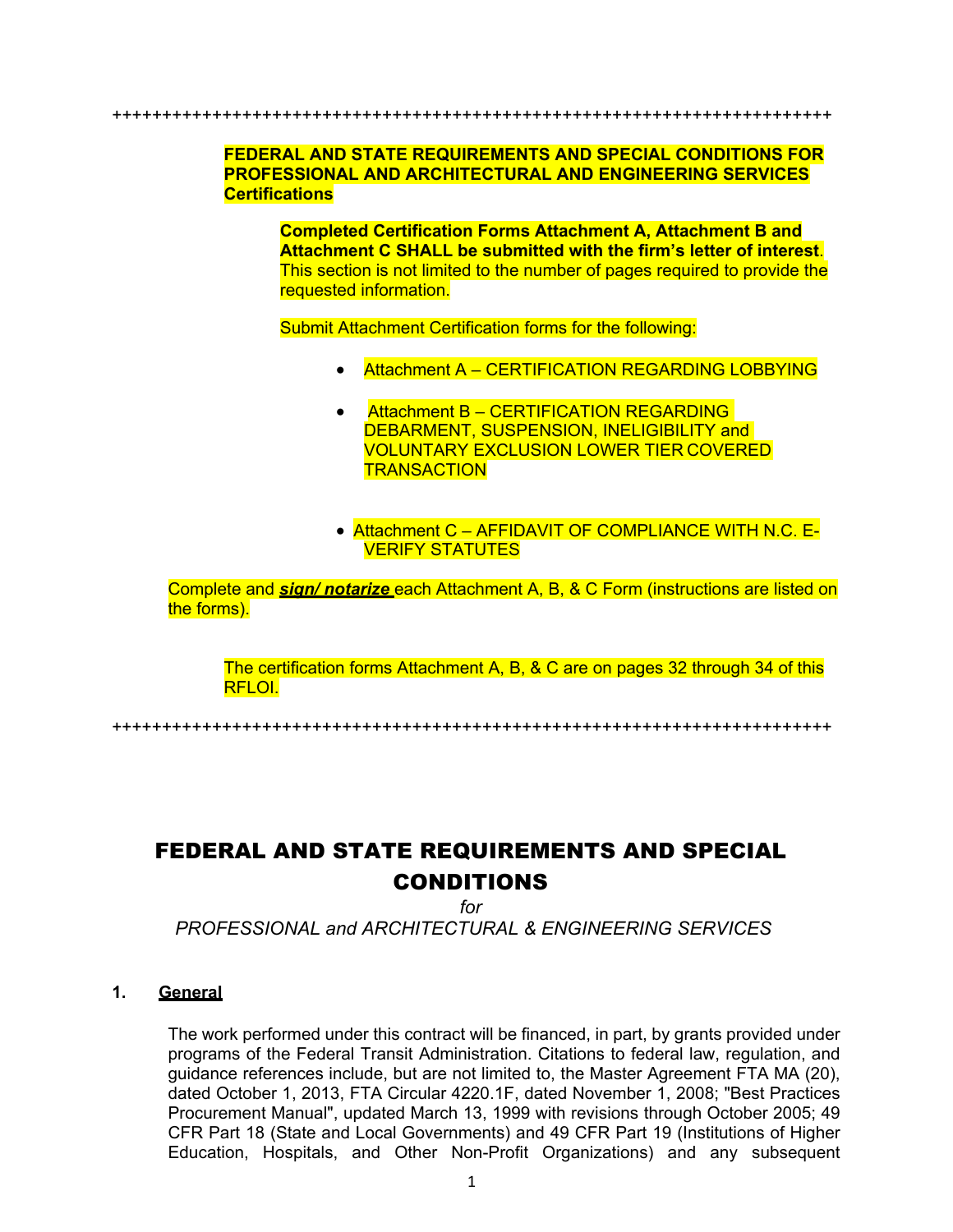++++++++++++++++++++++++++++++++++++++++++++++++++++++++++++++++++++++++

### **FEDERAL AND STATE REQUIREMENTS AND SPECIAL CONDITIONS FOR PROFESSIONAL AND ARCHITECTURAL AND ENGINEERING SERVICES Certifications**

**Completed Certification Forms Attachment A, Attachment B and Attachment C SHALL be submitted with the firm's letter of interest**. This section is not limited to the number of pages required to provide the requested information.

Submit Attachment Certification forms for the following:

- Attachment A CERTIFICATION REGARDING LOBBYING
- Attachment B CERTIFICATION REGARDING DEBARMENT, SUSPENSION, INELIGIBILITY and VOLUNTARY EXCLUSION LOWER TIER COVERED **TRANSACTION**
- Attachment C AFFIDAVIT OF COMPLIANCE WITH N.C. E-VERIFY STATUTES

Complete and *sign/ notarize* each Attachment A, B, & C Form (instructions are listed on the forms).

The certification forms Attachment A, B, & C are on pages 32 through 34 of this RFLOI.

++++++++++++++++++++++++++++++++++++++++++++++++++++++++++++++++++++++++

# FEDERAL AND STATE REQUIREMENTS AND SPECIAL CONDITIONS

*for*

*PROFESSIONAL and ARCHITECTURAL & ENGINEERING SERVICES*

### **1. General**

The work performed under this contract will be financed, in part, by grants provided under programs of the Federal Transit Administration. Citations to federal law, regulation, and guidance references include, but are not limited to, the Master Agreement FTA MA (20), dated October 1, 2013, FTA Circular 4220.1F, dated November 1, 2008; "Best Practices Procurement Manual", updated March 13, 1999 with revisions through October 2005; 49 CFR Part 18 (State and Local Governments) and 49 CFR Part 19 (Institutions of Higher Education, Hospitals, and Other Non-Profit Organizations) and any subsequent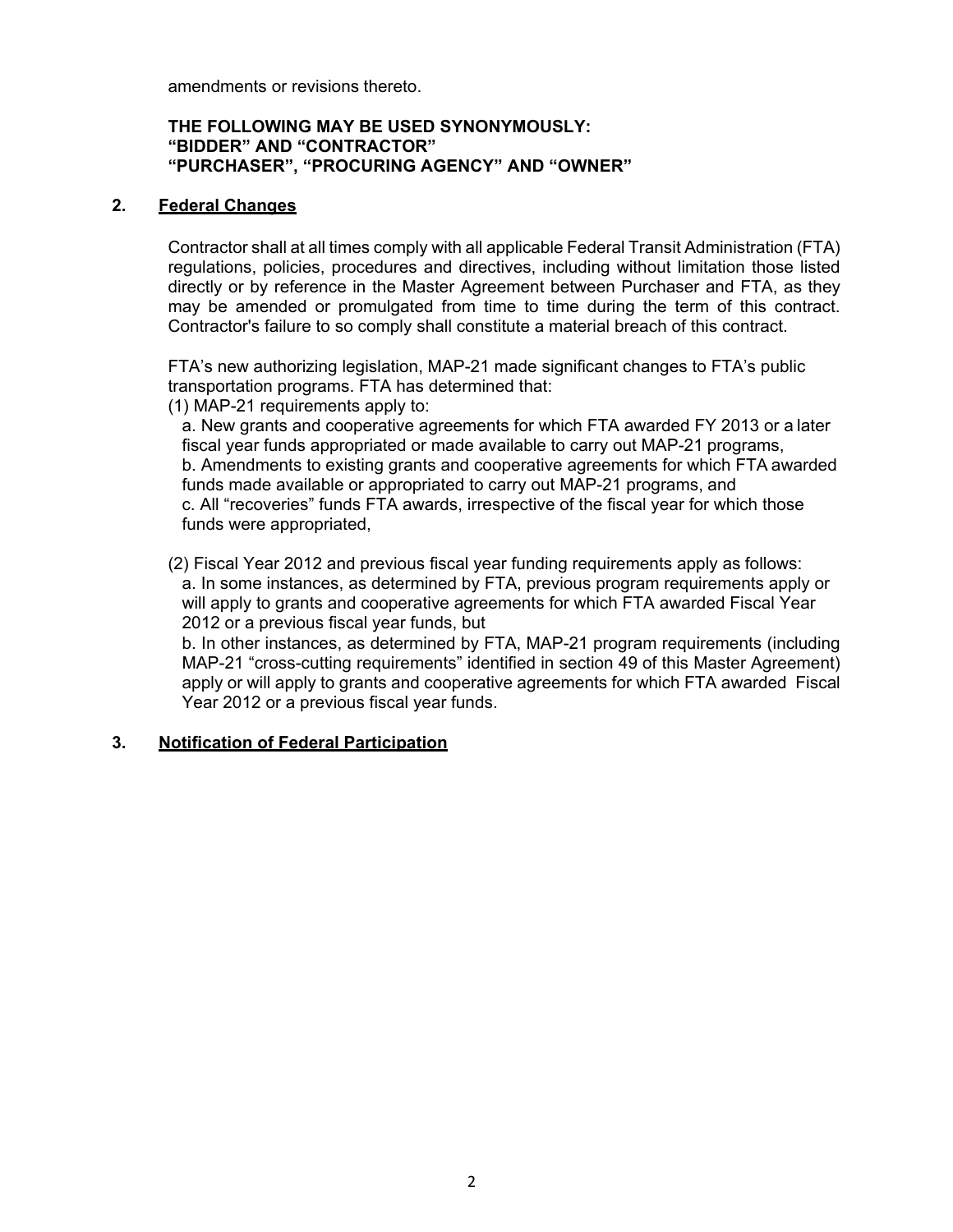amendments or revisions thereto.

#### **THE FOLLOWING MAY BE USED SYNONYMOUSLY: "BIDDER" AND "CONTRACTOR" "PURCHASER", "PROCURING AGENCY" AND "OWNER"**

### **2. Federal Changes**

Contractor shall at all times comply with all applicable Federal Transit Administration (FTA) regulations, policies, procedures and directives, including without limitation those listed directly or by reference in the Master Agreement between Purchaser and FTA, as they may be amended or promulgated from time to time during the term of this contract. Contractor's failure to so comply shall constitute a material breach of this contract.

FTA's new authorizing legislation, MAP-21 made significant changes to FTA's public transportation programs. FTA has determined that:

(1) MAP-21 requirements apply to:

a. New grants and cooperative agreements for which FTA awarded FY 2013 or a later fiscal year funds appropriated or made available to carry out MAP-21 programs, b. Amendments to existing grants and cooperative agreements for which FTA awarded funds made available or appropriated to carry out MAP-21 programs, and c. All "recoveries" funds FTA awards, irrespective of the fiscal year for which those funds were appropriated,

(2) Fiscal Year 2012 and previous fiscal year funding requirements apply as follows: a. In some instances, as determined by FTA, previous program requirements apply or will apply to grants and cooperative agreements for which FTA awarded Fiscal Year 2012 or a previous fiscal year funds, but

b. In other instances, as determined by FTA, MAP-21 program requirements (including MAP-21 "cross-cutting requirements" identified in section 49 of this Master Agreement) apply or will apply to grants and cooperative agreements for which FTA awarded Fiscal Year 2012 or a previous fiscal year funds.

# **3. Notification of Federal Participation**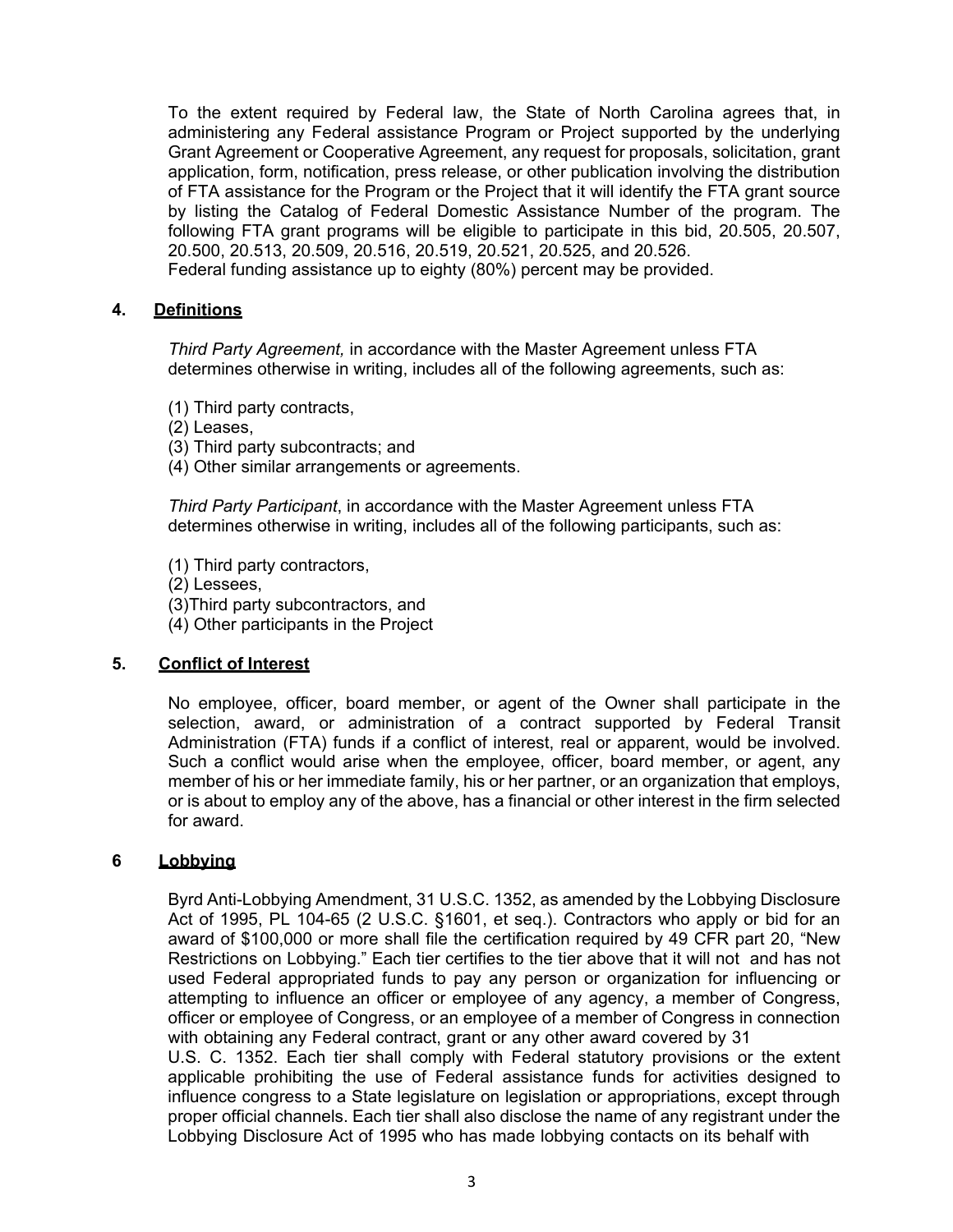To the extent required by Federal law, the State of North Carolina agrees that, in administering any Federal assistance Program or Project supported by the underlying Grant Agreement or Cooperative Agreement, any request for proposals, solicitation, grant application, form, notification, press release, or other publication involving the distribution of FTA assistance for the Program or the Project that it will identify the FTA grant source by listing the Catalog of Federal Domestic Assistance Number of the program. The following FTA grant programs will be eligible to participate in this bid, 20.505, 20.507, 20.500, 20.513, 20.509, 20.516, 20.519, 20.521, 20.525, and 20.526. Federal funding assistance up to eighty (80%) percent may be provided.

### **4. Definitions**

*Third Party Agreement,* in accordance with the Master Agreement unless FTA determines otherwise in writing, includes all of the following agreements, such as:

- (1) Third party contracts,
- (2) Leases,
- (3) Third party subcontracts; and
- (4) Other similar arrangements or agreements.

*Third Party Participant*, in accordance with the Master Agreement unless FTA determines otherwise in writing, includes all of the following participants, such as:

- (1) Third party contractors,
- (2) Lessees,
- (3)Third party subcontractors, and
- (4) Other participants in the Project

# **5. Conflict of Interest**

No employee, officer, board member, or agent of the Owner shall participate in the selection, award, or administration of a contract supported by Federal Transit Administration (FTA) funds if a conflict of interest, real or apparent, would be involved. Such a conflict would arise when the employee, officer, board member, or agent, any member of his or her immediate family, his or her partner, or an organization that employs, or is about to employ any of the above, has a financial or other interest in the firm selected for award.

#### **6 Lobbying**

Byrd Anti-Lobbying Amendment, 31 U.S.C. 1352, as amended by the Lobbying Disclosure Act of 1995, PL 104-65 (2 U.S.C. §1601, et seq.). Contractors who apply or bid for an award of \$100,000 or more shall file the certification required by 49 CFR part 20, "New Restrictions on Lobbying." Each tier certifies to the tier above that it will not and has not used Federal appropriated funds to pay any person or organization for influencing or attempting to influence an officer or employee of any agency, a member of Congress, officer or employee of Congress, or an employee of a member of Congress in connection with obtaining any Federal contract, grant or any other award covered by 31 U.S. C. 1352. Each tier shall comply with Federal statutory provisions or the extent applicable prohibiting the use of Federal assistance funds for activities designed to influence congress to a State legislature on legislation or appropriations, except through proper official channels. Each tier shall also disclose the name of any registrant under the Lobbying Disclosure Act of 1995 who has made lobbying contacts on its behalf with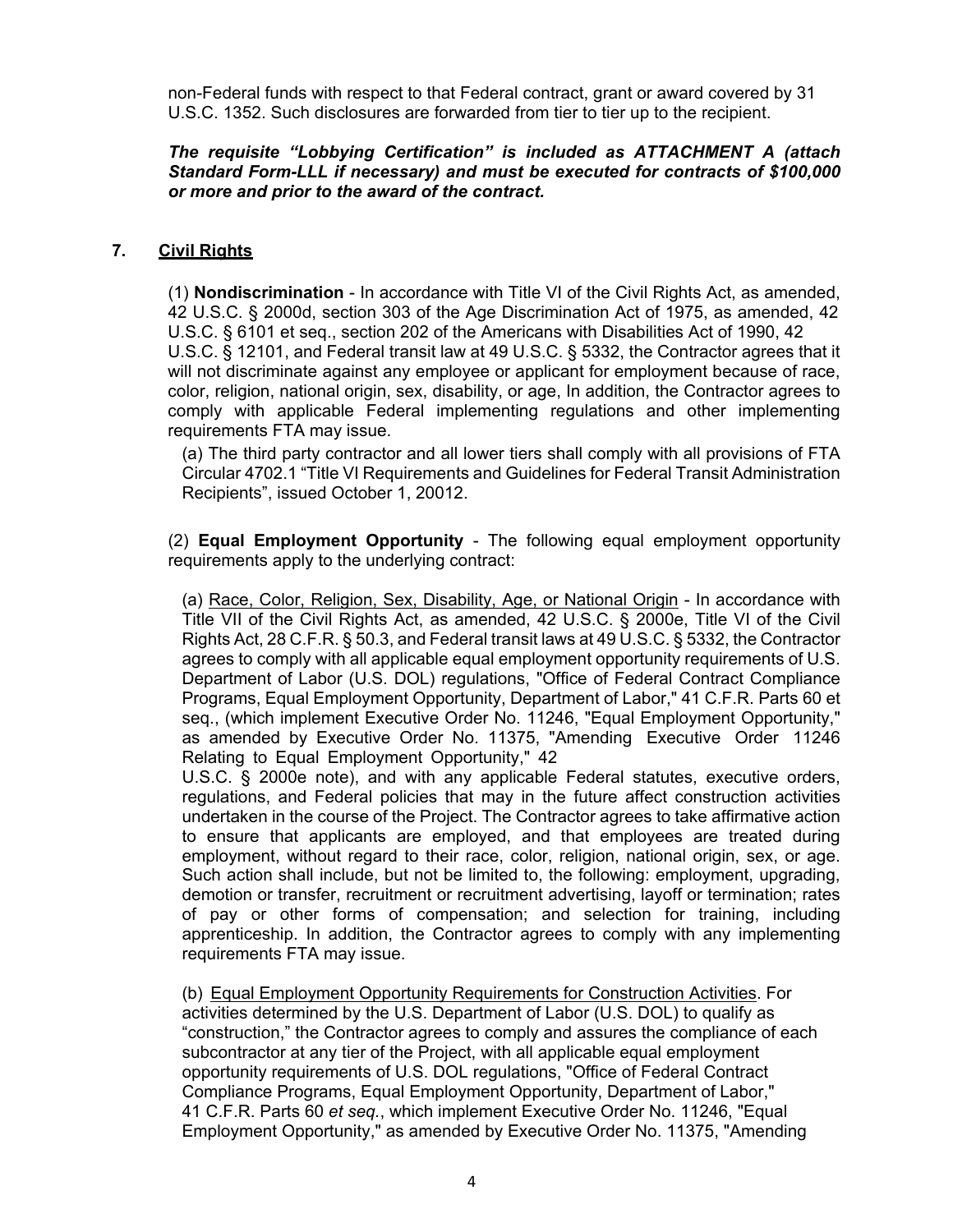non-Federal funds with respect to that Federal contract, grant or award covered by 31 U.S.C. 1352. Such disclosures are forwarded from tier to tier up to the recipient.

### *The requisite "Lobbying Certification" is included as ATTACHMENT A (attach Standard Form-LLL if necessary) and must be executed for contracts of \$100,000 or more and prior to the award of the contract.*

### **7. Civil Rights**

(1) **Nondiscrimination** - In accordance with Title VI of the Civil Rights Act, as amended, 42 U.S.C. § 2000d, section 303 of the Age Discrimination Act of 1975, as amended, 42 U.S.C. § 6101 et seq., section 202 of the Americans with Disabilities Act of 1990, 42 U.S.C. § 12101, and Federal transit law at 49 U.S.C. § 5332, the Contractor agrees that it will not discriminate against any employee or applicant for employment because of race, color, religion, national origin, sex, disability, or age, In addition, the Contractor agrees to comply with applicable Federal implementing regulations and other implementing requirements FTA may issue.

(a) The third party contractor and all lower tiers shall comply with all provisions of FTA Circular 4702.1 "Title VI Requirements and Guidelines for Federal Transit Administration Recipients", issued October 1, 20012.

(2) **Equal Employment Opportunity** - The following equal employment opportunity requirements apply to the underlying contract:

(a) Race, Color, Religion, Sex, Disability, Age, or National Origin - In accordance with Title VII of the Civil Rights Act, as amended, 42 U.S.C. § 2000e, Title VI of the Civil Rights Act, 28 C.F.R. § 50.3, and Federal transit laws at 49 U.S.C. § 5332, the Contractor agrees to comply with all applicable equal employment opportunity requirements of U.S. Department of Labor (U.S. DOL) regulations, "Office of Federal Contract Compliance Programs, Equal Employment Opportunity, Department of Labor," 41 C.F.R. Parts 60 et seq., (which implement Executive Order No. 11246, "Equal Employment Opportunity," as amended by Executive Order No. 11375, "Amending Executive Order 11246 Relating to Equal Employment Opportunity," 42

U.S.C. § 2000e note), and with any applicable Federal statutes, executive orders, regulations, and Federal policies that may in the future affect construction activities undertaken in the course of the Project. The Contractor agrees to take affirmative action to ensure that applicants are employed, and that employees are treated during employment, without regard to their race, color, religion, national origin, sex, or age. Such action shall include, but not be limited to, the following: employment, upgrading, demotion or transfer, recruitment or recruitment advertising, layoff or termination; rates of pay or other forms of compensation; and selection for training, including apprenticeship. In addition, the Contractor agrees to comply with any implementing requirements FTA may issue.

(b) Equal Employment Opportunity Requirements for Construction Activities. For activities determined by the U.S. Department of Labor (U.S. DOL) to qualify as "construction," the Contractor agrees to comply and assures the compliance of each subcontractor at any tier of the Project, with all applicable equal employment opportunity requirements of U.S. DOL regulations, "Office of Federal Contract Compliance Programs, Equal Employment Opportunity, Department of Labor," 41 C.F.R. Parts 60 *et seq.*, which implement Executive Order No. 11246, "Equal Employment Opportunity," as amended by Executive Order No. 11375, "Amending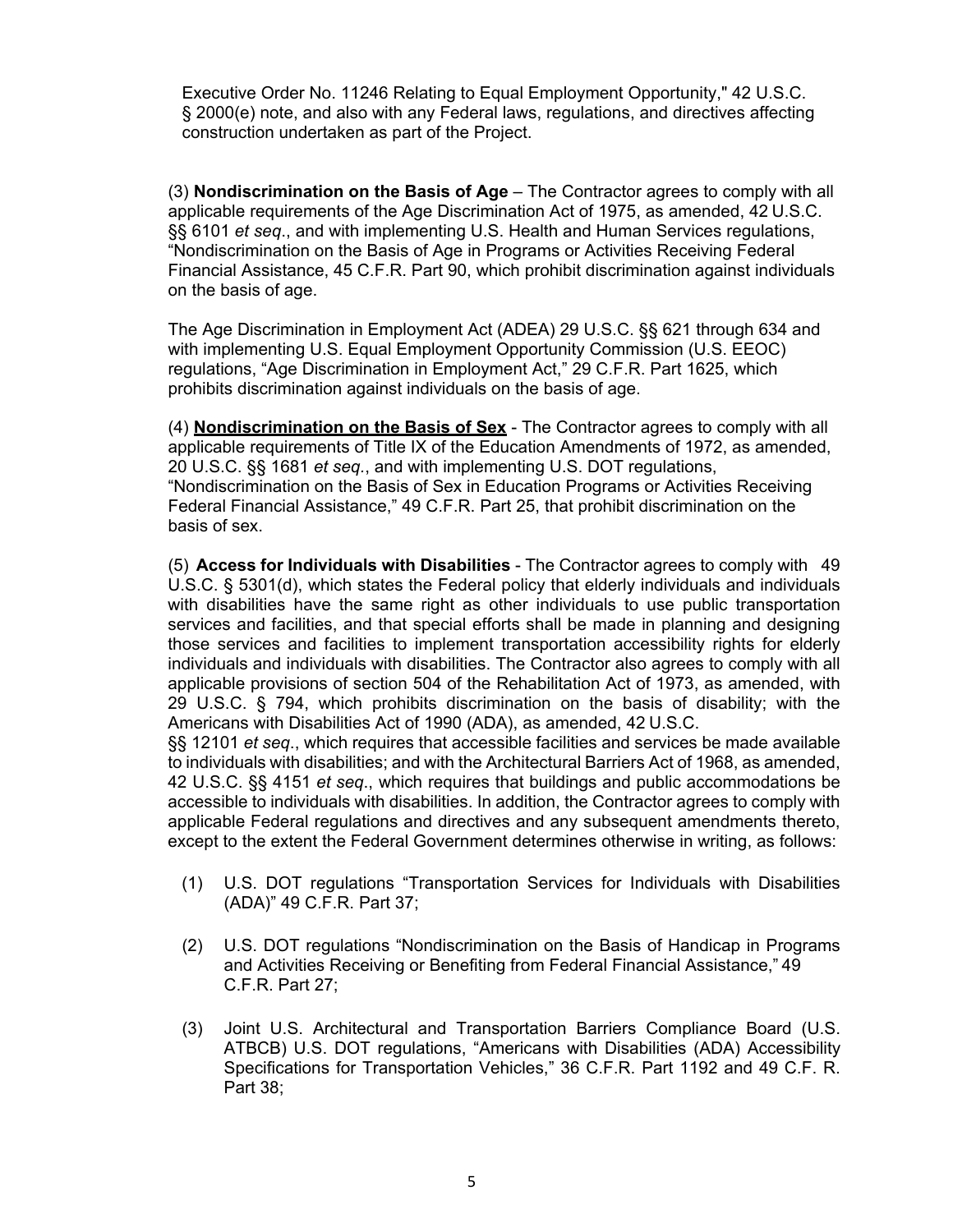Executive Order No. 11246 Relating to Equal Employment Opportunity," 42 U.S.C. § 2000(e) note, and also with any Federal laws, regulations, and directives affecting construction undertaken as part of the Project.

(3) **Nondiscrimination on the Basis of Age** – The Contractor agrees to comply with all applicable requirements of the Age Discrimination Act of 1975, as amended, 42 U.S.C. §§ 6101 *et seq*., and with implementing U.S. Health and Human Services regulations, "Nondiscrimination on the Basis of Age in Programs or Activities Receiving Federal Financial Assistance, 45 C.F.R. Part 90, which prohibit discrimination against individuals on the basis of age.

The Age Discrimination in Employment Act (ADEA) 29 U.S.C. §§ 621 through 634 and with implementing U.S. Equal Employment Opportunity Commission (U.S. EEOC) regulations, "Age Discrimination in Employment Act," 29 C.F.R. Part 1625, which prohibits discrimination against individuals on the basis of age.

(4) **Nondiscrimination on the Basis of Sex** - The Contractor agrees to comply with all applicable requirements of Title IX of the Education Amendments of 1972, as amended, 20 U.S.C. §§ 1681 *et seq.*, and with implementing U.S. DOT regulations, "Nondiscrimination on the Basis of Sex in Education Programs or Activities Receiving Federal Financial Assistance," 49 C.F.R. Part 25, that prohibit discrimination on the basis of sex.

(5) **Access for Individuals with Disabilities** - The Contractor agrees to comply with 49 U.S.C. § 5301(d), which states the Federal policy that elderly individuals and individuals with disabilities have the same right as other individuals to use public transportation services and facilities, and that special efforts shall be made in planning and designing those services and facilities to implement transportation accessibility rights for elderly individuals and individuals with disabilities. The Contractor also agrees to comply with all applicable provisions of section 504 of the Rehabilitation Act of 1973, as amended, with 29 U.S.C. § 794, which prohibits discrimination on the basis of disability; with the Americans with Disabilities Act of 1990 (ADA), as amended, 42 U.S.C.

§§ 12101 *et seq*., which requires that accessible facilities and services be made available to individuals with disabilities; and with the Architectural Barriers Act of 1968, as amended, 42 U.S.C. §§ 4151 *et seq*., which requires that buildings and public accommodations be accessible to individuals with disabilities. In addition, the Contractor agrees to comply with applicable Federal regulations and directives and any subsequent amendments thereto, except to the extent the Federal Government determines otherwise in writing, as follows:

- (1) U.S. DOT regulations "Transportation Services for Individuals with Disabilities (ADA)" 49 C.F.R. Part 37;
- (2) U.S. DOT regulations "Nondiscrimination on the Basis of Handicap in Programs and Activities Receiving or Benefiting from Federal Financial Assistance," 49 C.F.R. Part 27;
- (3) Joint U.S. Architectural and Transportation Barriers Compliance Board (U.S. ATBCB) U.S. DOT regulations, "Americans with Disabilities (ADA) Accessibility Specifications for Transportation Vehicles," 36 C.F.R. Part 1192 and 49 C.F. R. Part 38;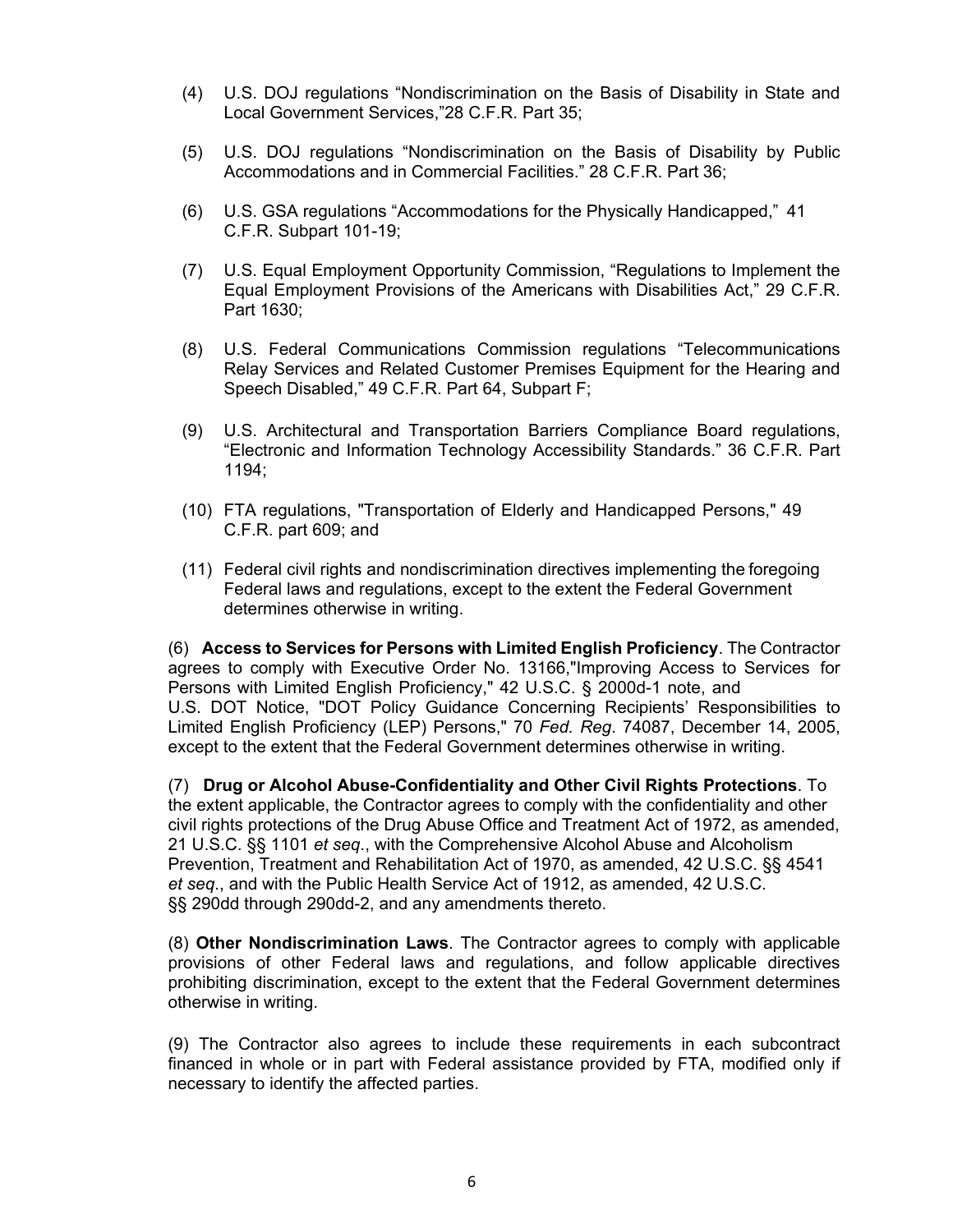- (4) U.S. DOJ regulations "Nondiscrimination on the Basis of Disability in State and Local Government Services,"28 C.F.R. Part 35;
- (5) U.S. DOJ regulations "Nondiscrimination on the Basis of Disability by Public Accommodations and in Commercial Facilities." 28 C.F.R. Part 36;
- (6) U.S. GSA regulations "Accommodations for the Physically Handicapped," 41 C.F.R. Subpart 101-19;
- (7) U.S. Equal Employment Opportunity Commission, "Regulations to Implement the Equal Employment Provisions of the Americans with Disabilities Act," 29 C.F.R. Part 1630;
- (8) U.S. Federal Communications Commission regulations "Telecommunications Relay Services and Related Customer Premises Equipment for the Hearing and Speech Disabled," 49 C.F.R. Part 64, Subpart F;
- (9) U.S. Architectural and Transportation Barriers Compliance Board regulations, "Electronic and Information Technology Accessibility Standards." 36 C.F.R. Part 1194;
- (10) FTA regulations, "Transportation of Elderly and Handicapped Persons," 49 C.F.R. part 609; and
- (11) Federal civil rights and nondiscrimination directives implementing the foregoing Federal laws and regulations, except to the extent the Federal Government determines otherwise in writing.

(6) **Access to Services for Persons with Limited English Proficiency**. The Contractor agrees to comply with Executive Order No. 13166,"Improving Access to Services for Persons with Limited English Proficiency," 42 U.S.C. § 2000d-1 note, and U.S. DOT Notice, "DOT Policy Guidance Concerning Recipients' Responsibilities to Limited English Proficiency (LEP) Persons," 70 *Fed. Reg*. 74087, December 14, 2005, except to the extent that the Federal Government determines otherwise in writing.

(7) **Drug or Alcohol Abuse-Confidentiality and Other Civil Rights Protections**. To the extent applicable, the Contractor agrees to comply with the confidentiality and other civil rights protections of the Drug Abuse Office and Treatment Act of 1972, as amended, 21 U.S.C. §§ 1101 *et seq*., with the Comprehensive Alcohol Abuse and Alcoholism Prevention, Treatment and Rehabilitation Act of 1970, as amended, 42 U.S.C. §§ 4541 *et seq*., and with the Public Health Service Act of 1912, as amended, 42 U.S.C. §§ 290dd through 290dd-2, and any amendments thereto.

(8) **Other Nondiscrimination Laws**. The Contractor agrees to comply with applicable provisions of other Federal laws and regulations, and follow applicable directives prohibiting discrimination, except to the extent that the Federal Government determines otherwise in writing.

(9) The Contractor also agrees to include these requirements in each subcontract financed in whole or in part with Federal assistance provided by FTA, modified only if necessary to identify the affected parties.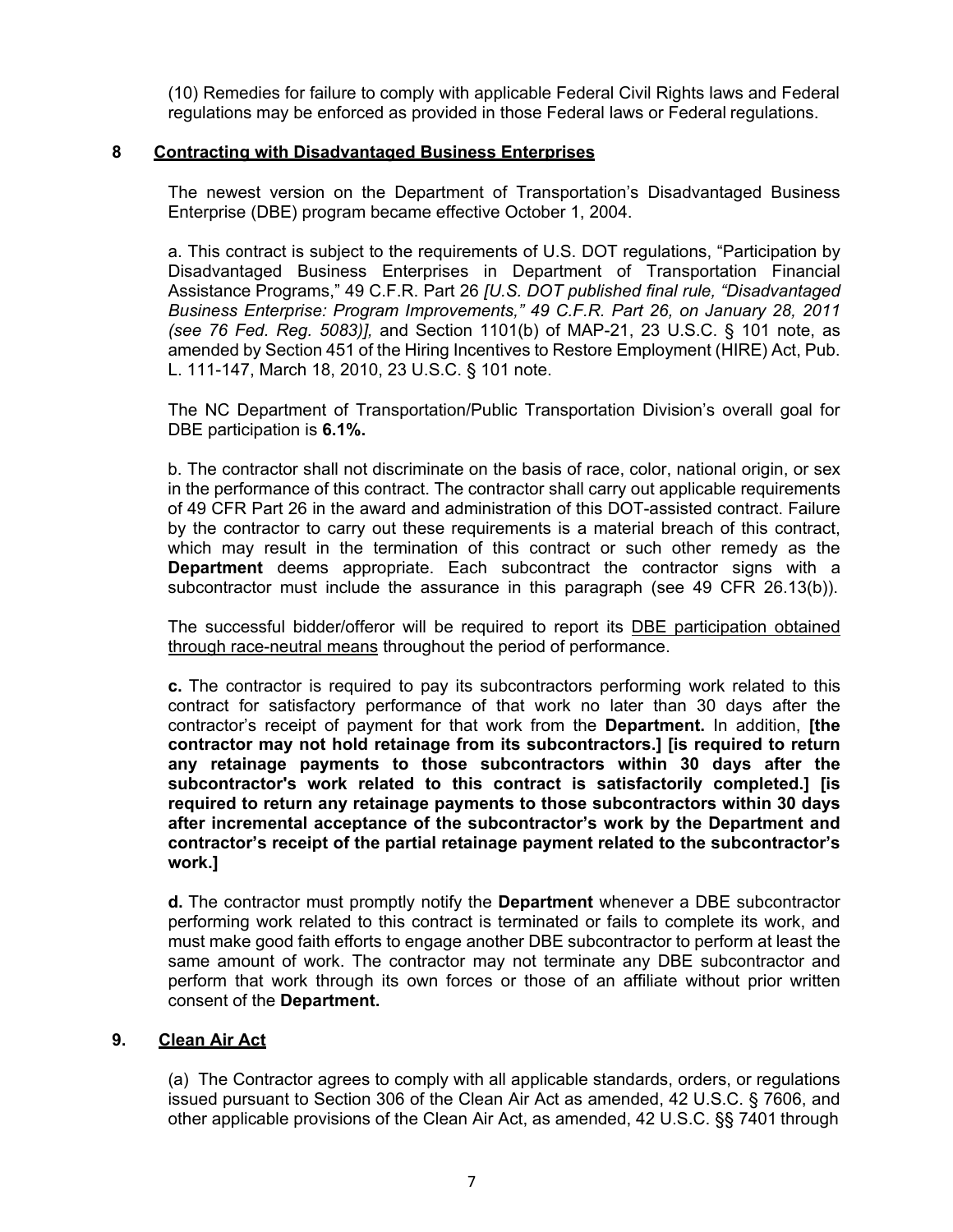(10) Remedies for failure to comply with applicable Federal Civil Rights laws and Federal regulations may be enforced as provided in those Federal laws or Federal regulations.

### **8 Contracting with Disadvantaged Business Enterprises**

The newest version on the Department of Transportation's Disadvantaged Business Enterprise (DBE) program became effective October 1, 2004.

a. This contract is subject to the requirements of U.S. DOT regulations, "Participation by Disadvantaged Business Enterprises in Department of Transportation Financial Assistance Programs," 49 C.F.R. Part 26 *[U.S. DOT published final rule, "Disadvantaged Business Enterprise: Program Improvements," 49 C.F.R. Part 26, on January 28, 2011 (see 76 Fed. Reg. 5083)],* and Section 1101(b) of MAP-21, 23 U.S.C. § 101 note, as amended by Section 451 of the Hiring Incentives to Restore Employment (HIRE) Act, Pub. L. 111-147, March 18, 2010, 23 U.S.C. § 101 note.

The NC Department of Transportation/Public Transportation Division's overall goal for DBE participation is **6.1%.**

b. The contractor shall not discriminate on the basis of race, color, national origin, or sex in the performance of this contract. The contractor shall carry out applicable requirements of 49 CFR Part 26 in the award and administration of this DOT-assisted contract. Failure by the contractor to carry out these requirements is a material breach of this contract, which may result in the termination of this contract or such other remedy as the **Department** deems appropriate. Each subcontract the contractor signs with a subcontractor must include the assurance in this paragraph (see 49 CFR 26.13(b)).

The successful bidder/offeror will be required to report its DBE participation obtained through race-neutral means throughout the period of performance.

**c.** The contractor is required to pay its subcontractors performing work related to this contract for satisfactory performance of that work no later than 30 days after the contractor's receipt of payment for that work from the **Department.** In addition, **[the contractor may not hold retainage from its subcontractors.] [is required to return any retainage payments to those subcontractors within 30 days after the subcontractor's work related to this contract is satisfactorily completed.] [is required to return any retainage payments to those subcontractors within 30 days after incremental acceptance of the subcontractor's work by the Department and contractor's receipt of the partial retainage payment related to the subcontractor's work.]**

**d.** The contractor must promptly notify the **Department** whenever a DBE subcontractor performing work related to this contract is terminated or fails to complete its work, and must make good faith efforts to engage another DBE subcontractor to perform at least the same amount of work. The contractor may not terminate any DBE subcontractor and perform that work through its own forces or those of an affiliate without prior written consent of the **Department.**

#### **9. Clean Air Act**

(a) The Contractor agrees to comply with all applicable standards, orders, or regulations issued pursuant to Section 306 of the Clean Air Act as amended, 42 U.S.C. § 7606, and other applicable provisions of the Clean Air Act, as amended, 42 U.S.C. §§ 7401 through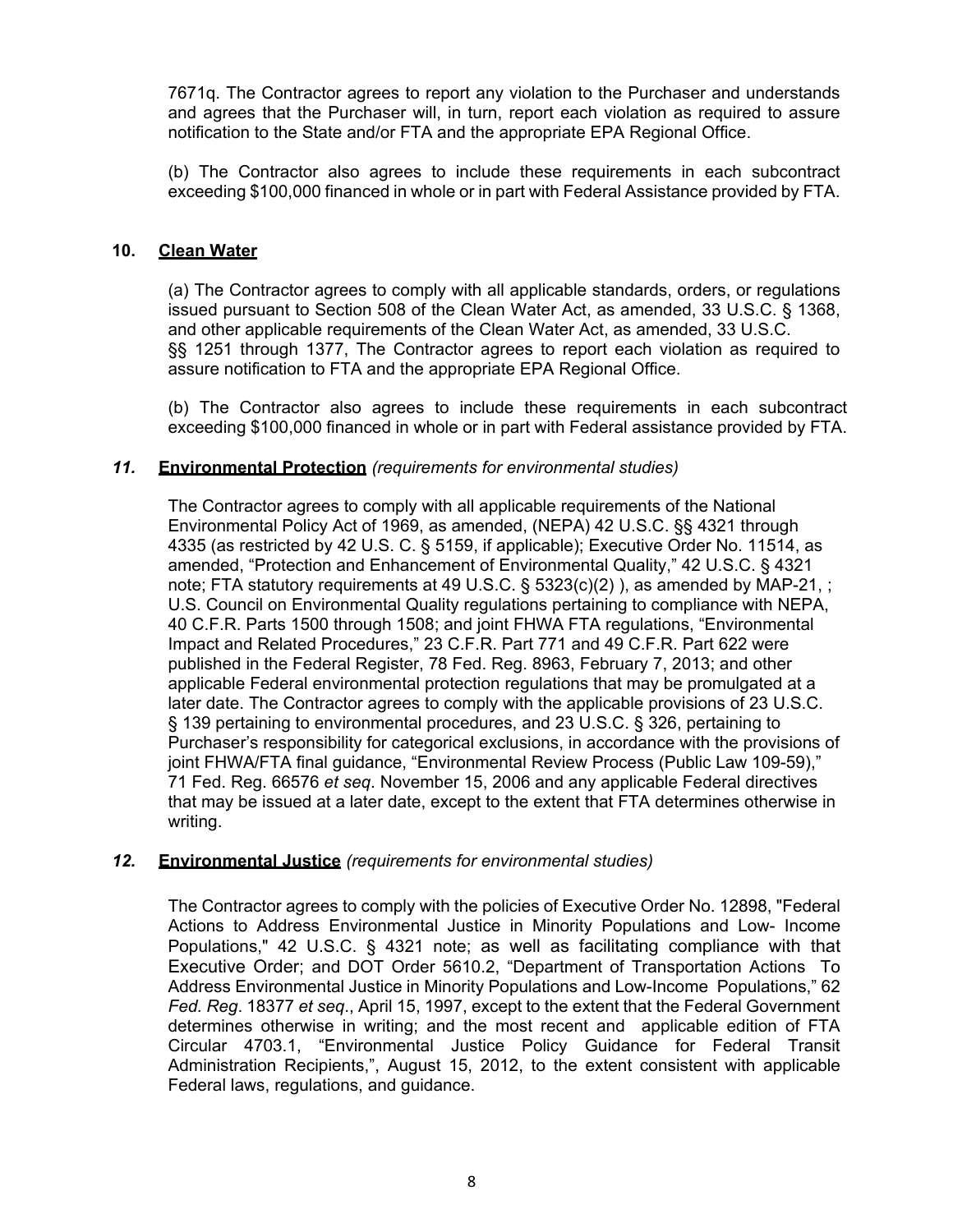7671q. The Contractor agrees to report any violation to the Purchaser and understands and agrees that the Purchaser will, in turn, report each violation as required to assure notification to the State and/or FTA and the appropriate EPA Regional Office.

(b) The Contractor also agrees to include these requirements in each subcontract exceeding \$100,000 financed in whole or in part with Federal Assistance provided by FTA.

### **10. Clean Water**

(a) The Contractor agrees to comply with all applicable standards, orders, or regulations issued pursuant to Section 508 of the Clean Water Act, as amended, 33 U.S.C. § 1368, and other applicable requirements of the Clean Water Act, as amended, 33 U.S.C. §§ 1251 through 1377, The Contractor agrees to report each violation as required to assure notification to FTA and the appropriate EPA Regional Office.

(b) The Contractor also agrees to include these requirements in each subcontract exceeding \$100,000 financed in whole or in part with Federal assistance provided by FTA.

### *11.* **Environmental Protection** *(requirements for environmental studies)*

The Contractor agrees to comply with all applicable requirements of the National Environmental Policy Act of 1969, as amended, (NEPA) 42 U.S.C. §§ 4321 through 4335 (as restricted by 42 U.S. C. § 5159, if applicable); Executive Order No. 11514, as amended, "Protection and Enhancement of Environmental Quality," 42 U.S.C. § 4321 note; FTA statutory requirements at 49 U.S.C.  $\S$  5323(c)(2)), as amended by MAP-21, ; U.S. Council on Environmental Quality regulations pertaining to compliance with NEPA, 40 C.F.R. Parts 1500 through 1508; and joint FHWA FTA regulations, "Environmental Impact and Related Procedures," 23 C.F.R. Part 771 and 49 C.F.R. Part 622 were published in the Federal Register, 78 Fed. Reg. 8963, February 7, 2013; and other applicable Federal environmental protection regulations that may be promulgated at a later date. The Contractor agrees to comply with the applicable provisions of 23 U.S.C. § 139 pertaining to environmental procedures, and 23 U.S.C. § 326, pertaining to Purchaser's responsibility for categorical exclusions, in accordance with the provisions of joint FHWA/FTA final guidance, "Environmental Review Process (Public Law 109-59)," 71 Fed. Reg. 66576 *et seq*. November 15, 2006 and any applicable Federal directives that may be issued at a later date, except to the extent that FTA determines otherwise in writing.

#### *12.* **Environmental Justice** *(requirements for environmental studies)*

The Contractor agrees to comply with the policies of Executive Order No. 12898, "Federal Actions to Address Environmental Justice in Minority Populations and Low- Income Populations," 42 U.S.C. § 4321 note; as well as facilitating compliance with that Executive Order; and DOT Order 5610.2, "Department of Transportation Actions To Address Environmental Justice in Minority Populations and Low-Income Populations," 62 *Fed. Reg*. 18377 *et seq*., April 15, 1997, except to the extent that the Federal Government determines otherwise in writing; and the most recent and applicable edition of FTA Circular 4703.1, "Environmental Justice Policy Guidance for Federal Transit Administration Recipients,", August 15, 2012, to the extent consistent with applicable Federal laws, regulations, and guidance.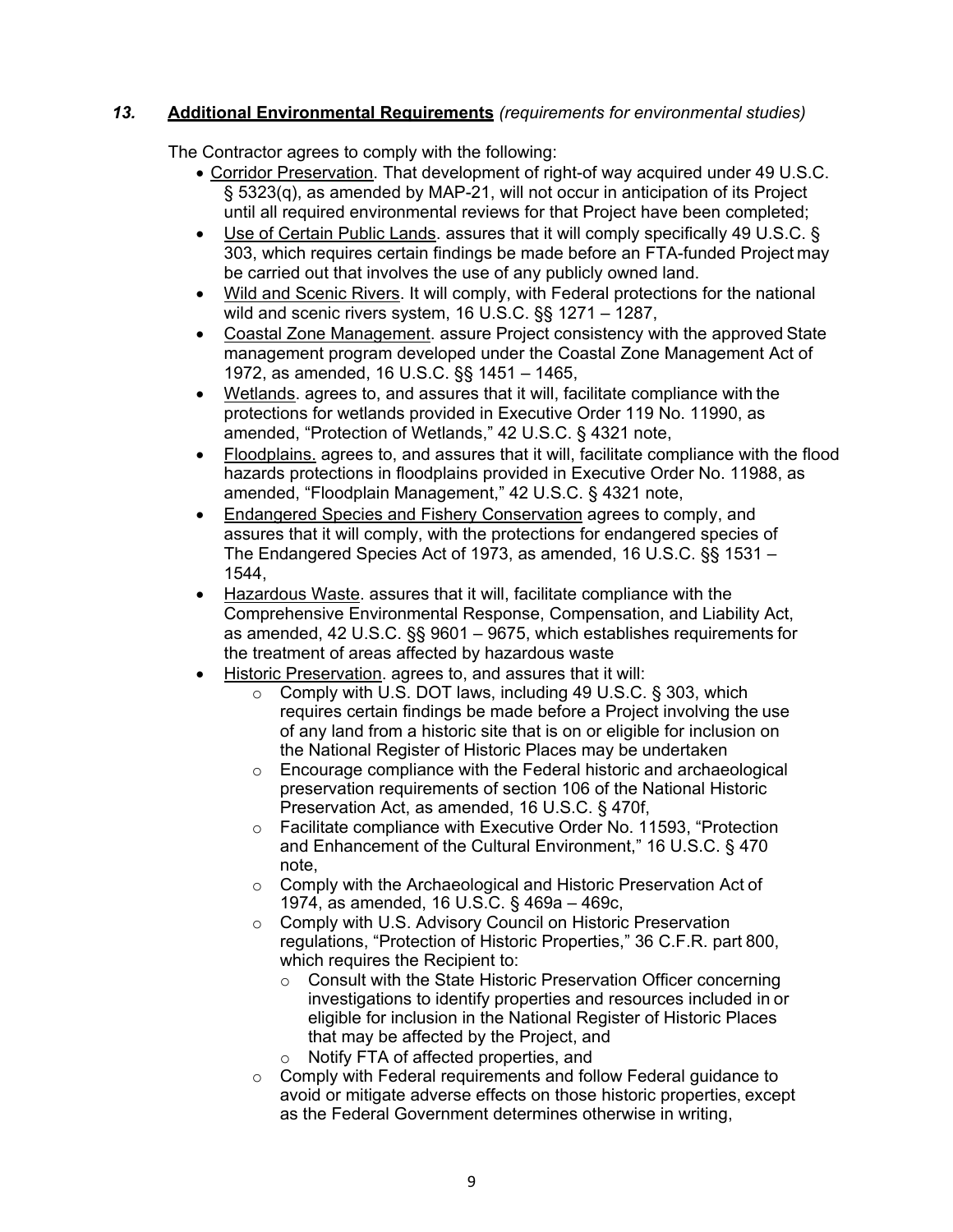# *13.* **Additional Environmental Requirements** *(requirements for environmental studies)*

The Contractor agrees to comply with the following:

- Corridor Preservation. That development of right-of way acquired under 49 U.S.C. § 5323(q), as amended by MAP-21, will not occur in anticipation of its Project until all required environmental reviews for that Project have been completed;
- Use of Certain Public Lands, assures that it will comply specifically 49 U.S.C. § 303, which requires certain findings be made before an FTA-funded Project may be carried out that involves the use of any publicly owned land.
- Wild and Scenic Rivers. It will comply, with Federal protections for the national wild and scenic rivers system, 16 U.S.C. §§ 1271 – 1287,
- Coastal Zone Management. assure Project consistency with the approved State management program developed under the Coastal Zone Management Act of 1972, as amended, 16 U.S.C. §§ 1451 – 1465,
- Wetlands. agrees to, and assures that it will, facilitate compliance with the protections for wetlands provided in Executive Order 119 No. 11990, as amended, "Protection of Wetlands," 42 U.S.C. § 4321 note,
- Floodplains. agrees to, and assures that it will, facilitate compliance with the flood hazards protections in floodplains provided in Executive Order No. 11988, as amended, "Floodplain Management," 42 U.S.C. § 4321 note,
- Endangered Species and Fishery Conservation agrees to comply, and assures that it will comply, with the protections for endangered species of The Endangered Species Act of 1973, as amended, 16 U.S.C. §§ 1531 – 1544,
- Hazardous Waste. assures that it will, facilitate compliance with the Comprehensive Environmental Response, Compensation, and Liability Act, as amended, 42 U.S.C. §§ 9601 – 9675, which establishes requirements for the treatment of areas affected by hazardous waste
- Historic Preservation. agrees to, and assures that it will:
	- o Comply with U.S. DOT laws, including 49 U.S.C. § 303, which requires certain findings be made before a Project involving the use of any land from a historic site that is on or eligible for inclusion on the National Register of Historic Places may be undertaken
	- o Encourage compliance with the Federal historic and archaeological preservation requirements of section 106 of the National Historic Preservation Act, as amended, 16 U.S.C. § 470f,
	- o Facilitate compliance with Executive Order No. 11593, "Protection and Enhancement of the Cultural Environment," 16 U.S.C. § 470 note,
	- o Comply with the Archaeological and Historic Preservation Act of 1974, as amended, 16 U.S.C. § 469a – 469c,
	- o Comply with U.S. Advisory Council on Historic Preservation regulations, "Protection of Historic Properties," 36 C.F.R. part 800,
		- which requires the Recipient to:<br>  $\circ$  Consult with the State Histor Consult with the State Historic Preservation Officer concerning investigations to identify properties and resources included in or eligible for inclusion in the National Register of Historic Places that may be affected by the Project, and
		- o Notify FTA of affected properties, and
	- o Comply with Federal requirements and follow Federal guidance to avoid or mitigate adverse effects on those historic properties, except as the Federal Government determines otherwise in writing,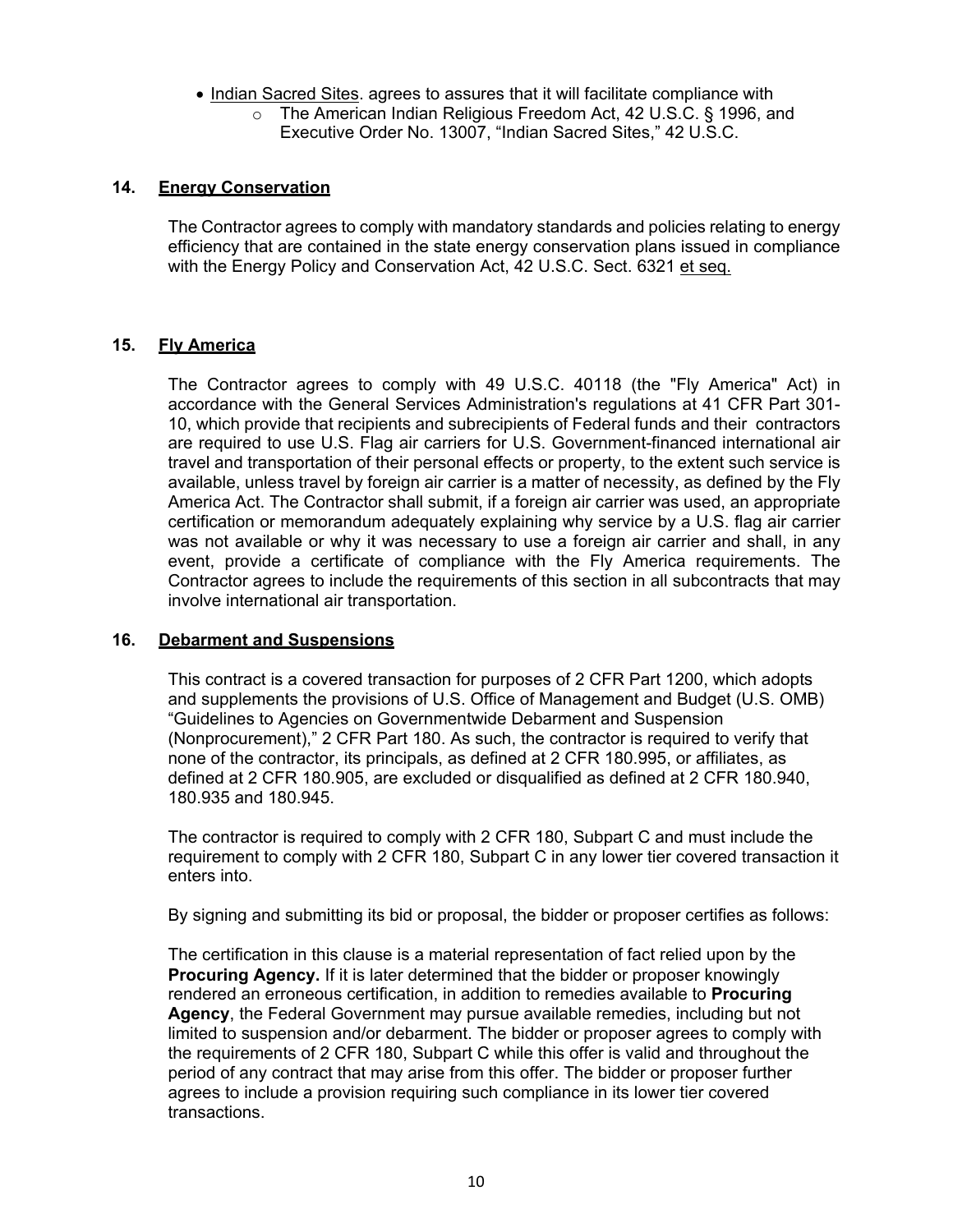- Indian Sacred Sites. agrees to assures that it will facilitate compliance with
	- o The American Indian Religious Freedom Act, 42 U.S.C. § 1996, and Executive Order No. 13007, "Indian Sacred Sites," 42 U.S.C.

### **14. Energy Conservation**

The Contractor agrees to comply with mandatory standards and policies relating to energy efficiency that are contained in the state energy conservation plans issued in compliance with the Energy Policy and Conservation Act, 42 U.S.C. Sect. 6321 et seq.

# **15. Fly America**

The Contractor agrees to comply with 49 U.S.C. 40118 (the "Fly America" Act) in accordance with the General Services Administration's regulations at 41 CFR Part 301- 10, which provide that recipients and subrecipients of Federal funds and their contractors are required to use U.S. Flag air carriers for U.S. Government-financed international air travel and transportation of their personal effects or property, to the extent such service is available, unless travel by foreign air carrier is a matter of necessity, as defined by the Fly America Act. The Contractor shall submit, if a foreign air carrier was used, an appropriate certification or memorandum adequately explaining why service by a U.S. flag air carrier was not available or why it was necessary to use a foreign air carrier and shall, in any event, provide a certificate of compliance with the Fly America requirements. The Contractor agrees to include the requirements of this section in all subcontracts that may involve international air transportation.

#### **16. Debarment and Suspensions**

This contract is a covered transaction for purposes of 2 CFR Part 1200, which adopts and supplements the provisions of U.S. Office of Management and Budget (U.S. OMB) "Guidelines to Agencies on Governmentwide Debarment and Suspension (Nonprocurement)," 2 CFR Part 180. As such, the contractor is required to verify that none of the contractor, its principals, as defined at 2 CFR 180.995, or affiliates, as defined at 2 CFR 180.905, are excluded or disqualified as defined at 2 CFR 180.940, 180.935 and 180.945.

The contractor is required to comply with 2 CFR 180, Subpart C and must include the requirement to comply with 2 CFR 180, Subpart C in any lower tier covered transaction it enters into.

By signing and submitting its bid or proposal, the bidder or proposer certifies as follows:

The certification in this clause is a material representation of fact relied upon by the **Procuring Agency.** If it is later determined that the bidder or proposer knowingly rendered an erroneous certification, in addition to remedies available to **Procuring Agency**, the Federal Government may pursue available remedies, including but not limited to suspension and/or debarment. The bidder or proposer agrees to comply with the requirements of 2 CFR 180, Subpart C while this offer is valid and throughout the period of any contract that may arise from this offer. The bidder or proposer further agrees to include a provision requiring such compliance in its lower tier covered transactions.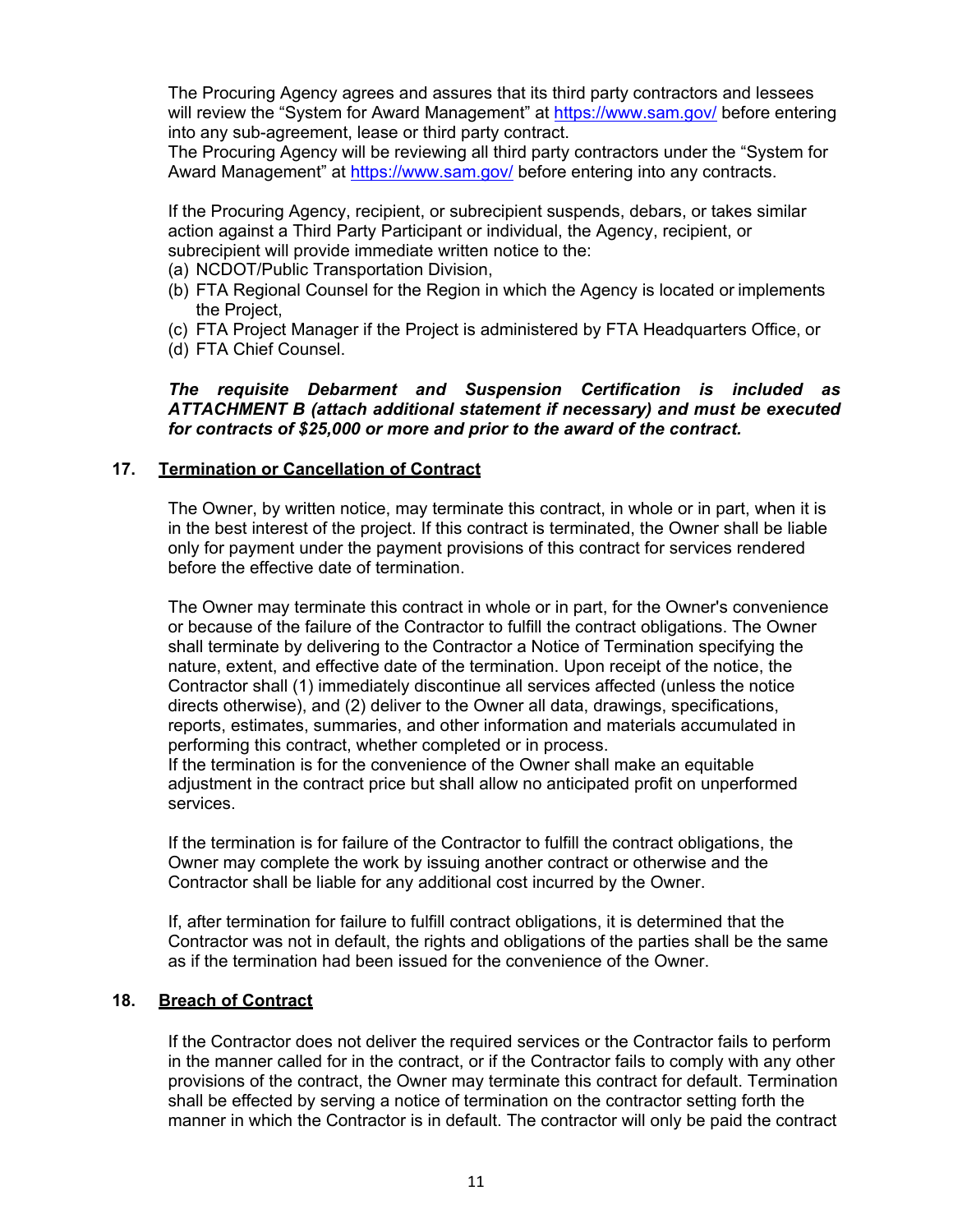The Procuring Agency agrees and assures that its third party contractors and lessees will review the "System for Award Management" at [https://www.sam.gov](http://www.sam.gov/)/ before entering into any sub-agreement, lease or third party contract.

The Procuring Agency will be reviewing all third party contractors under the "System for Award Management" at [https://www.sam.gov/](http://www.sam.gov/) before entering into any contracts.

If the Procuring Agency, recipient, or subrecipient suspends, debars, or takes similar action against a Third Party Participant or individual, the Agency, recipient, or subrecipient will provide immediate written notice to the:

- (a) NCDOT/Public Transportation Division,
- (b) FTA Regional Counsel for the Region in which the Agency is located or implements the Project,
- (c) FTA Project Manager if the Project is administered by FTA Headquarters Office, or
- (d) FTA Chief Counsel.

*The requisite Debarment and Suspension Certification is included as ATTACHMENT B (attach additional statement if necessary) and must be executed for contracts of \$25,000 or more and prior to the award of the contract.*

#### **17. Termination or Cancellation of Contract**

The Owner, by written notice, may terminate this contract, in whole or in part, when it is in the best interest of the project. If this contract is terminated, the Owner shall be liable only for payment under the payment provisions of this contract for services rendered before the effective date of termination.

The Owner may terminate this contract in whole or in part, for the Owner's convenience or because of the failure of the Contractor to fulfill the contract obligations. The Owner shall terminate by delivering to the Contractor a Notice of Termination specifying the nature, extent, and effective date of the termination. Upon receipt of the notice, the Contractor shall (1) immediately discontinue all services affected (unless the notice directs otherwise), and (2) deliver to the Owner all data, drawings, specifications, reports, estimates, summaries, and other information and materials accumulated in performing this contract, whether completed or in process.

If the termination is for the convenience of the Owner shall make an equitable adjustment in the contract price but shall allow no anticipated profit on unperformed services.

If the termination is for failure of the Contractor to fulfill the contract obligations, the Owner may complete the work by issuing another contract or otherwise and the Contractor shall be liable for any additional cost incurred by the Owner.

If, after termination for failure to fulfill contract obligations, it is determined that the Contractor was not in default, the rights and obligations of the parties shall be the same as if the termination had been issued for the convenience of the Owner.

### **18. Breach of Contract**

If the Contractor does not deliver the required services or the Contractor fails to perform in the manner called for in the contract, or if the Contractor fails to comply with any other provisions of the contract, the Owner may terminate this contract for default. Termination shall be effected by serving a notice of termination on the contractor setting forth the manner in which the Contractor is in default. The contractor will only be paid the contract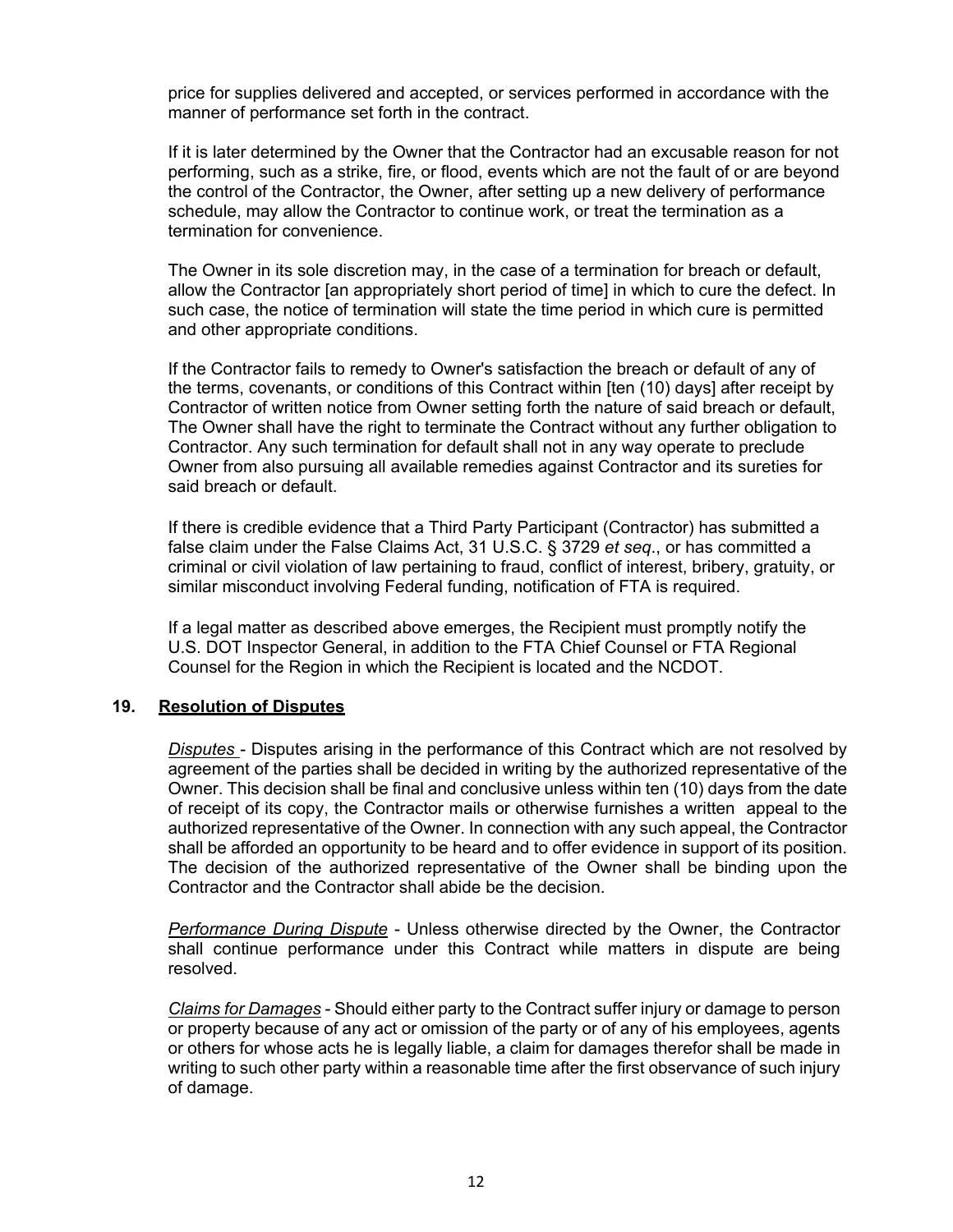price for supplies delivered and accepted, or services performed in accordance with the manner of performance set forth in the contract.

If it is later determined by the Owner that the Contractor had an excusable reason for not performing, such as a strike, fire, or flood, events which are not the fault of or are beyond the control of the Contractor, the Owner, after setting up a new delivery of performance schedule, may allow the Contractor to continue work, or treat the termination as a termination for convenience.

The Owner in its sole discretion may, in the case of a termination for breach or default, allow the Contractor [an appropriately short period of time] in which to cure the defect. In such case, the notice of termination will state the time period in which cure is permitted and other appropriate conditions.

If the Contractor fails to remedy to Owner's satisfaction the breach or default of any of the terms, covenants, or conditions of this Contract within [ten (10) days] after receipt by Contractor of written notice from Owner setting forth the nature of said breach or default, The Owner shall have the right to terminate the Contract without any further obligation to Contractor. Any such termination for default shall not in any way operate to preclude Owner from also pursuing all available remedies against Contractor and its sureties for said breach or default.

If there is credible evidence that a Third Party Participant (Contractor) has submitted a false claim under the False Claims Act, 31 U.S.C. § 3729 *et seq*., or has committed a criminal or civil violation of law pertaining to fraud, conflict of interest, bribery, gratuity, or similar misconduct involving Federal funding, notification of FTA is required.

If a legal matter as described above emerges, the Recipient must promptly notify the U.S. DOT Inspector General, in addition to the FTA Chief Counsel or FTA Regional Counsel for the Region in which the Recipient is located and the NCDOT.

#### **19. Resolution of Disputes**

*Disputes* - Disputes arising in the performance of this Contract which are not resolved by agreement of the parties shall be decided in writing by the authorized representative of the Owner. This decision shall be final and conclusive unless within ten (10) days from the date of receipt of its copy, the Contractor mails or otherwise furnishes a written appeal to the authorized representative of the Owner. In connection with any such appeal, the Contractor shall be afforded an opportunity to be heard and to offer evidence in support of its position. The decision of the authorized representative of the Owner shall be binding upon the Contractor and the Contractor shall abide be the decision.

*Performance During Dispute* - Unless otherwise directed by the Owner, the Contractor shall continue performance under this Contract while matters in dispute are being resolved.

*Claims for Damages* - Should either party to the Contract suffer injury or damage to person or property because of any act or omission of the party or of any of his employees, agents or others for whose acts he is legally liable, a claim for damages therefor shall be made in writing to such other party within a reasonable time after the first observance of such injury of damage.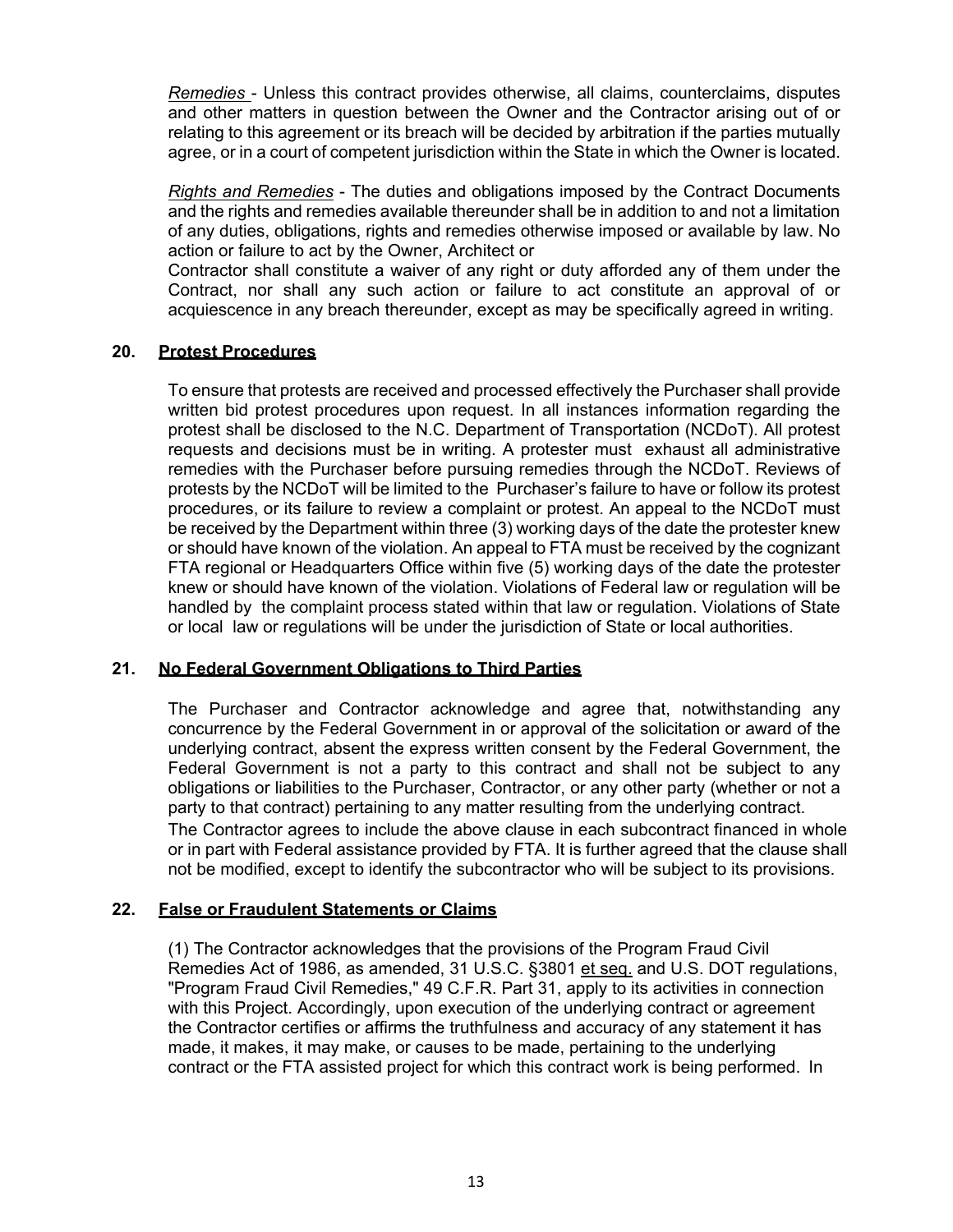*Remedies* - Unless this contract provides otherwise, all claims, counterclaims, disputes and other matters in question between the Owner and the Contractor arising out of or relating to this agreement or its breach will be decided by arbitration if the parties mutually agree, or in a court of competent jurisdiction within the State in which the Owner is located.

*Rights and Remedies* - The duties and obligations imposed by the Contract Documents and the rights and remedies available thereunder shall be in addition to and not a limitation of any duties, obligations, rights and remedies otherwise imposed or available by law. No action or failure to act by the Owner, Architect or

Contractor shall constitute a waiver of any right or duty afforded any of them under the Contract, nor shall any such action or failure to act constitute an approval of or acquiescence in any breach thereunder, except as may be specifically agreed in writing.

# **20. Protest Procedures**

To ensure that protests are received and processed effectively the Purchaser shall provide written bid protest procedures upon request. In all instances information regarding the protest shall be disclosed to the N.C. Department of Transportation (NCDoT). All protest requests and decisions must be in writing. A protester must exhaust all administrative remedies with the Purchaser before pursuing remedies through the NCDoT. Reviews of protests by the NCDoT will be limited to the Purchaser's failure to have or follow its protest procedures, or its failure to review a complaint or protest. An appeal to the NCDoT must be received by the Department within three (3) working days of the date the protester knew or should have known of the violation. An appeal to FTA must be received by the cognizant FTA regional or Headquarters Office within five (5) working days of the date the protester knew or should have known of the violation. Violations of Federal law or regulation will be handled by the complaint process stated within that law or regulation. Violations of State or local law or regulations will be under the jurisdiction of State or local authorities.

# **21. No Federal Government Obligations to Third Parties**

The Purchaser and Contractor acknowledge and agree that, notwithstanding any concurrence by the Federal Government in or approval of the solicitation or award of the underlying contract, absent the express written consent by the Federal Government, the Federal Government is not a party to this contract and shall not be subject to any obligations or liabilities to the Purchaser, Contractor, or any other party (whether or not a party to that contract) pertaining to any matter resulting from the underlying contract. The Contractor agrees to include the above clause in each subcontract financed in whole or in part with Federal assistance provided by FTA. It is further agreed that the clause shall not be modified, except to identify the subcontractor who will be subject to its provisions.

### **22. False or Fraudulent Statements or Claims**

(1) The Contractor acknowledges that the provisions of the Program Fraud Civil Remedies Act of 1986, as amended, 31 U.S.C. §3801 et seq. and U.S. DOT regulations, "Program Fraud Civil Remedies," 49 C.F.R. Part 31, apply to its activities in connection with this Project. Accordingly, upon execution of the underlying contract or agreement the Contractor certifies or affirms the truthfulness and accuracy of any statement it has made, it makes, it may make, or causes to be made, pertaining to the underlying contract or the FTA assisted project for which this contract work is being performed. In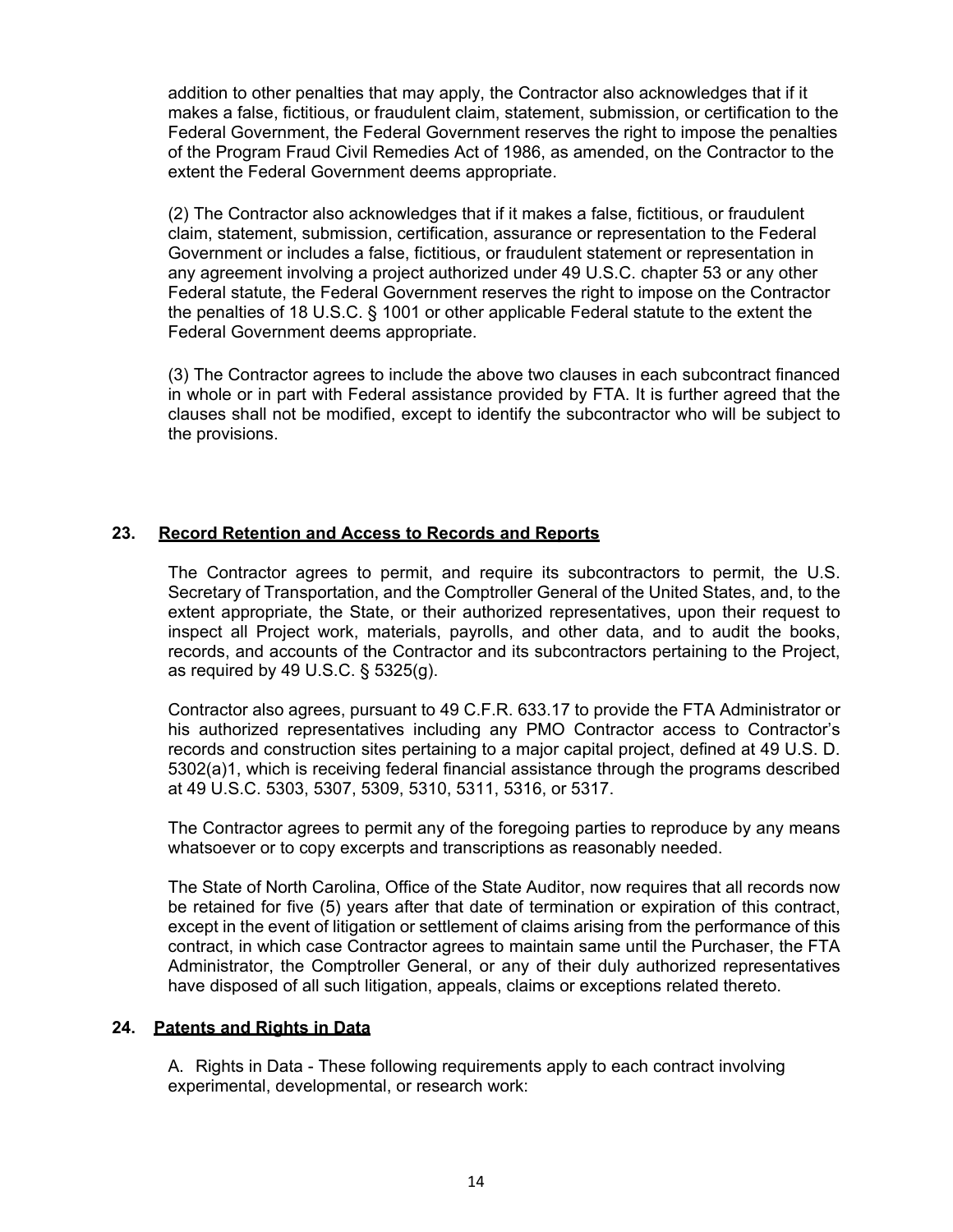addition to other penalties that may apply, the Contractor also acknowledges that if it makes a false, fictitious, or fraudulent claim, statement, submission, or certification to the Federal Government, the Federal Government reserves the right to impose the penalties of the Program Fraud Civil Remedies Act of 1986, as amended, on the Contractor to the extent the Federal Government deems appropriate.

(2) The Contractor also acknowledges that if it makes a false, fictitious, or fraudulent claim, statement, submission, certification, assurance or representation to the Federal Government or includes a false, fictitious, or fraudulent statement or representation in any agreement involving a project authorized under 49 U.S.C. chapter 53 or any other Federal statute, the Federal Government reserves the right to impose on the Contractor the penalties of 18 U.S.C. § 1001 or other applicable Federal statute to the extent the Federal Government deems appropriate.

(3) The Contractor agrees to include the above two clauses in each subcontract financed in whole or in part with Federal assistance provided by FTA. It is further agreed that the clauses shall not be modified, except to identify the subcontractor who will be subject to the provisions.

# **23. Record Retention and Access to Records and Reports**

The Contractor agrees to permit, and require its subcontractors to permit, the U.S. Secretary of Transportation, and the Comptroller General of the United States, and, to the extent appropriate, the State, or their authorized representatives, upon their request to inspect all Project work, materials, payrolls, and other data, and to audit the books, records, and accounts of the Contractor and its subcontractors pertaining to the Project, as required by 49 U.S.C. § 5325(g).

Contractor also agrees, pursuant to 49 C.F.R. 633.17 to provide the FTA Administrator or his authorized representatives including any PMO Contractor access to Contractor's records and construction sites pertaining to a major capital project, defined at 49 U.S. D. 5302(a)1, which is receiving federal financial assistance through the programs described at 49 U.S.C. 5303, 5307, 5309, 5310, 5311, 5316, or 5317.

The Contractor agrees to permit any of the foregoing parties to reproduce by any means whatsoever or to copy excerpts and transcriptions as reasonably needed.

The State of North Carolina, Office of the State Auditor, now requires that all records now be retained for five (5) years after that date of termination or expiration of this contract, except in the event of litigation or settlement of claims arising from the performance of this contract, in which case Contractor agrees to maintain same until the Purchaser, the FTA Administrator, the Comptroller General, or any of their duly authorized representatives have disposed of all such litigation, appeals, claims or exceptions related thereto.

#### **24. Patents and Rights in Data**

A. Rights in Data - These following requirements apply to each contract involving experimental, developmental, or research work: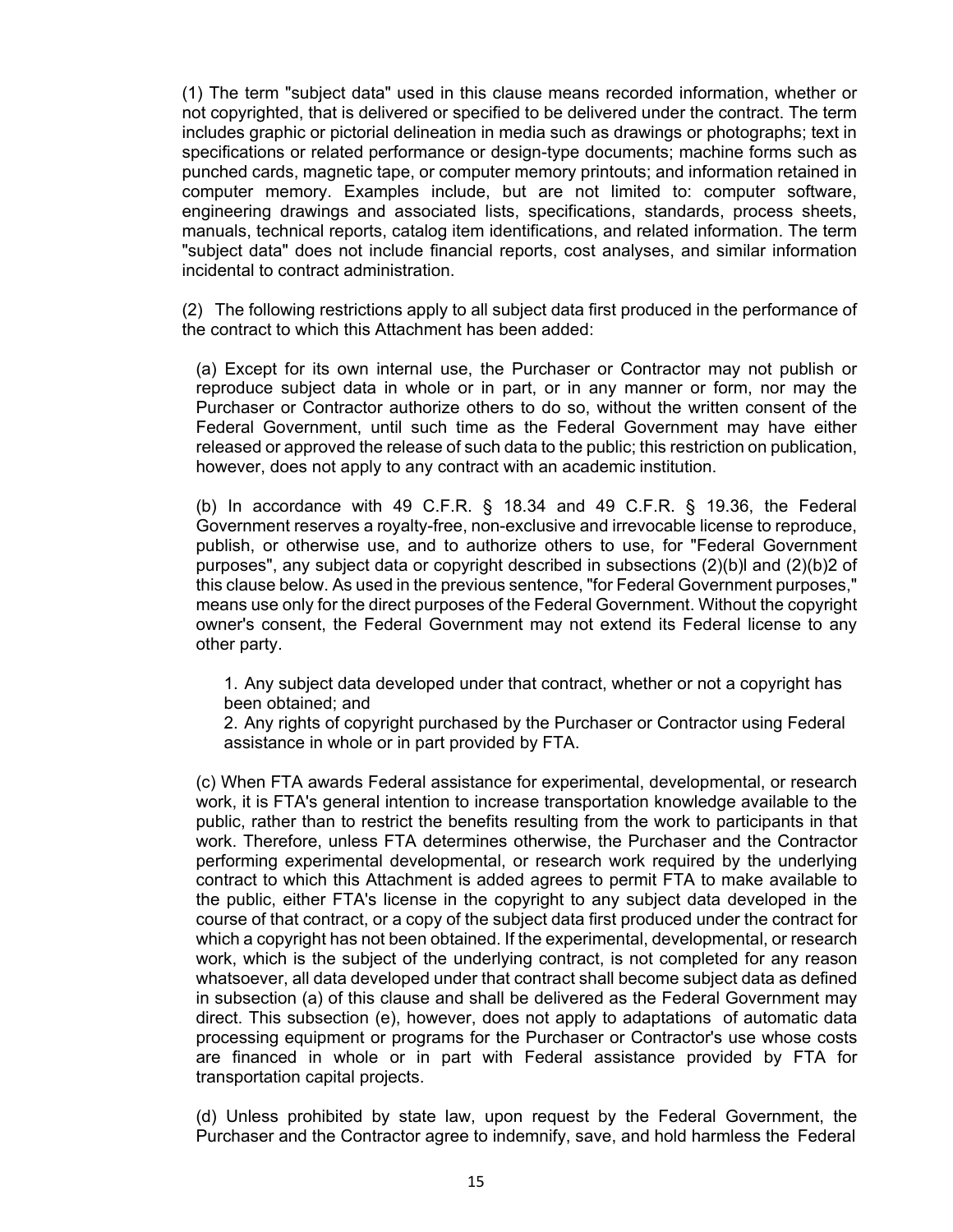(1) The term "subject data" used in this clause means recorded information, whether or not copyrighted, that is delivered or specified to be delivered under the contract. The term includes graphic or pictorial delineation in media such as drawings or photographs; text in specifications or related performance or design-type documents; machine forms such as punched cards, magnetic tape, or computer memory printouts; and information retained in computer memory. Examples include, but are not limited to: computer software, engineering drawings and associated lists, specifications, standards, process sheets, manuals, technical reports, catalog item identifications, and related information. The term "subject data" does not include financial reports, cost analyses, and similar information incidental to contract administration.

(2) The following restrictions apply to all subject data first produced in the performance of the contract to which this Attachment has been added:

(a) Except for its own internal use, the Purchaser or Contractor may not publish or reproduce subject data in whole or in part, or in any manner or form, nor may the Purchaser or Contractor authorize others to do so, without the written consent of the Federal Government, until such time as the Federal Government may have either released or approved the release of such data to the public; this restriction on publication, however, does not apply to any contract with an academic institution.

(b) In accordance with 49 C.F.R. § 18.34 and 49 C.F.R. § 19.36, the Federal Government reserves a royalty-free, non-exclusive and irrevocable license to reproduce, publish, or otherwise use, and to authorize others to use, for "Federal Government purposes", any subject data or copyright described in subsections (2)(b)l and (2)(b)2 of this clause below. As used in the previous sentence, "for Federal Government purposes," means use only for the direct purposes of the Federal Government. Without the copyright owner's consent, the Federal Government may not extend its Federal license to any other party.

1. Any subject data developed under that contract, whether or not a copyright has been obtained; and

2. Any rights of copyright purchased by the Purchaser or Contractor using Federal assistance in whole or in part provided by FTA.

(c) When FTA awards Federal assistance for experimental, developmental, or research work, it is FTA's general intention to increase transportation knowledge available to the public, rather than to restrict the benefits resulting from the work to participants in that work. Therefore, unless FTA determines otherwise, the Purchaser and the Contractor performing experimental developmental, or research work required by the underlying contract to which this Attachment is added agrees to permit FTA to make available to the public, either FTA's license in the copyright to any subject data developed in the course of that contract, or a copy of the subject data first produced under the contract for which a copyright has not been obtained. If the experimental, developmental, or research work, which is the subject of the underlying contract, is not completed for any reason whatsoever, all data developed under that contract shall become subject data as defined in subsection (a) of this clause and shall be delivered as the Federal Government may direct. This subsection (e), however, does not apply to adaptations of automatic data processing equipment or programs for the Purchaser or Contractor's use whose costs are financed in whole or in part with Federal assistance provided by FTA for transportation capital projects.

(d) Unless prohibited by state law, upon request by the Federal Government, the Purchaser and the Contractor agree to indemnify, save, and hold harmless the Federal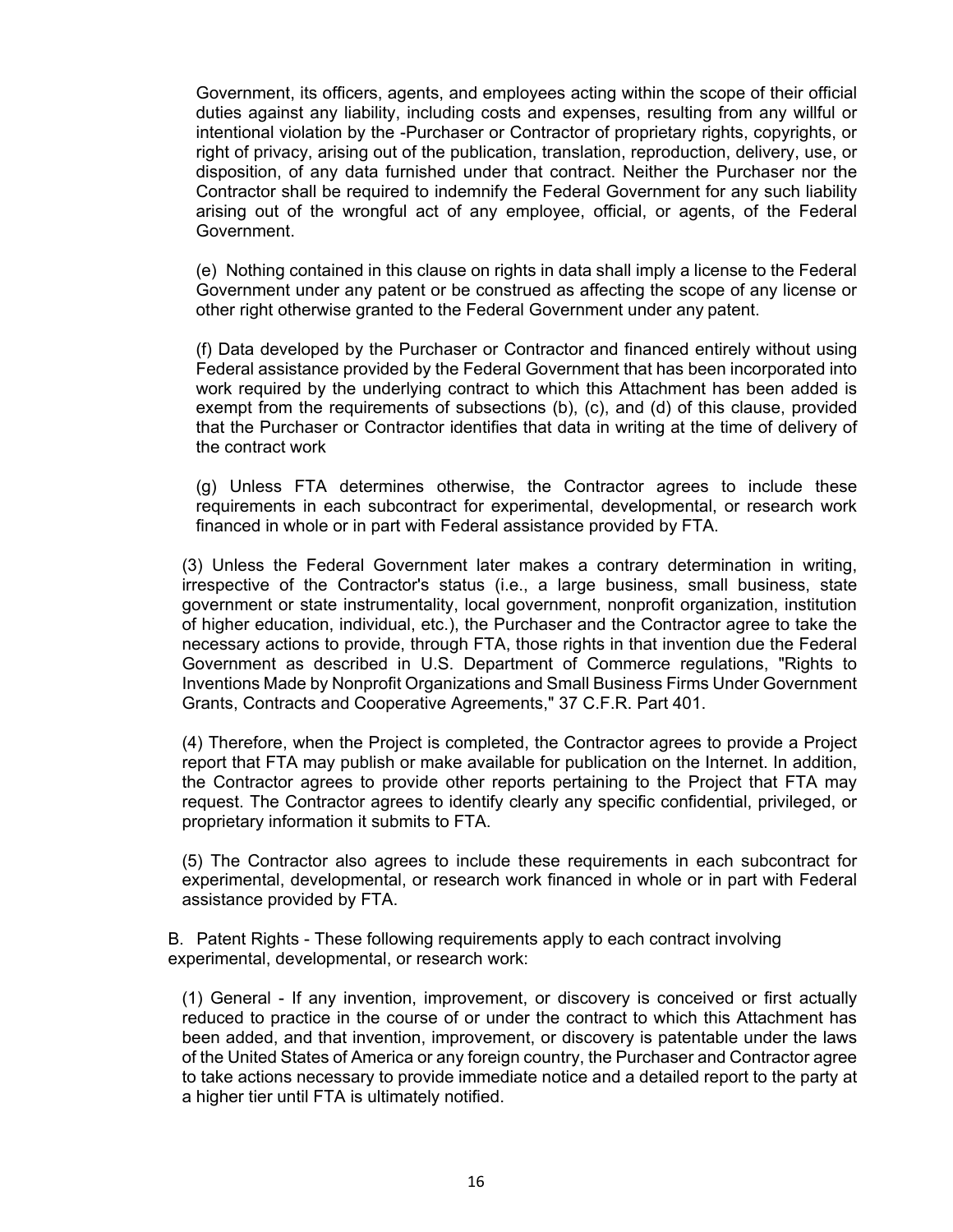Government, its officers, agents, and employees acting within the scope of their official duties against any liability, including costs and expenses, resulting from any willful or intentional violation by the -Purchaser or Contractor of proprietary rights, copyrights, or right of privacy, arising out of the publication, translation, reproduction, delivery, use, or disposition, of any data furnished under that contract. Neither the Purchaser nor the Contractor shall be required to indemnify the Federal Government for any such liability arising out of the wrongful act of any employee, official, or agents, of the Federal Government.

(e) Nothing contained in this clause on rights in data shall imply a license to the Federal Government under any patent or be construed as affecting the scope of any license or other right otherwise granted to the Federal Government under any patent.

(f) Data developed by the Purchaser or Contractor and financed entirely without using Federal assistance provided by the Federal Government that has been incorporated into work required by the underlying contract to which this Attachment has been added is exempt from the requirements of subsections (b), (c), and (d) of this clause, provided that the Purchaser or Contractor identifies that data in writing at the time of delivery of the contract work

(g) Unless FTA determines otherwise, the Contractor agrees to include these requirements in each subcontract for experimental, developmental, or research work financed in whole or in part with Federal assistance provided by FTA.

(3) Unless the Federal Government later makes a contrary determination in writing, irrespective of the Contractor's status (i.e., a large business, small business, state government or state instrumentality, local government, nonprofit organization, institution of higher education, individual, etc.), the Purchaser and the Contractor agree to take the necessary actions to provide, through FTA, those rights in that invention due the Federal Government as described in U.S. Department of Commerce regulations, "Rights to Inventions Made by Nonprofit Organizations and Small Business Firms Under Government Grants, Contracts and Cooperative Agreements," 37 C.F.R. Part 401.

(4) Therefore, when the Project is completed, the Contractor agrees to provide a Project report that FTA may publish or make available for publication on the Internet. In addition, the Contractor agrees to provide other reports pertaining to the Project that FTA may request. The Contractor agrees to identify clearly any specific confidential, privileged, or proprietary information it submits to FTA.

(5) The Contractor also agrees to include these requirements in each subcontract for experimental, developmental, or research work financed in whole or in part with Federal assistance provided by FTA.

B. Patent Rights - These following requirements apply to each contract involving experimental, developmental, or research work:

(1) General - If any invention, improvement, or discovery is conceived or first actually reduced to practice in the course of or under the contract to which this Attachment has been added, and that invention, improvement, or discovery is patentable under the laws of the United States of America or any foreign country, the Purchaser and Contractor agree to take actions necessary to provide immediate notice and a detailed report to the party at a higher tier until FTA is ultimately notified.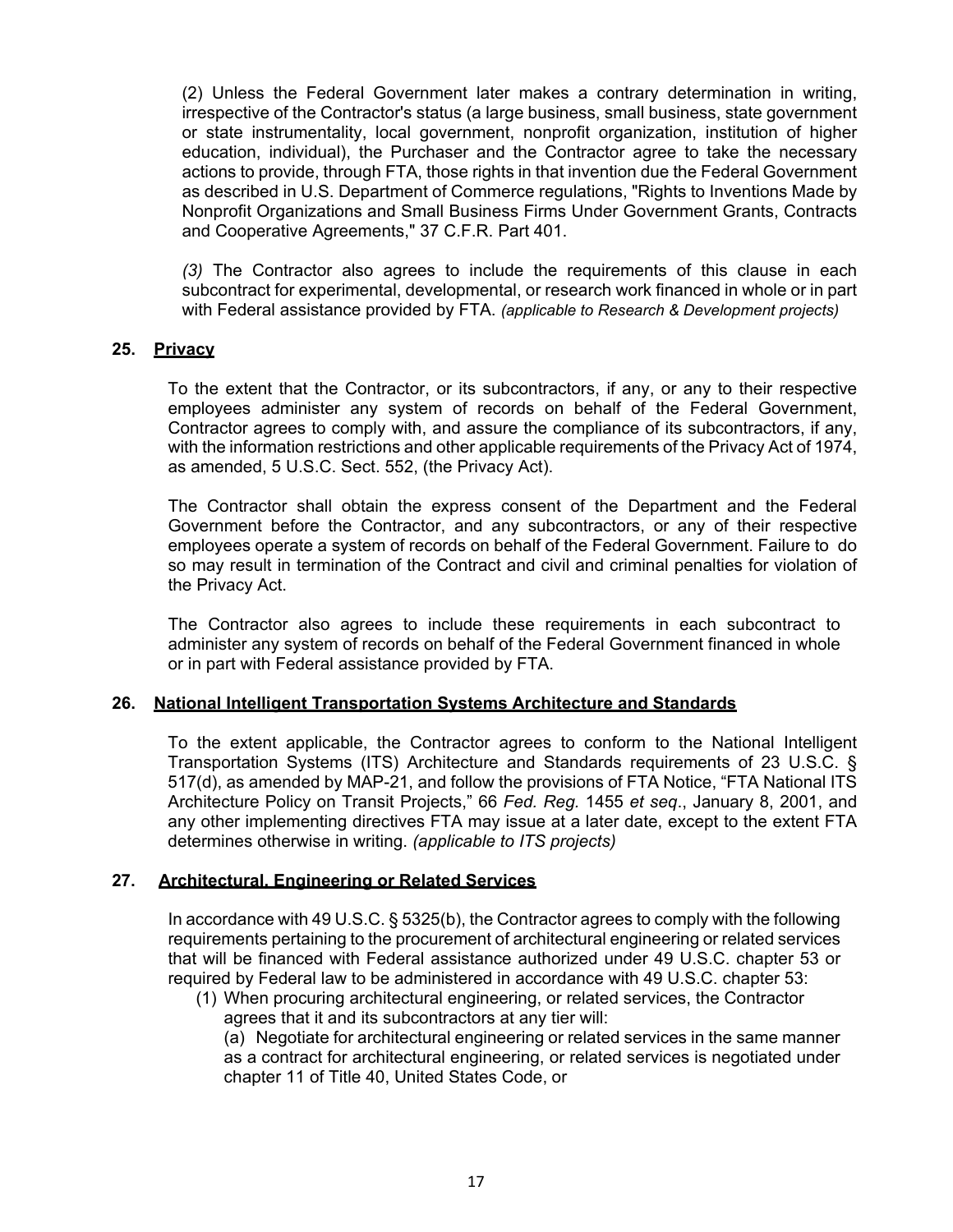(2) Unless the Federal Government later makes a contrary determination in writing, irrespective of the Contractor's status (a large business, small business, state government or state instrumentality, local government, nonprofit organization, institution of higher education, individual), the Purchaser and the Contractor agree to take the necessary actions to provide, through FTA, those rights in that invention due the Federal Government as described in U.S. Department of Commerce regulations, "Rights to Inventions Made by Nonprofit Organizations and Small Business Firms Under Government Grants, Contracts and Cooperative Agreements," 37 C.F.R. Part 401.

*(3)* The Contractor also agrees to include the requirements of this clause in each subcontract for experimental, developmental, or research work financed in whole or in part with Federal assistance provided by FTA. *(applicable to Research & Development projects)*

### **25. Privacy**

To the extent that the Contractor, or its subcontractors, if any, or any to their respective employees administer any system of records on behalf of the Federal Government, Contractor agrees to comply with, and assure the compliance of its subcontractors, if any, with the information restrictions and other applicable requirements of the Privacy Act of 1974, as amended, 5 U.S.C. Sect. 552, (the Privacy Act).

The Contractor shall obtain the express consent of the Department and the Federal Government before the Contractor, and any subcontractors, or any of their respective employees operate a system of records on behalf of the Federal Government. Failure to do so may result in termination of the Contract and civil and criminal penalties for violation of the Privacy Act.

The Contractor also agrees to include these requirements in each subcontract to administer any system of records on behalf of the Federal Government financed in whole or in part with Federal assistance provided by FTA.

#### **26. National Intelligent Transportation Systems Architecture and Standards**

To the extent applicable, the Contractor agrees to conform to the National Intelligent Transportation Systems (ITS) Architecture and Standards requirements of 23 U.S.C. § 517(d), as amended by MAP-21, and follow the provisions of FTA Notice, "FTA National ITS Architecture Policy on Transit Projects," 66 *Fed. Reg.* 1455 *et seq*., January 8, 2001, and any other implementing directives FTA may issue at a later date, except to the extent FTA determines otherwise in writing. *(applicable to ITS projects)*

#### **27. Architectural, Engineering or Related Services**

In accordance with 49 U.S.C. § 5325(b), the Contractor agrees to comply with the following requirements pertaining to the procurement of architectural engineering or related services that will be financed with Federal assistance authorized under 49 U.S.C. chapter 53 or required by Federal law to be administered in accordance with 49 U.S.C. chapter 53:

(1) When procuring architectural engineering, or related services, the Contractor agrees that it and its subcontractors at any tier will:

(a) Negotiate for architectural engineering or related services in the same manner as a contract for architectural engineering, or related services is negotiated under chapter 11 of Title 40, United States Code, or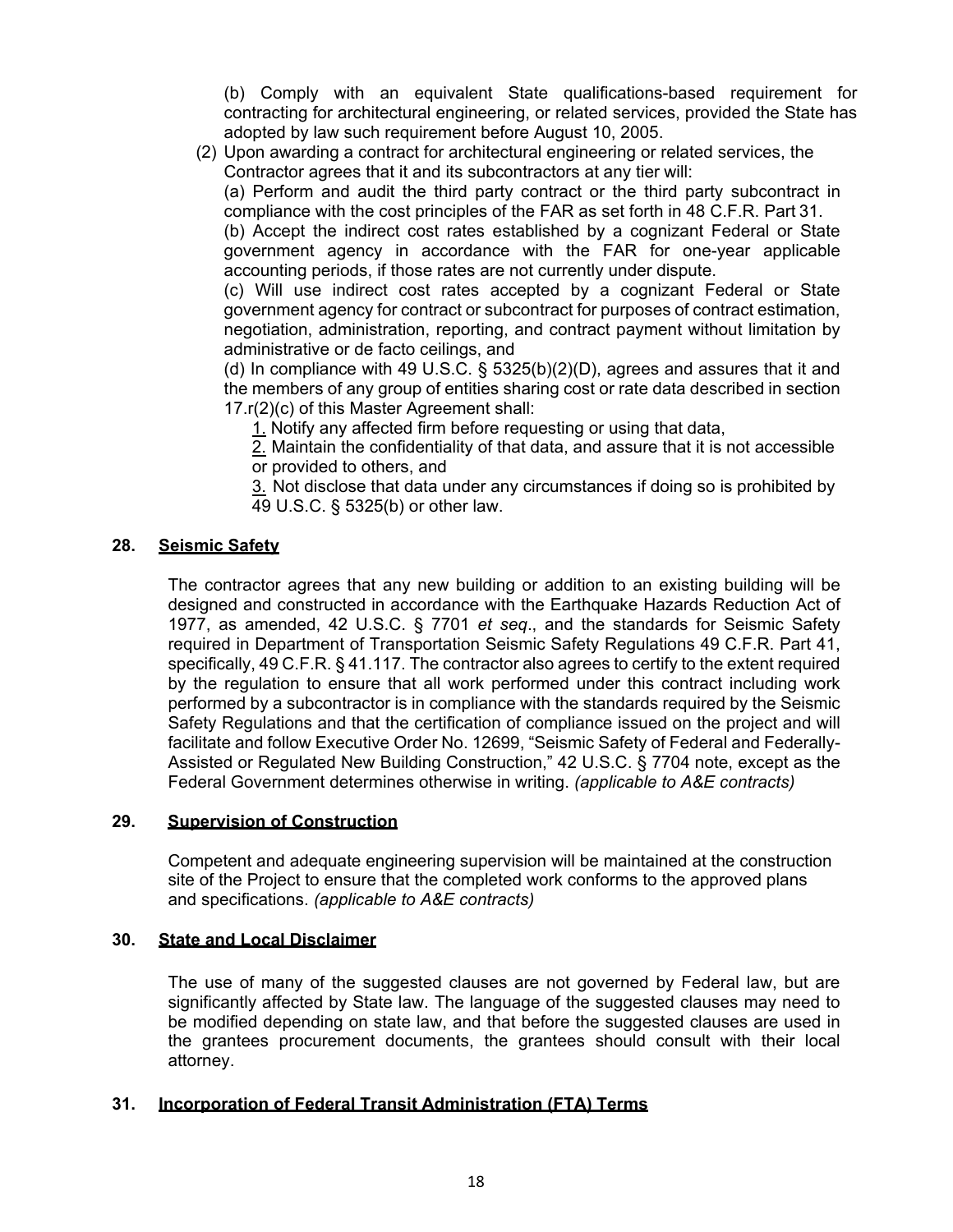(b) Comply with an equivalent State qualifications-based requirement for contracting for architectural engineering, or related services, provided the State has adopted by law such requirement before August 10, 2005.

(2) Upon awarding a contract for architectural engineering or related services, the Contractor agrees that it and its subcontractors at any tier will:

(a) Perform and audit the third party contract or the third party subcontract in compliance with the cost principles of the FAR as set forth in 48 C.F.R. Part 31.

(b) Accept the indirect cost rates established by a cognizant Federal or State government agency in accordance with the FAR for one-year applicable accounting periods, if those rates are not currently under dispute.

(c) Will use indirect cost rates accepted by a cognizant Federal or State government agency for contract or subcontract for purposes of contract estimation, negotiation, administration, reporting, and contract payment without limitation by administrative or de facto ceilings, and

(d) In compliance with 49 U.S.C.  $\S$  5325(b)(2)(D), agrees and assures that it and the members of any group of entities sharing cost or rate data described in section 17.r(2)(c) of this Master Agreement shall:

1. Notify any affected firm before requesting or using that data,

2. Maintain the confidentiality of that data, and assure that it is not accessible or provided to others, and

3. Not disclose that data under any circumstances if doing so is prohibited by 49 U.S.C. § 5325(b) or other law.

# **28. Seismic Safety**

The contractor agrees that any new building or addition to an existing building will be designed and constructed in accordance with the Earthquake Hazards Reduction Act of 1977, as amended, 42 U.S.C. § 7701 *et seq*., and the standards for Seismic Safety required in Department of Transportation Seismic Safety Regulations 49 C.F.R. Part 41, specifically, 49 C.F.R. § 41.117. The contractor also agrees to certify to the extent required by the regulation to ensure that all work performed under this contract including work performed by a subcontractor is in compliance with the standards required by the Seismic Safety Regulations and that the certification of compliance issued on the project and will facilitate and follow Executive Order No. 12699, "Seismic Safety of Federal and Federally-Assisted or Regulated New Building Construction," 42 U.S.C. § 7704 note, except as the Federal Government determines otherwise in writing. *(applicable to A&E contracts)*

# **29. Supervision of Construction**

Competent and adequate engineering supervision will be maintained at the construction site of the Project to ensure that the completed work conforms to the approved plans and specifications. *(applicable to A&E contracts)*

# **30. State and Local Disclaimer**

The use of many of the suggested clauses are not governed by Federal law, but are significantly affected by State law. The language of the suggested clauses may need to be modified depending on state law, and that before the suggested clauses are used in the grantees procurement documents, the grantees should consult with their local attorney.

# **31. Incorporation of Federal Transit Administration (FTA) Terms**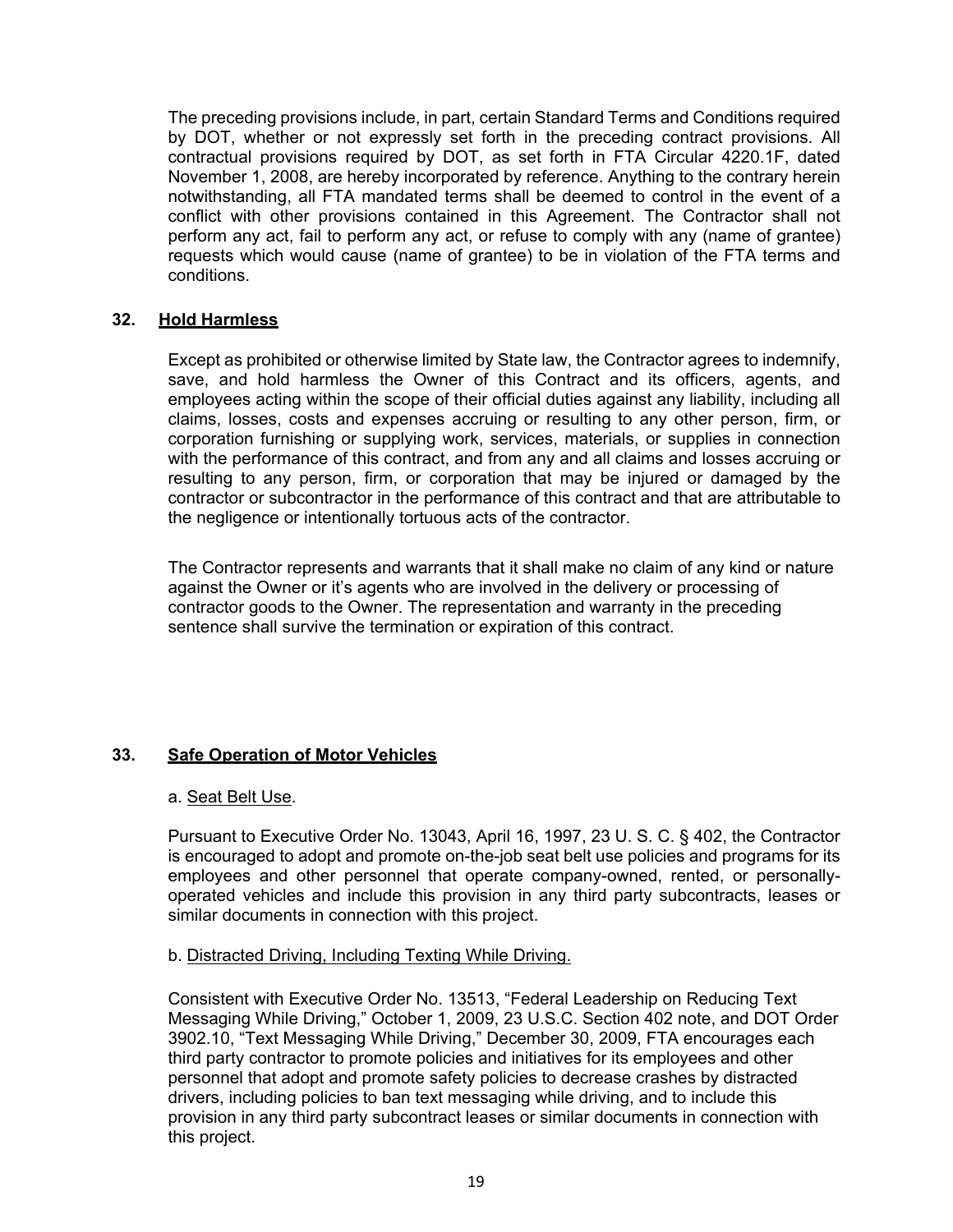The preceding provisions include, in part, certain Standard Terms and Conditions required by DOT, whether or not expressly set forth in the preceding contract provisions. All contractual provisions required by DOT, as set forth in FTA Circular 4220.1F, dated November 1, 2008, are hereby incorporated by reference. Anything to the contrary herein notwithstanding, all FTA mandated terms shall be deemed to control in the event of a conflict with other provisions contained in this Agreement. The Contractor shall not perform any act, fail to perform any act, or refuse to comply with any (name of grantee) requests which would cause (name of grantee) to be in violation of the FTA terms and conditions.

### **32. Hold Harmless**

Except as prohibited or otherwise limited by State law, the Contractor agrees to indemnify, save, and hold harmless the Owner of this Contract and its officers, agents, and employees acting within the scope of their official duties against any liability, including all claims, losses, costs and expenses accruing or resulting to any other person, firm, or corporation furnishing or supplying work, services, materials, or supplies in connection with the performance of this contract, and from any and all claims and losses accruing or resulting to any person, firm, or corporation that may be injured or damaged by the contractor or subcontractor in the performance of this contract and that are attributable to the negligence or intentionally tortuous acts of the contractor.

The Contractor represents and warrants that it shall make no claim of any kind or nature against the Owner or it's agents who are involved in the delivery or processing of contractor goods to the Owner. The representation and warranty in the preceding sentence shall survive the termination or expiration of this contract.

# **33. Safe Operation of Motor Vehicles**

#### a. Seat Belt Use.

Pursuant to Executive Order No. 13043, April 16, 1997, 23 U. S. C. § 402, the Contractor is encouraged to adopt and promote on-the-job seat belt use policies and programs for its employees and other personnel that operate company-owned, rented, or personallyoperated vehicles and include this provision in any third party subcontracts, leases or similar documents in connection with this project.

# b. Distracted Driving, Including Texting While Driving.

Consistent with Executive Order No. 13513, "Federal Leadership on Reducing Text Messaging While Driving," October 1, 2009, 23 U.S.C. Section 402 note, and DOT Order 3902.10, "Text Messaging While Driving," December 30, 2009, FTA encourages each third party contractor to promote policies and initiatives for its employees and other personnel that adopt and promote safety policies to decrease crashes by distracted drivers, including policies to ban text messaging while driving, and to include this provision in any third party subcontract leases or similar documents in connection with this project.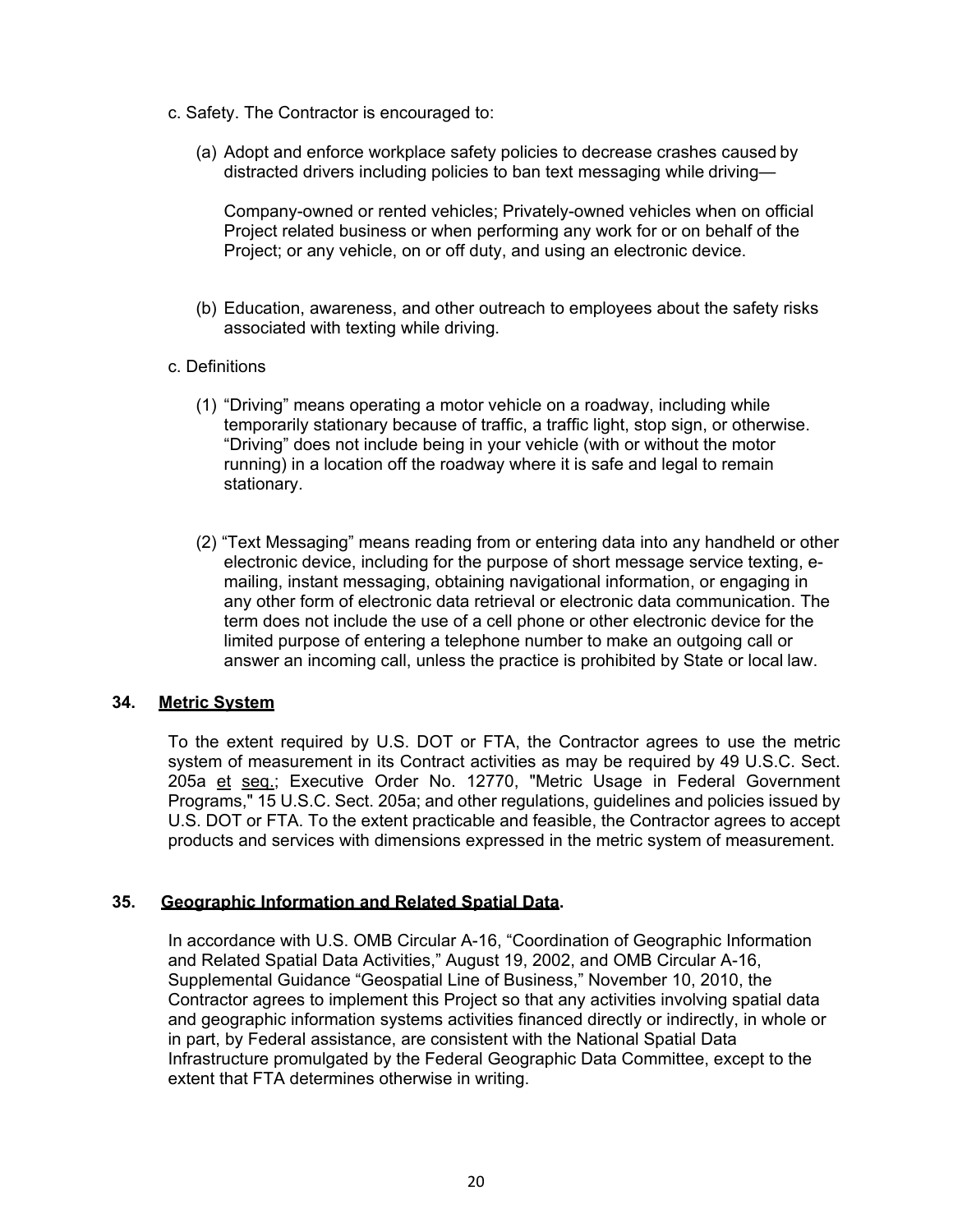- c. Safety. The Contractor is encouraged to:
	- (a) Adopt and enforce workplace safety policies to decrease crashes caused by distracted drivers including policies to ban text messaging while driving—

Company-owned or rented vehicles; Privately-owned vehicles when on official Project related business or when performing any work for or on behalf of the Project; or any vehicle, on or off duty, and using an electronic device.

- (b) Education, awareness, and other outreach to employees about the safety risks associated with texting while driving.
- c. Definitions
	- (1) "Driving" means operating a motor vehicle on a roadway, including while temporarily stationary because of traffic, a traffic light, stop sign, or otherwise. "Driving" does not include being in your vehicle (with or without the motor running) in a location off the roadway where it is safe and legal to remain stationary.
	- (2) "Text Messaging" means reading from or entering data into any handheld or other electronic device, including for the purpose of short message service texting, emailing, instant messaging, obtaining navigational information, or engaging in any other form of electronic data retrieval or electronic data communication. The term does not include the use of a cell phone or other electronic device for the limited purpose of entering a telephone number to make an outgoing call or answer an incoming call, unless the practice is prohibited by State or local law.

#### **34. Metric System**

To the extent required by U.S. DOT or FTA, the Contractor agrees to use the metric system of measurement in its Contract activities as may be required by 49 U.S.C. Sect. 205a et seq.; Executive Order No. 12770, "Metric Usage in Federal Government Programs," 15 U.S.C. Sect. 205a; and other regulations, guidelines and policies issued by U.S. DOT or FTA. To the extent practicable and feasible, the Contractor agrees to accept products and services with dimensions expressed in the metric system of measurement.

# **35. Geographic Information and Related Spatial Data.**

In accordance with U.S. OMB Circular A-16, "Coordination of Geographic Information and Related Spatial Data Activities," August 19, 2002, and OMB Circular A-16, Supplemental Guidance "Geospatial Line of Business," November 10, 2010, the Contractor agrees to implement this Project so that any activities involving spatial data and geographic information systems activities financed directly or indirectly, in whole or in part, by Federal assistance, are consistent with the National Spatial Data Infrastructure promulgated by the Federal Geographic Data Committee, except to the extent that FTA determines otherwise in writing.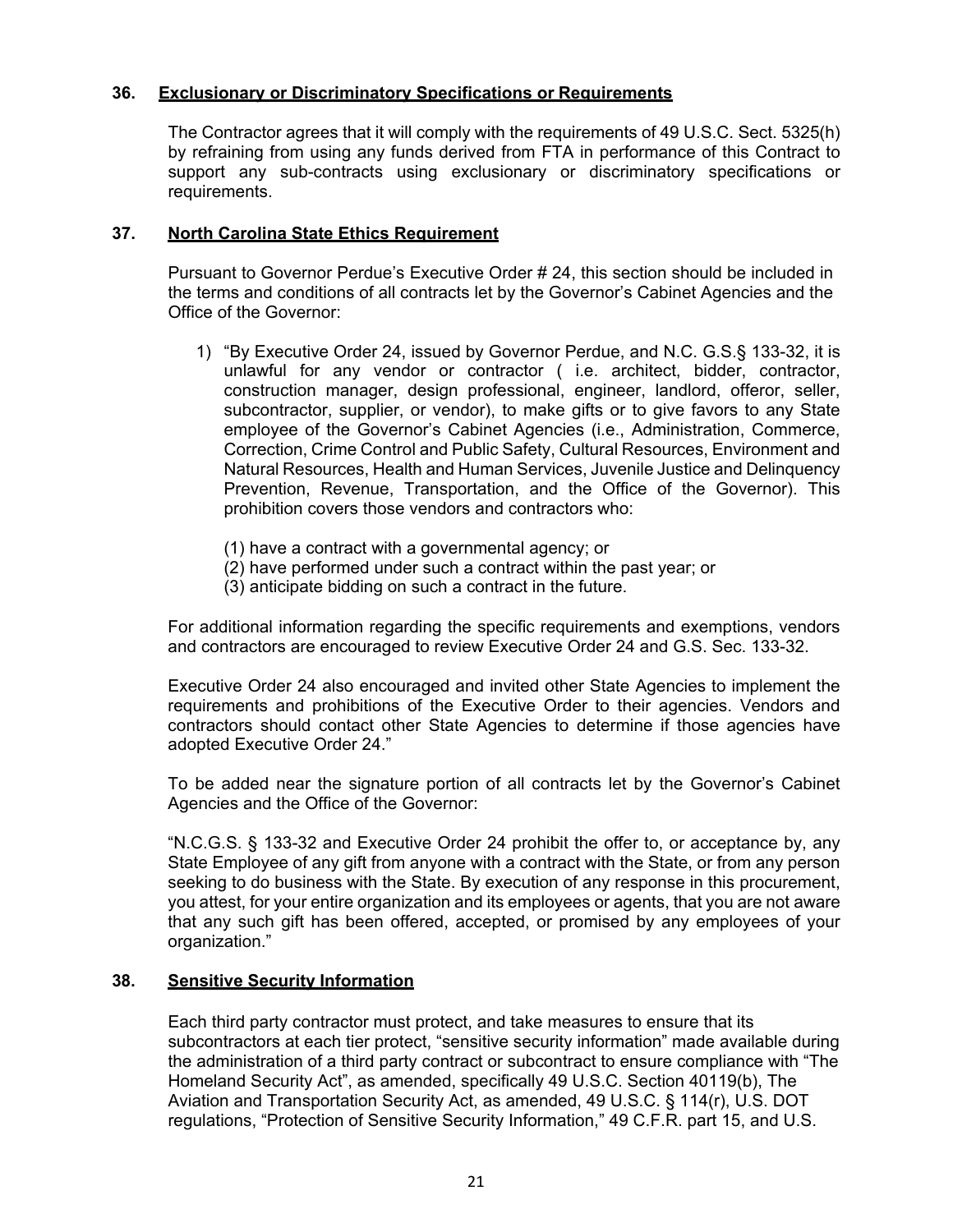# **36. Exclusionary or Discriminatory Specifications or Requirements**

The Contractor agrees that it will comply with the requirements of 49 U.S.C. Sect. 5325(h) by refraining from using any funds derived from FTA in performance of this Contract to support any sub-contracts using exclusionary or discriminatory specifications or requirements.

### **37. North Carolina State Ethics Requirement**

Pursuant to Governor Perdue's Executive Order # 24, this section should be included in the terms and conditions of all contracts let by the Governor's Cabinet Agencies and the Office of the Governor:

- 1) "By Executive Order 24, issued by Governor Perdue, and N.C. G.S.§ 133-32, it is unlawful for any vendor or contractor ( i.e. architect, bidder, contractor, construction manager, design professional, engineer, landlord, offeror, seller, subcontractor, supplier, or vendor), to make gifts or to give favors to any State employee of the Governor's Cabinet Agencies (i.e., Administration, Commerce, Correction, Crime Control and Public Safety, Cultural Resources, Environment and Natural Resources, Health and Human Services, Juvenile Justice and Delinquency Prevention, Revenue, Transportation, and the Office of the Governor). This prohibition covers those vendors and contractors who:
	- (1) have a contract with a governmental agency; or
	- (2) have performed under such a contract within the past year; or
	- (3) anticipate bidding on such a contract in the future.

For additional information regarding the specific requirements and exemptions, vendors and contractors are encouraged to review Executive Order 24 and G.S. Sec. 133-32.

Executive Order 24 also encouraged and invited other State Agencies to implement the requirements and prohibitions of the Executive Order to their agencies. Vendors and contractors should contact other State Agencies to determine if those agencies have adopted Executive Order 24."

To be added near the signature portion of all contracts let by the Governor's Cabinet Agencies and the Office of the Governor:

"N.C.G.S. § 133-32 and Executive Order 24 prohibit the offer to, or acceptance by, any State Employee of any gift from anyone with a contract with the State, or from any person seeking to do business with the State. By execution of any response in this procurement, you attest, for your entire organization and its employees or agents, that you are not aware that any such gift has been offered, accepted, or promised by any employees of your organization."

#### **38. Sensitive Security Information**

Each third party contractor must protect, and take measures to ensure that its subcontractors at each tier protect, "sensitive security information" made available during the administration of a third party contract or subcontract to ensure compliance with "The Homeland Security Act", as amended, specifically 49 U.S.C. Section 40119(b), The Aviation and Transportation Security Act, as amended, 49 U.S.C. § 114(r), U.S. DOT regulations, "Protection of Sensitive Security Information," 49 C.F.R. part 15, and U.S.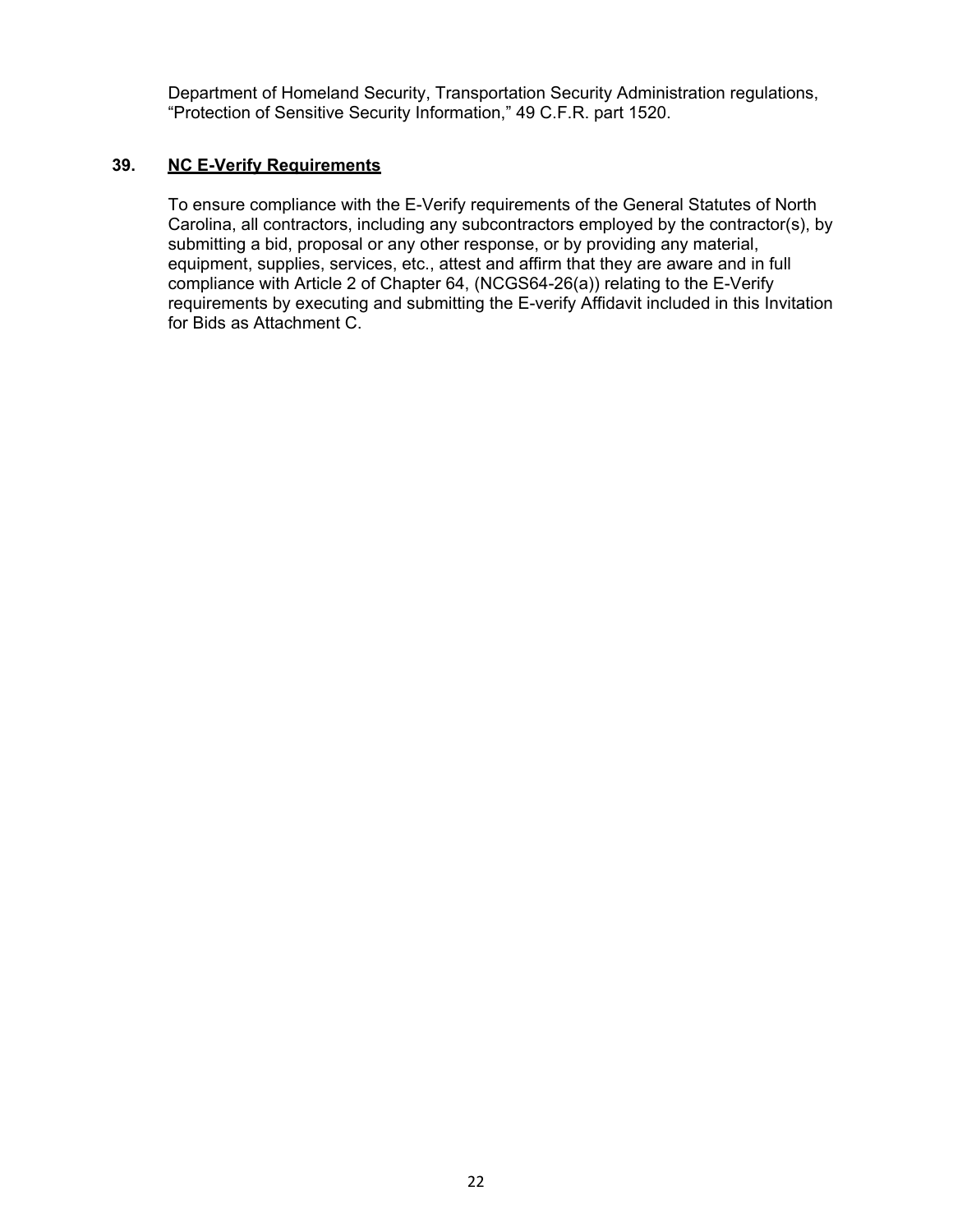Department of Homeland Security, Transportation Security Administration regulations, "Protection of Sensitive Security Information," 49 C.F.R. part 1520.

# **39. NC E-Verify Requirements**

To ensure compliance with the E-Verify requirements of the General Statutes of North Carolina, all contractors, including any subcontractors employed by the contractor(s), by submitting a bid, proposal or any other response, or by providing any material, equipment, supplies, services, etc., attest and affirm that they are aware and in full compliance with Article 2 of Chapter 64, (NCGS64-26(a)) relating to the E-Verify requirements by executing and submitting the E-verify Affidavit included in this Invitation for Bids as Attachment C.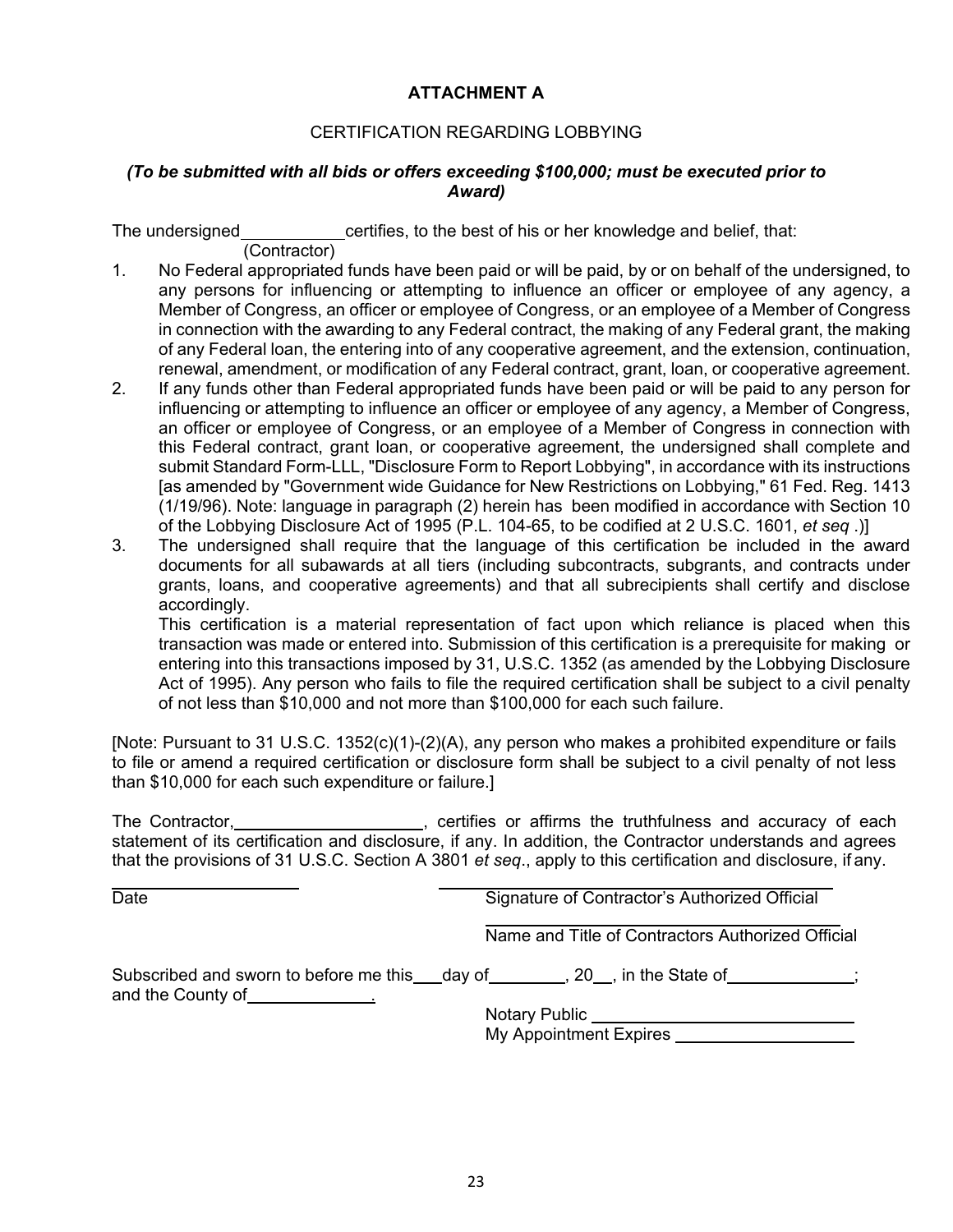# **ATTACHMENT A**

# CERTIFICATION REGARDING LOBBYING

# *(To be submitted with all bids or offers exceeding \$100,000; must be executed prior to Award)*

The undersigned certifies, to the best of his or her knowledge and belief, that: (Contractor)

- 1. No Federal appropriated funds have been paid or will be paid, by or on behalf of the undersigned, to any persons for influencing or attempting to influence an officer or employee of any agency, a Member of Congress, an officer or employee of Congress, or an employee of a Member of Congress in connection with the awarding to any Federal contract, the making of any Federal grant, the making of any Federal loan, the entering into of any cooperative agreement, and the extension, continuation, renewal, amendment, or modification of any Federal contract, grant, loan, or cooperative agreement.
- 2. If any funds other than Federal appropriated funds have been paid or will be paid to any person for influencing or attempting to influence an officer or employee of any agency, a Member of Congress, an officer or employee of Congress, or an employee of a Member of Congress in connection with this Federal contract, grant loan, or cooperative agreement, the undersigned shall complete and submit Standard Form-LLL, "Disclosure Form to Report Lobbying", in accordance with its instructions [as amended by "Government wide Guidance for New Restrictions on Lobbying," 61 Fed. Reg. 1413 (1/19/96). Note: language in paragraph (2) herein has been modified in accordance with Section 10 of the Lobbying Disclosure Act of 1995 (P.L. 104-65, to be codified at 2 U.S.C. 1601, *et seq* .)]
- 3. The undersigned shall require that the language of this certification be included in the award documents for all subawards at all tiers (including subcontracts, subgrants, and contracts under grants, loans, and cooperative agreements) and that all subrecipients shall certify and disclose accordingly.

This certification is a material representation of fact upon which reliance is placed when this transaction was made or entered into. Submission of this certification is a prerequisite for making or entering into this transactions imposed by 31, U.S.C. 1352 (as amended by the Lobbying Disclosure Act of 1995). Any person who fails to file the required certification shall be subject to a civil penalty of not less than \$10,000 and not more than \$100,000 for each such failure.

[Note: Pursuant to 31 U.S.C. 1352(c)(1)-(2)(A), any person who makes a prohibited expenditure or fails to file or amend a required certification or disclosure form shall be subject to a civil penalty of not less than \$10,000 for each such expenditure or failure.]

The Contractor, **Contractor**, **Contractor**, **CELL BULGIS**, certifies or affirms the truthfulness and accuracy of each statement of its certification and disclosure, if any. In addition, the Contractor understands and agrees that the provisions of 31 U.S.C. Section A 3801 *et seq*., apply to this certification and disclosure, if any.

| Date | Signature of Contractor's Authorized Official                                                   |
|------|-------------------------------------------------------------------------------------------------|
|      | Name and Title of Contractors Authorized Official                                               |
|      | Subscribed and sworn to before me this ___day of _________, 20__, in the State of ____________; |
|      | Notary Public ______________________<br>My Appointment Expires                                  |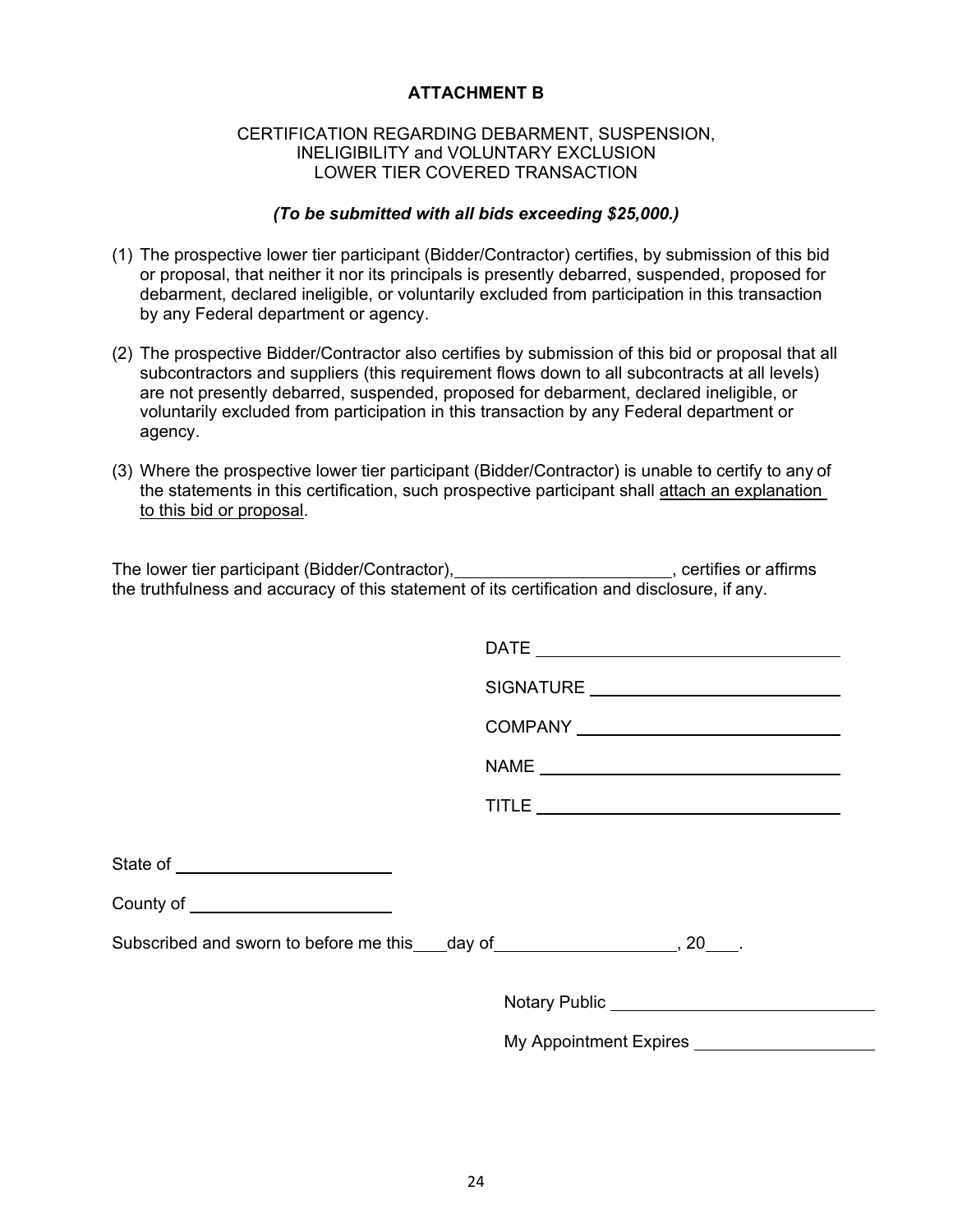# **ATTACHMENT B**

#### CERTIFICATION REGARDING DEBARMENT, SUSPENSION, INELIGIBILITY and VOLUNTARY EXCLUSION LOWER TIER COVERED TRANSACTION

### *(To be submitted with all bids exceeding \$25,000.)*

- (1) The prospective lower tier participant (Bidder/Contractor) certifies, by submission of this bid or proposal, that neither it nor its principals is presently debarred, suspended, proposed for debarment, declared ineligible, or voluntarily excluded from participation in this transaction by any Federal department or agency.
- (2) The prospective Bidder/Contractor also certifies by submission of this bid or proposal that all subcontractors and suppliers (this requirement flows down to all subcontracts at all levels) are not presently debarred, suspended, proposed for debarment, declared ineligible, or voluntarily excluded from participation in this transaction by any Federal department or agency.
- (3) Where the prospective lower tier participant (Bidder/Contractor) is unable to certify to any of the statements in this certification, such prospective participant shall attach an explanation to this bid or proposal.

| The lower tier participant (Bidder/Contractor),                                              | . certifies or affirms |
|----------------------------------------------------------------------------------------------|------------------------|
| the truthfulness and accuracy of this statement of its certification and disclosure, if any. |                        |

|                                                                                                                                                                                                                                      | COMPANY _______________________________ |  |
|--------------------------------------------------------------------------------------------------------------------------------------------------------------------------------------------------------------------------------------|-----------------------------------------|--|
|                                                                                                                                                                                                                                      | NAME                                    |  |
|                                                                                                                                                                                                                                      |                                         |  |
| State of __________________________                                                                                                                                                                                                  |                                         |  |
| County of <u>substantial and the set of the set of the set of the set of the set of the set of the set of the set of the set of the set of the set of the set of the set of the set of the set of the set of the set of the set </u> |                                         |  |
| Subscribed and sworn to before me this ___day of _____________________, 20____.                                                                                                                                                      |                                         |  |
|                                                                                                                                                                                                                                      | Notary Public Notary 2014               |  |
|                                                                                                                                                                                                                                      | My Appointment Expires __________       |  |